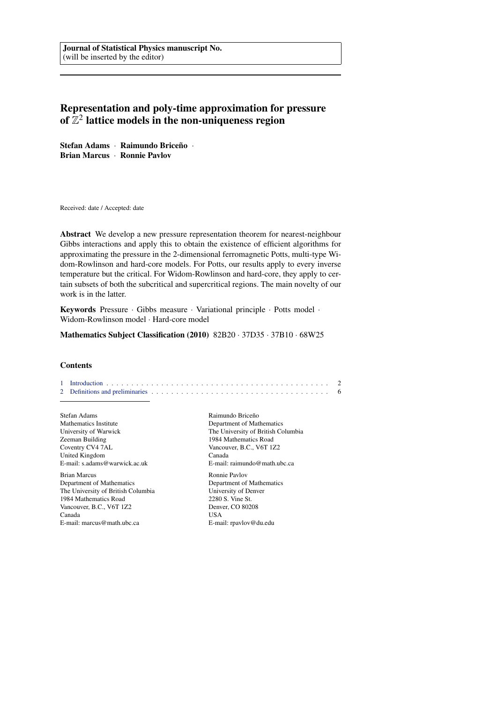Journal of Statistical Physics manuscript No. (will be inserted by the editor)

# Representation and poly-time approximation for pressure of  $\mathbb{Z}^2$  lattice models in the non-uniqueness region

Stefan Adams · Raimundo Briceño · Brian Marcus · Ronnie Pavlov

Received: date / Accepted: date

Abstract We develop a new pressure representation theorem for nearest-neighbour Gibbs interactions and apply this to obtain the existence of efficient algorithms for approximating the pressure in the 2-dimensional ferromagnetic Potts, multi-type Widom-Rowlinson and hard-core models. For Potts, our results apply to every inverse temperature but the critical. For Widom-Rowlinson and hard-core, they apply to certain subsets of both the subcritical and supercritical regions. The main novelty of our work is in the latter.

Keywords Pressure · Gibbs measure · Variational principle · Potts model · Widom-Rowlinson model · Hard-core model

Mathematics Subject Classification (2010) 82B20 · 37D35 · 37B10 · 68W25

## **Contents**

[1 Introduction](#page-1-0) . . . . . . . . . . . . . . . . . . . . . . . . . . . . . . . . . . . . . . . . . . . . . 2 [2 Definitions and preliminaries](#page-5-0) . . . . . . . . . . . . . . . . . . . . . . . . . . . . . . . . . . . . 6

Stefan Adams Mathematics Institute University of Warwick Zeeman Building Coventry CV4 7AL United Kingdom E-mail: s.adams@warwick.ac.uk

Brian Marcus Department of Mathematics The University of British Columbia 1984 Mathematics Road Vancouver, B.C., V6T 1Z2 Canada E-mail: marcus@math.ubc.ca

Raimundo Briceño Department of Mathematics The University of British Columbia 1984 Mathematics Road Vancouver, B.C., V6T 1Z2 Canada E-mail: raimundo@math.ubc.ca Ronnie Pavlov Department of Mathematics

University of Denver 2280 S. Vine St. Denver, CO 80208 USA E-mail: rpavlov@du.edu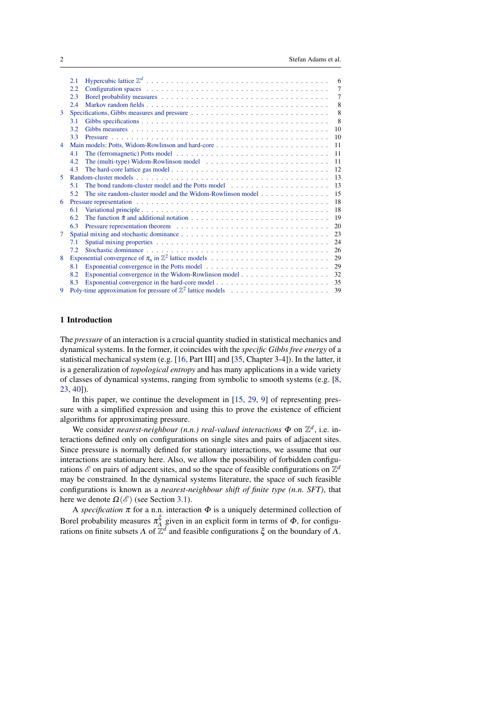<span id="page-1-1"></span>

|                | 2.1 |                                                                                                        | 6              |
|----------------|-----|--------------------------------------------------------------------------------------------------------|----------------|
|                | 2.2 |                                                                                                        | $\overline{7}$ |
|                | 2.3 |                                                                                                        | 7              |
|                | 2.4 |                                                                                                        | 8              |
| 3              | 8   |                                                                                                        |                |
|                | 3.1 |                                                                                                        | 8              |
|                | 3.2 |                                                                                                        | 10             |
|                | 3.3 |                                                                                                        |                |
| $\overline{4}$ | 11  |                                                                                                        |                |
|                | 4.1 |                                                                                                        | <sup>11</sup>  |
|                | 4.2 |                                                                                                        | -11            |
|                | 4.3 |                                                                                                        |                |
| 5.             |     |                                                                                                        | -13            |
|                | 5.1 |                                                                                                        | 13             |
|                | 5.2 | The site random-cluster model and the Widom-Rowlinson model                                            | 15             |
| 6              |     |                                                                                                        |                |
|                | 6.1 |                                                                                                        | 18             |
|                | 62  |                                                                                                        | 19             |
|                | 6.3 |                                                                                                        | 20             |
| 7              |     |                                                                                                        | 23             |
|                | 7.1 |                                                                                                        | 24             |
|                | 7.2 |                                                                                                        | 26             |
| 8              |     |                                                                                                        | 29             |
|                | 8.1 |                                                                                                        | 29             |
|                | 8.2 |                                                                                                        | 32             |
|                | 83  | Exponential convergence in the hard-core model $\dots \dots \dots \dots \dots \dots \dots \dots \dots$ | 35             |
| 9              |     |                                                                                                        | 39             |
|                |     |                                                                                                        |                |

# <span id="page-1-0"></span>1 Introduction

The *pressure* of an interaction is a crucial quantity studied in statistical mechanics and dynamical systems. In the former, it coincides with the *specific Gibbs free energy* of a statistical mechanical system (e.g. [\[16,](#page-41-0) Part III] and [\[35,](#page-43-0) Chapter 3-4]). In the latter, it is a generalization of *topological entropy* and has many applications in a wide variety of classes of dynamical systems, ranging from symbolic to smooth systems (e.g. [\[8,](#page-41-1) [23,](#page-42-0) [40\]](#page-43-1)).

In this paper, we continue the development in [\[15,](#page-41-2) [29,](#page-42-1) [9\]](#page-41-3) of representing pressure with a simplified expression and using this to prove the existence of efficient algorithms for approximating pressure.

We consider *nearest-neighbour* (*n.n.*) *real-valued interactions*  $\Phi$  on  $\mathbb{Z}^d$ , i.e. interactions defined only on configurations on single sites and pairs of adjacent sites. Since pressure is normally defined for stationary interactions, we assume that our interactions are stationary here. Also, we allow the possibility of forbidden configurations  $\mathscr E$  on pairs of adjacent sites, and so the space of feasible configurations on  $\mathbb Z^d$ may be constrained. In the dynamical systems literature, the space of such feasible configurations is known as a *nearest-neighbour shift of finite type (n.n. SFT)*, that here we denote  $\Omega(\mathscr{E})$  (see Section [3.1\)](#page-7-2).

A *specification*  $\pi$  for a n.n. interaction  $\Phi$  is a uniquely determined collection of Borel probability measures  $\pi_A^{\xi}$ given in an explicit form in terms of  $\Phi$ , for configurations on finite subsets  $\Lambda$  of  $\mathbb{Z}^d$  and feasible configurations  $\xi$  on the boundary of  $\Lambda$ .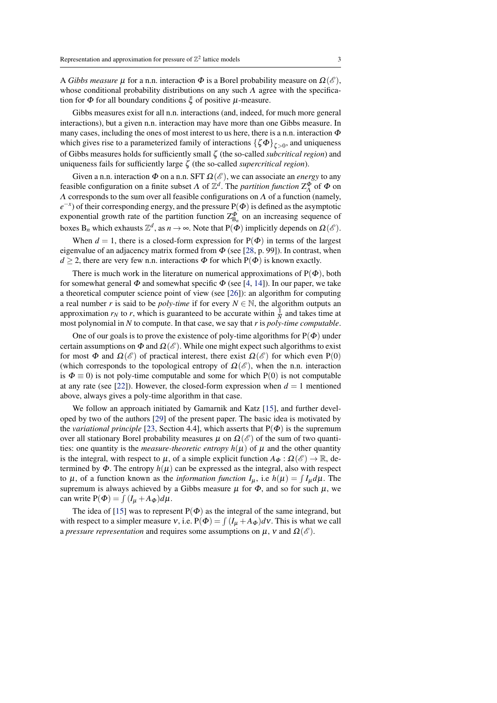<span id="page-2-0"></span>A *Gibbs measure*  $\mu$  for a n.n. interaction  $\Phi$  is a Borel probability measure on  $\Omega(\mathscr{E}),$ whose conditional probability distributions on any such  $\Lambda$  agree with the specification for  $\Phi$  for all boundary conditions  $\xi$  of positive  $\mu$ -measure.

Gibbs measures exist for all n.n. interactions (and, indeed, for much more general interactions), but a given n.n. interaction may have more than one Gibbs measure. In many cases, including the ones of most interest to us here, there is a n.n. interaction  $\Phi$ which gives rise to a parameterized family of interactions  $\{\zeta \Phi\}_{\zeta>0}$ , and uniqueness of Gibbs measures holds for sufficiently small ζ (the so-called *subcritical region*) and uniqueness fails for sufficiently large ζ (the so-called *supercritical region*).

Given a n.n. interaction  $\Phi$  on a n.n. SFT  $\Omega(\mathscr{E})$ , we can associate an *energy* to any feasible configuration on a finite subset  $\Lambda$  of  $\mathbb{Z}^d$ . The *partition function*  $Z_{\Lambda}^{\Phi}$  of  $\Phi$  on  $\Lambda$  corresponds to the sum over all feasible configurations on  $\Lambda$  of a function (namely,  $e^{-x}$ ) of their corresponding energy, and the pressure P( $\Phi$ ) is defined as the asymptotic exponential growth rate of the partition function  $Z_{B_n}^{\Phi}$  on an increasing sequence of boxes  $B_n$  which exhausts  $\mathbb{Z}^d$ , as  $n \to \infty$ . Note that  $P(\tilde{\Phi})$  implicitly depends on  $\Omega(\mathscr{E})$ .

When  $d = 1$ , there is a closed-form expression for  $P(\Phi)$  in terms of the largest eigenvalue of an adjacency matrix formed from  $\Phi$  (see [\[28,](#page-42-2) p. 99]). In contrast, when  $d \geq 2$ , there are very few n.n. interactions  $\Phi$  for which P( $\Phi$ ) is known exactly.

There is much work in the literature on numerical approximations of  $P(\Phi)$ , both for somewhat general  $\Phi$  and somewhat specific  $\Phi$  (see [\[4,](#page-41-4) [14\]](#page-41-5)). In our paper, we take a theoretical computer science point of view (see [\[26\]](#page-42-3)): an algorithm for computing a real number *r* is said to be *poly-time* if for every  $N \in \mathbb{N}$ , the algorithm outputs an approximation  $r_N$  to r, which is guaranteed to be accurate within  $\frac{1}{N}$  and takes time at most polynomial in *N* to compute. In that case, we say that *r* is *poly-time computable*.

One of our goals is to prove the existence of poly-time algorithms for  $P(\Phi)$  under certain assumptions on  $\Phi$  and  $\Omega(\mathscr{E})$ . While one might expect such algorithms to exist for most  $\Phi$  and  $\Omega(\mathscr{E})$  of practical interest, there exist  $\Omega(\mathscr{E})$  for which even P(0) (which corresponds to the topological entropy of  $\Omega(\mathscr{E})$ , when the n.n. interaction is  $\Phi = 0$ ) is not poly-time computable and some for which P(0) is not computable at any rate (see [\[22\]](#page-42-4)). However, the closed-form expression when  $d = 1$  mentioned above, always gives a poly-time algorithm in that case.

We follow an approach initiated by Gamarnik and Katz [\[15\]](#page-41-2), and further developed by two of the authors [\[29\]](#page-42-1) of the present paper. The basic idea is motivated by the *variational principle* [\[23,](#page-42-0) Section 4.4], which asserts that  $P(\Phi)$  is the supremum over all stationary Borel probability measures  $\mu$  on  $\Omega(\mathscr{E})$  of the sum of two quantities: one quantity is the *measure-theoretic entropy*  $h(\mu)$  of  $\mu$  and the other quantity is the integral, with respect to  $\mu$ , of a simple explicit function  $A_{\Phi}: \Omega(\mathscr{E}) \to \mathbb{R}$ , determined by  $\Phi$ . The entropy  $h(\mu)$  can be expressed as the integral, also with respect to  $\mu$ , of a function known as the *information function*  $I_{\mu}$ , i.e  $h(\mu) = \int I_{\mu} d\mu$ . The supremum is always achieved by a Gibbs measure  $\mu$  for  $\Phi$ , and so for such  $\mu$ , we can write  $P(\Phi) = \int (I_{\mu} + A_{\Phi}) d\mu$ .

The idea of [\[15\]](#page-41-2) was to represent  $P(\Phi)$  as the integral of the same integrand, but with respect to a simpler measure  $v$ , i.e.  $P(\Phi) = \int (I_{\mu} + A_{\Phi}) dv$ . This is what we call a *pressure representation* and requires some assumptions on  $\mu$ ,  $\nu$  and  $\Omega(\mathscr{E})$ .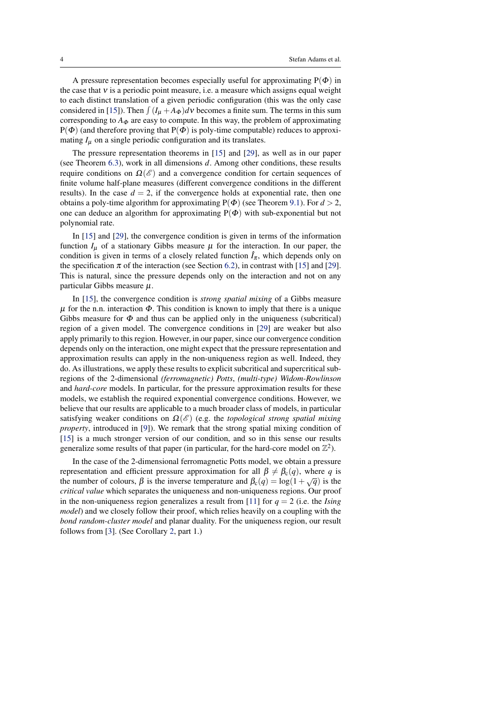<span id="page-3-0"></span>A pressure representation becomes especially useful for approximating  $P(\Phi)$  in the case that  $v$  is a periodic point measure, i.e. a measure which assigns equal weight to each distinct translation of a given periodic configuration (this was the only case considered in [\[15\]](#page-41-2)). Then  $\int (I_{\mu} + A_{\Phi}) d\nu$  becomes a finite sum. The terms in this sum corresponding to  $A_{\Phi}$  are easy to compute. In this way, the problem of approximating  $P(\Phi)$  (and therefore proving that  $P(\Phi)$  is poly-time computable) reduces to approximating  $I_{\mu}$  on a single periodic configuration and its translates.

The pressure representation theorems in [\[15\]](#page-41-2) and [\[29\]](#page-42-1), as well as in our paper (see Theorem [6.3\)](#page-19-1), work in all dimensions *d*. Among other conditions, these results require conditions on  $\Omega(\mathscr{E})$  and a convergence condition for certain sequences of finite volume half-plane measures (different convergence conditions in the different results). In the case  $d = 2$ , if the convergence holds at exponential rate, then one obtains a poly-time algorithm for approximating  $P(\Phi)$  (see Theorem [9.1\)](#page-38-1). For  $d > 2$ , one can deduce an algorithm for approximating  $P(\Phi)$  with sub-exponential but not polynomial rate.

In [\[15\]](#page-41-2) and [\[29\]](#page-42-1), the convergence condition is given in terms of the information function  $I_{\mu}$  of a stationary Gibbs measure  $\mu$  for the interaction. In our paper, the condition is given in terms of a closely related function  $\hat{I}_{\pi}$ , which depends only on the specification  $\pi$  of the interaction (see Section [6.2\)](#page-18-0), in contrast with [\[15\]](#page-41-2) and [\[29\]](#page-42-1). This is natural, since the pressure depends only on the interaction and not on any particular Gibbs measure  $\mu$ .

In [\[15\]](#page-41-2), the convergence condition is *strong spatial mixing* of a Gibbs measure  $\mu$  for the n.n. interaction  $\Phi$ . This condition is known to imply that there is a unique Gibbs measure for  $\Phi$  and thus can be applied only in the uniqueness (subcritical) region of a given model. The convergence conditions in [\[29\]](#page-42-1) are weaker but also apply primarily to this region. However, in our paper, since our convergence condition depends only on the interaction, one might expect that the pressure representation and approximation results can apply in the non-uniqueness region as well. Indeed, they do. As illustrations, we apply these results to explicit subcritical and supercritical subregions of the 2-dimensional *(ferromagnetic) Potts*, *(multi-type) Widom-Rowlinson* and *hard-core* models. In particular, for the pressure approximation results for these models, we establish the required exponential convergence conditions. However, we believe that our results are applicable to a much broader class of models, in particular satisfying weaker conditions on  $\Omega(\mathscr{E})$  (e.g. the *topological strong spatial mixing property*, introduced in [\[9\]](#page-41-3)). We remark that the strong spatial mixing condition of [\[15\]](#page-41-2) is a much stronger version of our condition, and so in this sense our results generalize some results of that paper (in particular, for the hard-core model on  $\mathbb{Z}^2$ ).

In the case of the 2-dimensional ferromagnetic Potts model, we obtain a pressure representation and efficient pressure approximation for all  $\beta \neq \beta_c(q)$ , where *q* is the number of colours,  $\beta$  is the inverse temperature and  $\beta_c(q) = \log(1 + \sqrt{q})$  is the *critical value* which separates the uniqueness and non-uniqueness regions. Our proof in the non-uniqueness region generalizes a result from [\[11\]](#page-41-6) for  $q = 2$  (i.e. the *Ising model*) and we closely follow their proof, which relies heavily on a coupling with the *bond random-cluster model* and planar duality. For the uniqueness region, our result follows from [\[3\]](#page-41-7). (See Corollary [2,](#page-39-0) part 1.)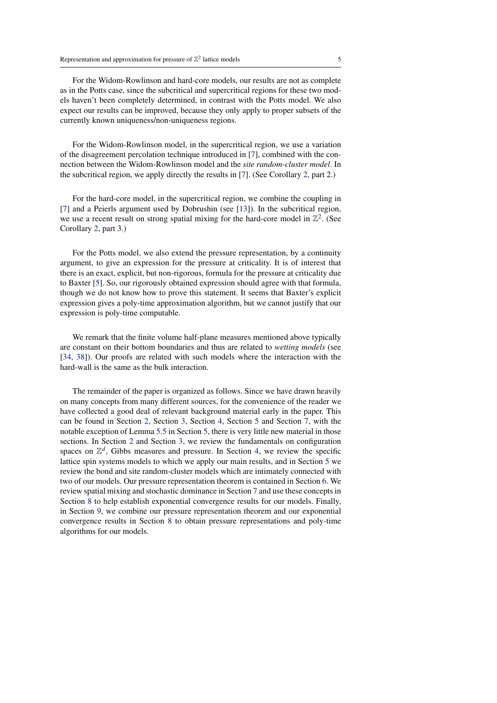<span id="page-4-0"></span>For the Widom-Rowlinson and hard-core models, our results are not as complete as in the Potts case, since the subcritical and supercritical regions for these two models haven't been completely determined, in contrast with the Potts model. We also expect our results can be improved, because they only apply to proper subsets of the currently known uniqueness/non-uniqueness regions.

For the Widom-Rowlinson model, in the supercritical region, we use a variation of the disagreement percolation technique introduced in [\[7\]](#page-41-8), combined with the connection between the Widom-Rowlinson model and the *site random-cluster model*. In the subcritical region, we apply directly the results in [\[7\]](#page-41-8). (See Corollary [2,](#page-39-0) part 2.)

For the hard-core model, in the supercritical region, we combine the coupling in [\[7\]](#page-41-8) and a Peierls argument used by Dobrushin (see [\[13\]](#page-41-9)). In the subcritical region, we use a recent result on strong spatial mixing for the hard-core model in  $\mathbb{Z}^2$ . (See Corollary [2,](#page-39-0) part 3.)

For the Potts model, we also extend the pressure representation, by a continuity argument, to give an expression for the pressure at criticality. It is of interest that there is an exact, explicit, but non-rigorous, formula for the pressure at criticality due to Baxter [\[5\]](#page-41-10). So, our rigorously obtained expression should agree with that formula, though we do not know how to prove this statement. It seems that Baxter's explicit expression gives a poly-time approximation algorithm, but we cannot justify that our expression is poly-time computable.

We remark that the finite volume half-plane measures mentioned above typically are constant on their bottom boundaries and thus are related to *wetting models* (see [\[34,](#page-43-2) [38\]](#page-43-3)). Our proofs are related with such models where the interaction with the hard-wall is the same as the bulk interaction.

The remainder of the paper is organized as follows. Since we have drawn heavily on many concepts from many different sources, for the convenience of the reader we have collected a good deal of relevant background material early in the paper. This can be found in Section [2,](#page-5-0) Section [3,](#page-7-1) Section [4,](#page-10-0) Section [5](#page-12-0) and Section [7,](#page-22-0) with the notable exception of Lemma [5.5](#page-15-0) in Section [5,](#page-12-0) there is very little new material in those sections. In Section [2](#page-5-0) and Section [3,](#page-7-1) we review the fundamentals on configuration spaces on  $\mathbb{Z}^d$ , Gibbs measures and pressure. In Section [4,](#page-10-0) we review the specific lattice spin systems models to which we apply our main results, and in Section [5](#page-12-0) we review the bond and site random-cluster models which are intimately connected with two of our models. Our pressure representation theorem is contained in Section [6.](#page-17-0) We review spatial mixing and stochastic dominance in Section [7](#page-22-0) and use these concepts in Section [8](#page-28-0) to help establish exponential convergence results for our models. Finally, in Section [9,](#page-38-0) we combine our pressure representation theorem and our exponential convergence results in Section [8](#page-28-0) to obtain pressure representations and poly-time algorithms for our models.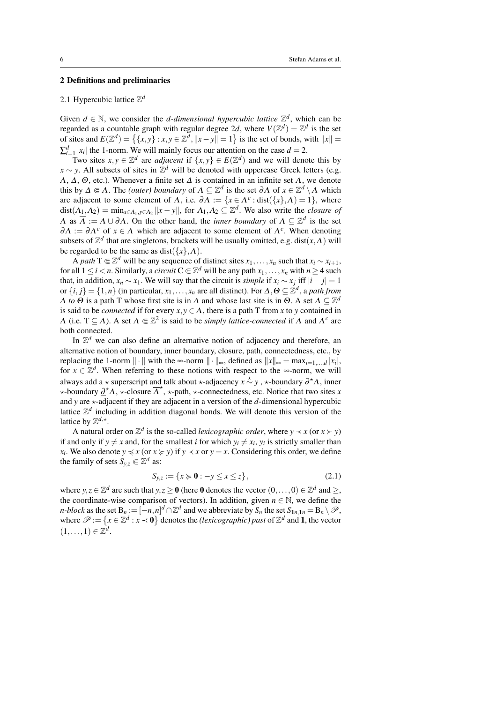# <span id="page-5-0"></span>2 Definitions and preliminaries

# <span id="page-5-1"></span>2.1 Hypercubic lattice Z *d*

Given  $d \in \mathbb{N}$ , we consider the *d*-dimensional hypercubic lattice  $\mathbb{Z}^d$ , which can be regarded as a countable graph with regular degree 2*d*, where  $V(\mathbb{Z}^d) = \mathbb{Z}^d$  is the set of sites and  $E(\mathbb{Z}^d) = \{ \{x, y\} : x, y \in \mathbb{Z}^d, ||x - y|| = 1 \}$  is the set of bonds, with  $||x|| =$  $\sum_{i=1}^{d} |x_i|$  the 1-norm. We will mainly focus our attention on the case  $d = 2$ .

Two sites  $x, y \in \mathbb{Z}^d$  are *adjacent* if  $\{x, y\} \in E(\mathbb{Z}^d)$  and we will denote this by  $x \sim y$ . All subsets of sites in  $\mathbb{Z}^d$  will be denoted with uppercase Greek letters (e.g.  $\Lambda$ ,  $\Delta$ ,  $\Theta$ , etc.). Whenever a finite set  $\Delta$  is contained in an infinite set  $\Lambda$ , we denote this by  $\Delta \subseteq \Lambda$ . The *(outer) boundary* of  $\Lambda \subseteq \mathbb{Z}^d$  is the set  $\partial \Lambda$  of  $x \in \mathbb{Z}^d \setminus \Lambda$  which are adjacent to some element of  $\Lambda$ , i.e.  $\partial \Lambda := \{x \in \Lambda^c : \text{dist}(\{x\}, \Lambda) = 1\}$ , where  $dist(A_1, A_2) = min_{x \in A_1, y \in A_2} ||x - y||$ , for  $A_1, A_2 \subseteq \mathbb{Z}^d$ . We also write the *closure of*  $\Lambda$  as  $\overline{\Lambda} := \Lambda \cup \partial \Lambda$ . On the other hand, the *inner boundary* of  $\Lambda \subseteq \mathbb{Z}^d$  is the set  $\underline{\partial} \Lambda := \partial \Lambda^c$  of  $x \in \Lambda$  which are adjacent to some element of  $\Lambda^c$ . When denoting subsets of  $\mathbb{Z}^d$  that are singletons, brackets will be usually omitted, e.g. dist $(x, \Lambda)$  will be regarded to be the same as dist( $\{x\}$ , $\Lambda$ ).

A path T  $\in \mathbb{Z}^d$  will be any sequence of distinct sites  $x_1, \ldots, x_n$  such that  $x_i \sim x_{i+1}$ , for all  $1 \le i < n$ . Similarly, a *circuit*  $C \in \mathbb{Z}^d$  will be any path  $x_1, \ldots, x_n$  with  $n \ge 4$  such that, in addition,  $x_n \sim x_1$ . We will say that the circuit is *simple* if  $x_i \sim x_j$  iff  $|i - j| = 1$ or  $\{i, j\} = \{1, n\}$  (in particular,  $x_1, \ldots, x_n$  are all distinct). For  $\Delta, \Theta \subseteq \mathbb{Z}^d$ , a *path from*  $\Delta$  *to*  $\Theta$  is a path T whose first site is in  $\Delta$  and whose last site is in  $\Theta$ . A set  $\Lambda \subseteq \mathbb{Z}^d$ is said to be *connected* if for every  $x, y \in \Lambda$ , there is a path T from x to y contained in  $\Lambda$  (i.e.  $T \subseteq \Lambda$ ). A set  $\Lambda \subseteq \mathbb{Z}^2$  is said to be *simply lattice-connected* if  $\Lambda$  and  $\Lambda^c$  are both connected.

In  $\mathbb{Z}^d$  we can also define an alternative notion of adjacency and therefore, an alternative notion of boundary, inner boundary, closure, path, connectedness, etc., by replacing the 1-norm  $\|\cdot\|$  with the ∞-norm  $\|\cdot\|_{\infty}$ , defined as  $\|x\|_{\infty} = \max_{i=1,\dots,d} |x_i|$ , for  $x \in \mathbb{Z}^d$ . When referring to these notions with respect to the ∞-norm, we will always add a  $\star$  superscript and talk about  $\star$ -adjacency  $\vec{x} \sim y$ ,  $\star$ -boundary  $\partial^{\star} \Lambda$ , inner  $\star$ -boundary  $\underline{\partial}^* \Lambda$ ,  $\star$ -closure  $\overline{\Lambda}^*$ ,  $\star$ -path,  $\star$ -connectedness, etc. Notice that two sites *x* and *y* are  $\star$ -adjacent if they are adjacent in a version of the *d*-dimensional hypercubic lattice  $\mathbb{Z}^d$  including in addition diagonal bonds. We will denote this version of the lattice by  $\mathbb{Z}^{d,*}$ .

A natural order on  $\mathbb{Z}^d$  is the so-called *lexicographic order*, where  $y \prec x$  (or  $x \succ y$ ) if and only if  $y \neq x$  and, for the smallest *i* for which  $y_i \neq x_i$ ,  $y_i$  is strictly smaller than *x*<sub>*i*</sub>. We also denote  $y \preccurlyeq x$  (or  $x \succcurlyeq y$ ) if  $y \prec x$  or  $y = x$ . Considering this order, we define the family of sets  $S_{y,z} \in \mathbb{Z}^d$  as:

$$
S_{y,z} := \{ x \succcurlyeq 0 : -y \le x \le z \},\tag{2.1}
$$

where  $y, z \in \mathbb{Z}^d$  are such that  $y, z \ge 0$  (here 0 denotes the vector  $(0, \ldots, 0) \in \mathbb{Z}^d$  and  $\ge$ , the coordinate-wise comparison of vectors). In addition, given  $n \in \mathbb{N}$ , we define the *n-block* as the set  $B_n := [-n, n]^d \cap \mathbb{Z}^d$  and we abbreviate by  $S_n$  the set  $S_{1n, 1n} = B_n \setminus \mathcal{P}$ , where  $\mathscr{P} := \{x \in \mathbb{Z}^d : x \prec \mathbf{0}\}$  denotes the *(lexicographic)* past of  $\mathbb{Z}^d$  and **1**, the vector  $(1,\ldots,1)\in\mathbb{Z}^d$ .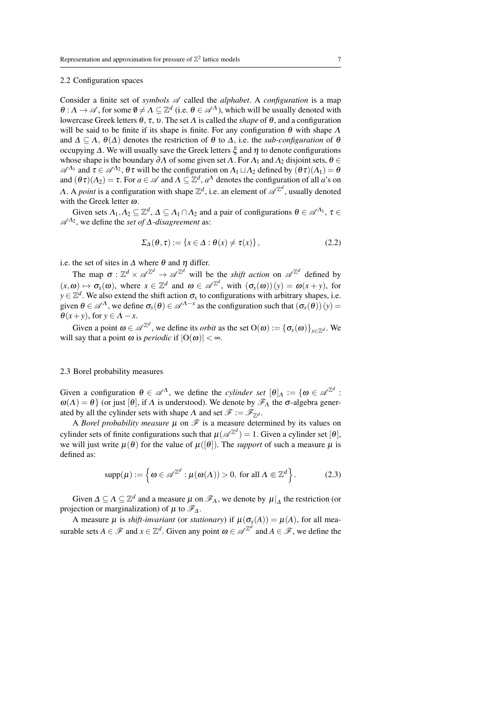# <span id="page-6-0"></span>2.2 Configuration spaces

Consider a finite set of *symbols*  $\mathscr A$  called the *alphabet*. A *configuration* is a map  $\theta: \Lambda \to \mathscr{A}$ , for some  $\theta \neq \Lambda \subseteq \mathbb{Z}^d$  (i.e.  $\theta \in \mathscr{A}^{\Lambda}$ ), which will be usually denoted with lowercase Greek letters θ, τ, υ. The set Λ is called the *shape* of θ, and a configuration will be said to be finite if its shape is finite. For any configuration  $\theta$  with shape  $\Lambda$ and  $\Delta \subseteq \Lambda$ ,  $\theta(\Delta)$  denotes the restriction of  $\theta$  to  $\Delta$ , i.e. the *sub-configuration* of  $\theta$ occupying  $Δ$ . We will usually save the Greek letters  $ξ$  and  $η$  to denote configurations whose shape is the boundary  $\partial \Lambda$  of some given set  $\Lambda$ . For  $\Lambda_1$  and  $\Lambda_2$  disjoint sets,  $\theta \in$  $\mathscr{A}^{\Lambda_1}$  and  $\tau \in \mathscr{A}^{\Lambda_2}$ ,  $\theta \tau$  will be the configuration on  $\Lambda_1 \sqcup \Lambda_2$  defined by  $(\theta \tau)(\Lambda_1) = \theta$ and  $(\theta \tau)(\Lambda_2) = \tau$ . For  $a \in \mathcal{A}$  and  $\Lambda \subseteq \mathbb{Z}^d$ ,  $a^{\Lambda}$  denotes the configuration of all  $a$ 's on A. A *point* is a configuration with shape  $\mathbb{Z}^d$ , i.e. an element of  $\mathscr{A}^{\mathbb{Z}^d}$ , usually denoted with the Greek letter  $\omega$ .

Given sets  $\Lambda_1, \Lambda_2 \subseteq \mathbb{Z}^d$ ,  $\Lambda \subseteq \Lambda_1 \cap \Lambda_2$  and a pair of configurations  $\theta \in \mathscr{A}^{\Lambda_1}$ ,  $\tau \in$  $\mathcal{A}^{\Lambda_2}$ , we define the *set of* Δ*-disagreement* as:

$$
\Sigma_{\Delta}(\theta, \tau) := \{ x \in \Delta : \theta(x) \neq \tau(x) \},\tag{2.2}
$$

i.e. the set of sites in  $\Delta$  where  $\theta$  and  $\eta$  differ.

The map  $\sigma : \mathbb{Z}^d \times \mathcal{A}^{\mathbb{Z}^d} \to \mathcal{A}^{\mathbb{Z}^d}$  will be the *shift action* on  $\mathcal{A}^{\mathbb{Z}^d}$  defined by  $(x, \omega) \mapsto \sigma_x(\omega)$ , where  $x \in \mathbb{Z}^d$  and  $\omega \in \mathcal{A}^{\mathbb{Z}^d}$ , with  $(\sigma_x(\omega))(y) = \omega(x + y)$ , for  $y \in \mathbb{Z}^d$ . We also extend the shift action  $\sigma_x$  to configurations with arbitrary shapes, i.e. given  $\theta \in \mathscr{A}^{\Lambda}$ , we define  $\sigma_x(\theta) \in \mathscr{A}^{\Lambda-x}$  as the configuration such that  $(\sigma_x(\theta))(y) =$  $\theta(x+y)$ , for  $y \in \Lambda - x$ .

Given a point  $\omega \in \mathscr{A}^{\mathbb{Z}^d}$ , we define its *orbit* as the set  $O(\omega) := {\{\sigma_x(\omega)\}}_{x \in \mathbb{Z}^d}$ . We will say that a point  $\omega$  is *periodic* if  $|O(\omega)| < \infty$ .

### <span id="page-6-1"></span>2.3 Borel probability measures

Given a configuration  $\theta \in \mathscr{A}^{\Lambda}$ , we define the *cylinder set*  $[\theta]_{\Lambda} := \{ \omega \in \mathscr{A}^{\mathbb{Z}^d}$ .  $ω(Λ) = θ$ } (or just [θ], if Λ is understood). We denote by  $\mathscr{F}_{Λ}$  the σ-algebra generated by all the cylinder sets with shape  $\Lambda$  and set  $\mathscr{F} := \mathscr{F}_{\mathbb{Z}^d}$ .

A *Borel probability measure*  $\mu$  on  $\mathcal F$  is a measure determined by its values on cylinder sets of finite configurations such that  $\mu(\mathscr{A}^{\mathbb{Z}^d}) = 1$ . Given a cylinder set  $[\theta]$ , we will just write  $\mu(\theta)$  for the value of  $\mu([\theta])$ . The *support* of such a measure  $\mu$  is defined as:

$$
\text{supp}(\mu) := \left\{ \omega \in \mathscr{A}^{\mathbb{Z}^d} : \mu(\omega(\Lambda)) > 0, \text{ for all } \Lambda \Subset \mathbb{Z}^d \right\}. \tag{2.3}
$$

Given  $\Delta \subseteq \Lambda \subseteq \mathbb{Z}^d$  and a measure  $\mu$  on  $\mathscr{F}_{\Lambda}$ , we denote by  $\mu|_{\Delta}$  the restriction (or projection or marginalization) of  $\mu$  to  $\mathscr{F}_\Delta$ .

A measure  $\mu$  is *shift-invariant* (or *stationary*) if  $\mu(\sigma_x(A)) = \mu(A)$ , for all measurable sets  $A \in \mathcal{F}$  and  $x \in \mathbb{Z}^d$ . Given any point  $\omega \in \mathcal{A}^{\mathbb{Z}^d}$  and  $A \in \mathcal{F}$ , we define the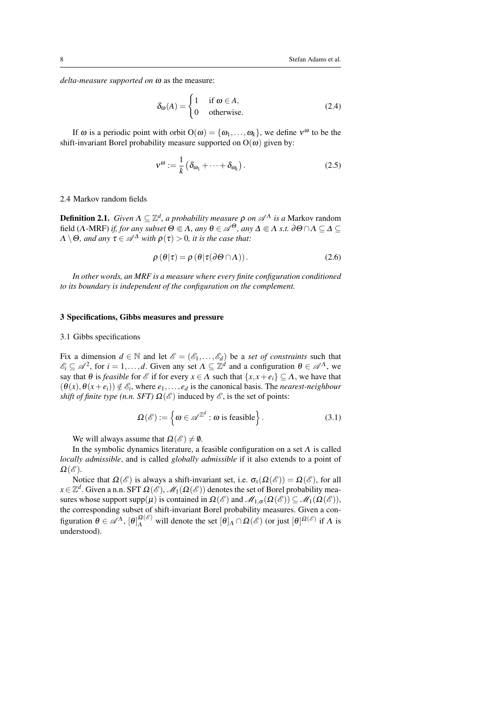*delta-measure supported on* ω as the measure:

$$
\delta_{\omega}(A) = \begin{cases} 1 & \text{if } \omega \in A, \\ 0 & \text{otherwise.} \end{cases}
$$
 (2.4)

If  $\omega$  is a periodic point with orbit  $O(\omega) = {\omega_1, \dots, \omega_k}$ , we define  $v^{\omega}$  to be the shift-invariant Borel probability measure supported on  $O(\omega)$  given by:

$$
v^{\omega} := \frac{1}{k} \left( \delta_{\omega_1} + \dots + \delta_{\omega_k} \right). \tag{2.5}
$$

#### <span id="page-7-0"></span>2.4 Markov random fields

**Definition 2.1.** *Given*  $Λ ⊆ \mathbb{Z}^d$ *, a probability measure*  $ρ$  *on*  $\mathscr{A}^Λ$  *is a* Markov random field ( $\Lambda$ -MRF) *if, for any subset*  $\Theta \subseteq \Lambda$ , any  $\theta \in \mathscr{A}^{\Theta}$ , any  $\Delta \subseteq \Lambda$  *s.t.* ∂ $\Theta \cap \Lambda \subseteq \Delta \subseteq$  $\Lambda \setminus \Theta$ , and any  $\tau \in \mathscr{A}^{\Delta}$  *with*  $\rho(\tau) > 0$ , *it is the case that:* 

$$
\rho(\theta|\tau) = \rho(\theta|\tau(\partial\Theta \cap \Lambda)). \tag{2.6}
$$

*In other words, an MRF is a measure where every finite configuration conditioned to its boundary is independent of the configuration on the complement.*

#### <span id="page-7-1"></span>3 Specifications, Gibbs measures and pressure

#### <span id="page-7-2"></span>3.1 Gibbs specifications

Fix a dimension  $d \in \mathbb{N}$  and let  $\mathscr{E} = (\mathscr{E}_1, \dots, \mathscr{E}_d)$  be a *set of constraints* such that  $\mathscr{E}_i \subseteq \mathscr{A}^2$ , for  $i = 1, ..., d$ . Given any set  $\Lambda \subseteq \mathbb{Z}^d$  and a configuration  $\theta \in \mathscr{A}^{\Lambda}$ , we say that  $\theta$  is *feasible* for  $\mathcal{E}$  if for every  $x \in \Lambda$  such that  $\{x, x + e_i\} \subseteq \Lambda$ , we have that  $(\theta(x), \theta(x+e_i)) \notin \mathcal{E}_i$ , where  $e_1, \ldots, e_d$  is the canonical basis. The *nearest-neighbour shift of finite type (n.n. SFT)*  $\Omega(\mathscr{E})$  induced by  $\mathscr{E}$ , is the set of points:

$$
\Omega(\mathscr{E}) := \left\{ \boldsymbol{\omega} \in \mathscr{A}^{\mathbb{Z}^d} : \boldsymbol{\omega} \text{ is feasible} \right\}. \tag{3.1}
$$

We will always assume that  $\Omega(\mathscr{E}) \neq \emptyset$ .

In the symbolic dynamics literature, a feasible configuration on a set  $\Lambda$  is called *locally admissible*, and is called *globally admissible* if it also extends to a point of  $\Omega(\mathscr{E}).$ 

Notice that  $\Omega(\mathscr{E})$  is always a shift-invariant set, i.e.  $\sigma_{\mathfrak{X}}(\Omega(\mathscr{E})) = \Omega(\mathscr{E})$ , for all  $x\!\in\!\mathbb{Z}^d.$  Given a n.n. SFT  $\Omega(\mathscr{E}),$   $\mathscr{M}_1(\Omega(\mathscr{E}))$  denotes the set of Borel probability measures whose support supp $(\mu)$  is contained in  $\Omega(\mathscr{E})$  and  $\mathscr{M}_{1,\sigma}(\Omega(\mathscr{E})) \subseteq \mathscr{M}_1(\Omega(\mathscr{E}))$ , the corresponding subset of shift-invariant Borel probability measures. Given a configuration  $\theta \in \mathscr{A}^{\Lambda}$ ,  $[\theta]_{\Lambda}^{\Omega(\mathscr{E})}$  will denote the set  $[\theta]_{\Lambda} \cap \Omega(\mathscr{E})$  (or just  $[\theta]^{\Omega(\mathscr{E})}$  if  $\Lambda$  is understood).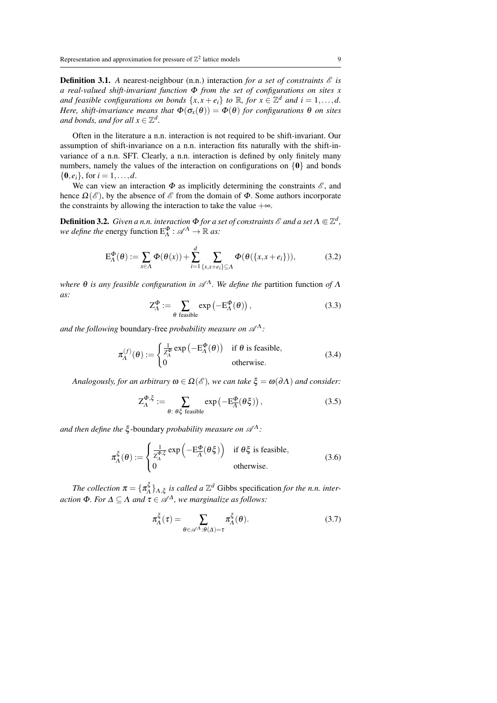**Definition 3.1.** A nearest-neighbour (n.n.) interaction *for a set of constraints*  $\mathcal{E}$  *is a real-valued shift-invariant function* Φ *from the set of configurations on sites x and feasible configurations on bonds*  $\{x, x + e_i\}$  *to*  $\mathbb{R}$ *, for*  $x \in \mathbb{Z}^d$  *and*  $i = 1, ..., d$ *. Here, shift-invariance means that*  $\Phi(\sigma_x(\theta)) = \Phi(\theta)$  *for configurations*  $\theta$  *on sites* and bonds, and for all  $x \in \mathbb{Z}^d$ .

Often in the literature a n.n. interaction is not required to be shift-invariant. Our assumption of shift-invariance on a n.n. interaction fits naturally with the shift-invariance of a n.n. SFT. Clearly, a n.n. interaction is defined by only finitely many numbers, namely the values of the interaction on configurations on  $\{0\}$  and bonds  $\{0, e_i\}$ , for  $i = 1, ..., d$ .

We can view an interaction  $\Phi$  as implicitly determining the constraints  $\mathscr{E}$ , and hence  $\Omega(\mathscr{E})$ , by the absence of  $\mathscr{E}$  from the domain of  $\Phi$ . Some authors incorporate the constraints by allowing the interaction to take the value  $+\infty$ .

**Definition 3.2.** Given a n.n. interaction  $\Phi$  *for a set of constraints*  $\mathscr E$  *and a set*  $\Lambda \Subset \mathbb Z^d$ , *we define the energy function*  $E_A^{\Phi}$  :  $\mathscr{A}^{\Lambda} \to \mathbb{R}$  *as:* 

$$
E_{\Lambda}^{\Phi}(\theta) := \sum_{x \in \Lambda} \Phi(\theta(x)) + \sum_{i=1}^{d} \sum_{\{x, x + e_i\} \subseteq \Lambda} \Phi(\theta(\{x, x + e_i\})),
$$
(3.2)

*where θ is any feasible configuration in*  $\mathcal{A}^{\Lambda}$ *. We define the* partition function *of*  $\Lambda$ *as:*

$$
Z_{\Lambda}^{\Phi} := \sum_{\theta \text{ feasible}} \exp\left(-E_{\Lambda}^{\Phi}(\theta)\right),\tag{3.3}
$$

*and the following* boundary-free *probability measure on*  $\mathscr{A}^{\Lambda}$ :

$$
\pi_{\Lambda}^{(f)}(\theta) := \begin{cases} \frac{1}{Z_{\Lambda}^{\Phi}} \exp\left(-\mathcal{E}_{\Lambda}^{\Phi}(\theta)\right) & \text{if } \theta \text{ is feasible}, \\ 0 & \text{otherwise.} \end{cases}
$$
(3.4)

*Analogously, for an arbitrary*  $\omega \in \Omega(\mathscr{E})$ *, we can take*  $\xi = \omega(\partial \Lambda)$  *and consider:* 

$$
Z_{\Lambda}^{\Phi,\xi} := \sum_{\theta:\ \theta\xi \text{ feasible}} \exp\left(-E_{\overline{\Lambda}}^{\Phi}(\theta\xi)\right),\tag{3.5}
$$

*and then define the*  $\xi$ -boundary *probability measure on*  $\mathscr{A}^{\Lambda}$ :

$$
\pi_{\Lambda}^{\xi}(\theta) := \begin{cases} \frac{1}{Z_{\Lambda}^{\Phi,\xi}} \exp\left(-E_{\overline{\Lambda}}^{\Phi}(\theta \xi)\right) & \text{if } \theta \xi \text{ is feasible}, \\ 0 & \text{otherwise.} \end{cases}
$$
(3.6)

*The collection*  $\pi = \{\pi_A^{\xi}, \pi_A^{\xi}\}$  $\{\xi_A^{\xi}\}_{A,\xi}$  *is called a*  $\mathbb{Z}^d$  Gibbs specification *for the n.n. interaction*  $\Phi$ *. For*  $\Delta \subseteq \Lambda$  *and*  $\tau \in \mathscr{A}^{\Delta}$ *, we marginalize as follows:* 

$$
\pi_{\Lambda}^{\xi}(\tau) = \sum_{\theta \in \mathscr{A}^{\Lambda} : \theta(\Delta) = \tau} \pi_{\Lambda}^{\xi}(\theta). \tag{3.7}
$$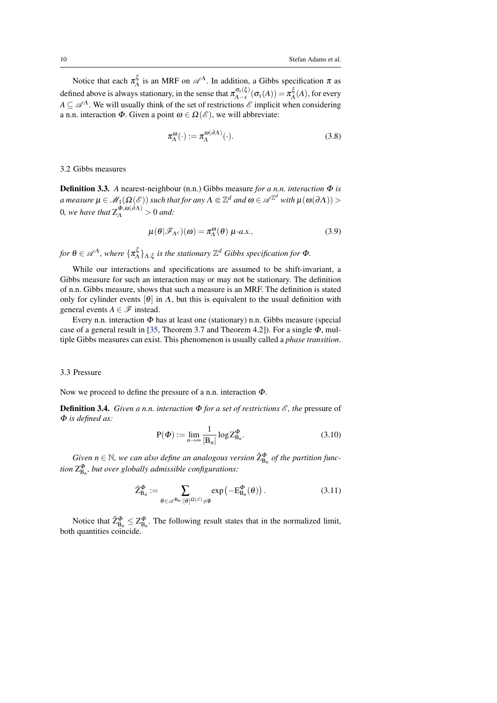<span id="page-9-2"></span>Notice that each  $\pi_A^{\xi}$  $\mathcal{A}^{\varsigma}$  is an MRF on  $\mathcal{A}^{\Lambda}$ . In addition, a Gibbs specification  $\pi$  as defined above is always stationary, in the sense that  $\pi_{\Lambda - x}^{\sigma_x(\xi)}$  $\frac{\sigma_x(\xi)}{\Lambda-x}(\sigma_x(A)) = \pi_A^{\xi}$  $\chi^{\mathsf{G}}_{\Lambda}(A)$ , for every  $A \subseteq \mathcal{A}^{\Lambda}$ . We will usually think of the set of restrictions  $\mathcal{E}$  implicit when considering a n.n. interaction  $\Phi$ . Given a point  $\omega \in \Omega(\mathscr{E})$ , we will abbreviate:

$$
\pi_{\Lambda}^{\omega}(\cdot) := \pi_{\Lambda}^{\omega(\partial \Lambda)}(\cdot). \tag{3.8}
$$

# <span id="page-9-0"></span>3.2 Gibbs measures

Definition 3.3. *A* nearest-neighbour (n.n.) Gibbs measure *for a n.n. interaction* Φ *is*  $a$  measure  $\mu\in \mathscr{M}_1(\Omega(\mathscr{E}))$  such that for any  $\Lambda\Subset \mathbb{Z}^d$  and  $\omega\in \mathscr{A}^{\mathbb{Z}^d}$  with  $\mu(\omega(\partial\Lambda))>$ 0, we have that  $Z_A^{\Phi, \omega(\partial A)} > 0$  and:

$$
\mu(\theta|\mathscr{F}_{\Lambda^c})(\omega) = \pi_\Lambda^{\omega}(\theta) \mu \text{-} a.s., \tag{3.9}
$$

*for*  $\theta \in \mathscr{A}^{\Lambda}$ *, where*  $\{\pi_{\Lambda}^{\xi}\}$  $\{A^{\xi}_{\Lambda}\}_{\Lambda,\xi}$  is the stationary  $\mathbb{Z}^{d}$  Gibbs specification for  $\Phi$ .

While our interactions and specifications are assumed to be shift-invariant, a Gibbs measure for such an interaction may or may not be stationary. The definition of n.n. Gibbs measure, shows that such a measure is an MRF. The definition is stated only for cylinder events  $[\theta]$  in  $\Lambda$ , but this is equivalent to the usual definition with general events  $A \in \mathscr{F}$  instead.

Every n.n. interaction  $\Phi$  has at least one (stationary) n.n. Gibbs measure (special case of a general result in [\[35,](#page-43-0) Theorem 3.7 and Theorem 4.2]). For a single  $\Phi$ , multiple Gibbs measures can exist. This phenomenon is usually called a *phase transition*.

## <span id="page-9-1"></span>3.3 Pressure

Now we proceed to define the pressure of a n.n. interaction Φ.

**Definition 3.4.** *Given a n.n. interaction*  $\Phi$  *for a set of restrictions*  $\mathscr{E}$ *, the* pressure of Φ *is defined as:*

$$
P(\Phi) := \lim_{n \to \infty} \frac{1}{|B_n|} \log Z_{B_n}^{\Phi}.
$$
 (3.10)

 $Given n \in \mathbb{N}$ , we can also define an analogous version  $\hat{\mathsf{Z}}_{\mathsf{B}_n}^{\Phi}$  of the partition func*tion*  $Z_{\text{B}_{n}}^{\Phi}$ , but over globally admissible configurations:

$$
\hat{Z}_{\mathsf{B}_n}^{\Phi} := \sum_{\theta \in \mathscr{A}^{\mathsf{B}_n}: [\theta]^{Q(\mathscr{E})} \neq \emptyset} \exp\left(-\mathsf{E}_{\mathsf{B}_n}^{\Phi}(\theta)\right). \tag{3.11}
$$

Notice that  $\hat{Z}_{B_n}^{\Phi} \leq Z_{B_n}^{\Phi}$ . The following result states that in the normalized limit, both quantities coincide.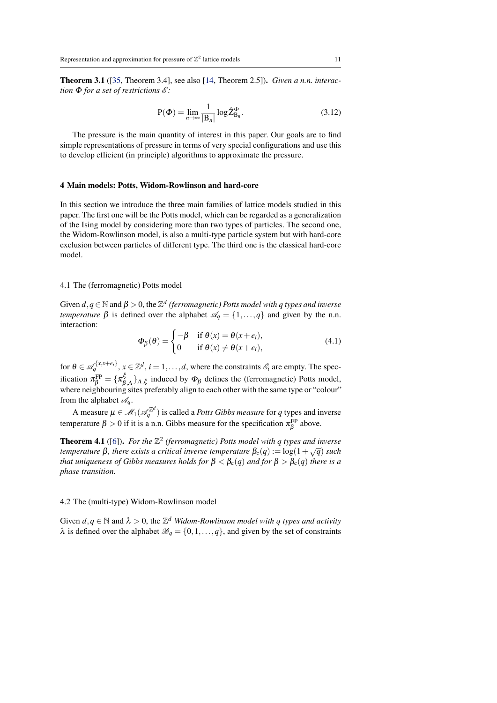<span id="page-10-4"></span><span id="page-10-3"></span>Theorem 3.1 ([\[35,](#page-43-0) Theorem 3.4], see also [\[14,](#page-41-5) Theorem 2.5]). *Given a n.n. interaction* Φ *for a set of restrictions* E *:*

$$
P(\Phi) = \lim_{n \to \infty} \frac{1}{|B_n|} \log \hat{Z}_{B_n}^{\Phi}.
$$
 (3.12)

The pressure is the main quantity of interest in this paper. Our goals are to find simple representations of pressure in terms of very special configurations and use this to develop efficient (in principle) algorithms to approximate the pressure.

#### <span id="page-10-0"></span>4 Main models: Potts, Widom-Rowlinson and hard-core

In this section we introduce the three main families of lattice models studied in this paper. The first one will be the Potts model, which can be regarded as a generalization of the Ising model by considering more than two types of particles. The second one, the Widom-Rowlinson model, is also a multi-type particle system but with hard-core exclusion between particles of different type. The third one is the classical hard-core model.

#### <span id="page-10-1"></span>4.1 The (ferromagnetic) Potts model

Given  $d, q \in \mathbb{N}$  and  $\beta > 0$ , the  $\mathbb{Z}^d$  (ferromagnetic) Potts model with q types and inverse *temperature*  $\beta$  is defined over the alphabet  $\mathcal{A}_q = \{1, \ldots, q\}$  and given by the n.n. interaction:

$$
\Phi_{\beta}(\theta) = \begin{cases}\n-\beta & \text{if } \theta(x) = \theta(x + e_i), \\
0 & \text{if } \theta(x) \neq \theta(x + e_i),\n\end{cases}
$$
\n(4.1)

for  $\theta \in \mathcal{A}_q^{\{x, x+e_i\}}$ ,  $x \in \mathbb{Z}^d$ ,  $i = 1, \ldots, d$ , where the constraints  $\mathcal{E}_i$  are empty. The specification  $\pi_{\beta}^{\text{FP}} = {\{\pi_{\beta,A}^{\xi}\}}_{A,\xi}$  induced by  $\Phi_{\beta}$  defines the (ferromagnetic) Potts model, where neighbouring sites preferably align to each other with the same type or "colour" from the alphabet  $\mathscr{A}_a$ .

A measure  $\mu \in \mathscr{M}_1(\mathscr{A}_q^{\mathbb{Z}^d})$  is called a *Potts Gibbs measure* for  $q$  types and inverse temperature  $\beta > 0$  if it is a n.n. Gibbs measure for the specification  $\pi_{\beta}^{\text{FP}}$  above.

**Theorem 4.1** ([\[6\]](#page-41-11)). For the  $\mathbb{Z}^2$  (ferromagnetic) Potts model with q types and inverse *temperature* β*, there exists a critical inverse temperature*  $β<sub>c</sub>(q) := log(1 + \sqrt{q})$  *such that uniqueness of Gibbs measures holds for*  $\beta < \beta_c(q)$  *and for*  $\beta > \beta_c(q)$  *there is a phase transition.*

#### <span id="page-10-2"></span>4.2 The (multi-type) Widom-Rowlinson model

Given  $d, q \in \mathbb{N}$  and  $\lambda > 0$ , the  $\mathbb{Z}^d$  *Widom-Rowlinson model with q types and activity*  $\lambda$  is defined over the alphabet  $\mathscr{B}_q = \{0, 1, \ldots, q\}$ , and given by the set of constraints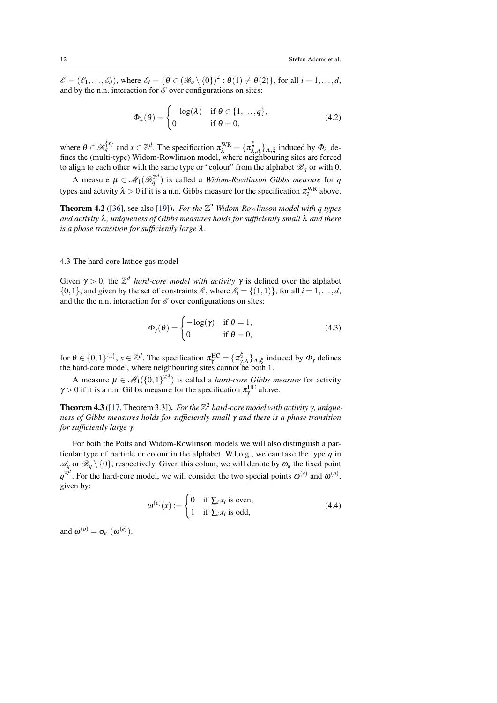<span id="page-11-1"></span> $\mathscr{E} = (\mathscr{E}_1, \ldots, \mathscr{E}_d)$ , where  $\mathscr{E}_i = \{ \theta \in (\mathscr{B}_q \setminus \{0\})^2 : \theta(1) \neq \theta(2) \}$ , for all  $i = 1, \ldots, d$ , and by the n.n. interaction for  $\mathscr E$  over configurations on sites:

$$
\Phi_{\lambda}(\theta) = \begin{cases}\n-\log(\lambda) & \text{if } \theta \in \{1, ..., q\}, \\
0 & \text{if } \theta = 0,\n\end{cases}
$$
\n(4.2)

where  $\theta \in \mathcal{B}_q^{\{x\}}$  and  $x \in \mathbb{Z}^d$ . The specification  $\pi_\lambda^{WR} = {\{\pi_{\lambda,A}^{\xi}\}}_{A,\xi}$  induced by  $\Phi_\lambda$  defines the (multi-type) Widom-Rowlinson model, where neighbouring sites are forced to align to each other with the same type or "colour" from the alphabet  $\mathcal{B}_q$  or with 0.

A measure  $\mu \in \mathcal{M}_1(\mathcal{B}_q^{\mathbb{Z}^d})$  is called a *Widom-Rowlinson Gibbs measure* for *q* types and activity  $\lambda > 0$  if it is a n.n. Gibbs measure for the specification  $\pi_\lambda^{WR}$  above.

**Theorem 4.2** ([\[36\]](#page-43-4), see also [\[19\]](#page-42-5)). *For the*  $\mathbb{Z}^2$  *Widom-Rowlinson model with q types and activity* λ*, uniqueness of Gibbs measures holds for sufficiently small* λ *and there is a phase transition for sufficiently large* λ*.*

# <span id="page-11-0"></span>4.3 The hard-core lattice gas model

Given  $\gamma > 0$ , the  $\mathbb{Z}^d$  *hard-core model with activity*  $\gamma$  is defined over the alphabet  $\{0,1\}$ , and given by the set of constraints  $\mathscr{E}$ , where  $\mathscr{E}_i = \{(1,1)\}\$ , for all  $i = 1, \ldots, d$ , and the the n.n. interaction for  $\mathscr E$  over configurations on sites:

$$
\Phi_{\gamma}(\theta) = \begin{cases}\n-\log(\gamma) & \text{if } \theta = 1, \\
0 & \text{if } \theta = 0,\n\end{cases}
$$
\n(4.3)

for  $\theta \in \{0,1\}^{\{x\}}$ ,  $x \in \mathbb{Z}^d$ . The specification  $\pi_\gamma^{\text{HC}} = {\{\pi_{\gamma,A}^{\xi}\}}_{\Lambda,\xi}$  induced by  $\Phi_\gamma$  defines the hard-core model, where neighbouring sites cannot be both 1.

A measure  $\mu \in \mathcal{M}_1(\{0,1\}^{\mathbb{Z}^d})$  is called a *hard-core Gibbs measure* for activity  $\gamma > 0$  if it is a n.n. Gibbs measure for the specification  $\pi_{\gamma}^{\text{HC}}$  above.

**Theorem 4.3** ([\[17,](#page-41-12) Theorem 3.3]). *For the*  $\mathbb{Z}^2$  *hard-core model with activity*  $\gamma$ *, uniqueness of Gibbs measures holds for sufficiently small* γ *and there is a phase transition for sufficiently large* γ*.*

For both the Potts and Widom-Rowlinson models we will also distinguish a particular type of particle or colour in the alphabet. W.l.o.g., we can take the type *q* in  $\mathscr{A}_q$  or  $\mathscr{B}_q \setminus \{0\}$ , respectively. Given this colour, we will denote by  $\omega_q$  the fixed point  $q^{\mathbb{Z}^d}$ . For the hard-core model, we will consider the two special points  $\omega^{(e)}$  and  $\omega^{(o)}$ , given by:

$$
\omega^{(e)}(x) := \begin{cases} 0 & \text{if } \sum_i x_i \text{ is even,} \\ 1 & \text{if } \sum_i x_i \text{ is odd,} \end{cases}
$$
(4.4)

and  $\boldsymbol{\omega}^{(o)} = \sigma_{e_1}(\boldsymbol{\omega}^{(e)})$ .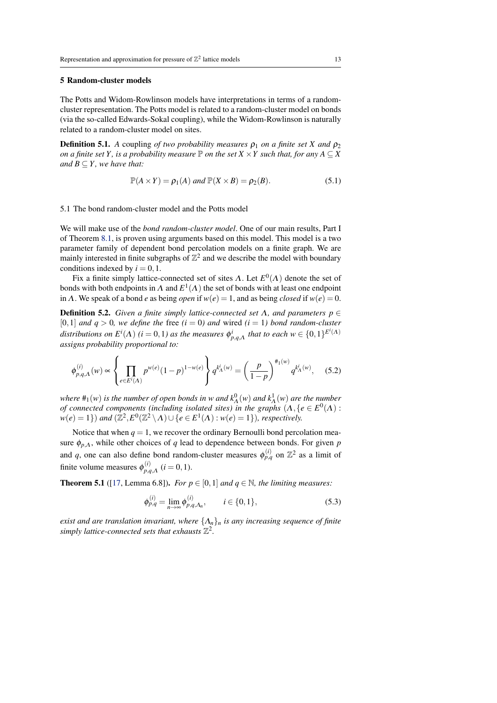## <span id="page-12-3"></span><span id="page-12-0"></span>5 Random-cluster models

The Potts and Widom-Rowlinson models have interpretations in terms of a randomcluster representation. The Potts model is related to a random-cluster model on bonds (via the so-called Edwards-Sokal coupling), while the Widom-Rowlinson is naturally related to a random-cluster model on sites.

**Definition 5.1.** *A* coupling *of two probability measures*  $\rho_1$  *on a finite set X and*  $\rho_2$ *on a finite set Y, is a probability measure*  $\mathbb P$  *on the set X*  $\times$  *Y such that, for any*  $A \subseteq X$ *and*  $B \subseteq Y$ *, we have that:* 

$$
\mathbb{P}(A \times Y) = \rho_1(A) \text{ and } \mathbb{P}(X \times B) = \rho_2(B). \tag{5.1}
$$

#### <span id="page-12-1"></span>5.1 The bond random-cluster model and the Potts model

We will make use of the *bond random-cluster model*. One of our main results, Part I of Theorem [8.1,](#page-28-2) is proven using arguments based on this model. This model is a two parameter family of dependent bond percolation models on a finite graph. We are mainly interested in finite subgraphs of  $\mathbb{Z}^2$  and we describe the model with boundary conditions indexed by  $i = 0, 1$ .

Fix a finite simply lattice-connected set of sites  $\Lambda$ . Let  $E^0(\Lambda)$  denote the set of bonds with both endpoints in  $\Lambda$  and  $E^1(\Lambda)$  the set of bonds with at least one endpoint in Λ. We speak of a bond *e* as being *open* if  $w(e) = 1$ , and as being *closed* if  $w(e) = 0$ .

**Definition 5.2.** *Given a finite simply lattice-connected set*  $\Lambda$ *, and parameters p*  $\in$  $[0,1]$  *and*  $q > 0$ *, we define the free*  $(i = 0)$  *and wired*  $(i = 1)$  *bond random-cluster distributions on*  $E^{i}(\Lambda)$  (*i* = 0,1) as the measures  $\phi_{p,q,\Lambda}^{i}$  that to each  $w \in \{0,1\}^{E^{i}(\Lambda)}$ *assigns probability proportional to:*

$$
\phi_{p,q,\Lambda}^{(i)}(w) \propto \left\{ \prod_{e \in E^i(\Lambda)} p^{w(e)} (1-p)^{1-w(e)} \right\} q^{k^i(\Lambda(w))} = \left(\frac{p}{1-p}\right)^{\#_1(w)} q^{k^i(\Lambda(w))}, \quad (5.2)
$$

*where*  $#_1(w)$  *is the number of open bonds in w and*  $k^0_\Lambda(w)$  *and*  $k^1_\Lambda(w)$  *are the number of connected components (including isolated sites) in the graphs*  $(A, \{e \in E^0(\Lambda) :$  $w(e) = 1$ ) *and*  $(\mathbb{Z}^2, E^0(\mathbb{Z}^2 \setminus \Lambda) \cup \{e \in E^1(\Lambda) : w(e) = 1\})$ *, respectively.* 

Notice that when  $q = 1$ , we recover the ordinary Bernoulli bond percolation measure  $\phi_{p,\Lambda}$ , while other choices of *q* lead to dependence between bonds. For given *p* and *q*, one can also define bond random-cluster measures  $\phi_{p,q}^{(i)}$  on  $\mathbb{Z}^2$  as a limit of finite volume measures  $\phi_{p,q}^{(i)}$  $_{p,q,\Lambda}^{(i)}$  (*i* = 0, 1).

**Theorem 5.1** ([\[17,](#page-41-12) Lemma 6.8]). *For*  $p \in [0,1]$  *and*  $q \in \mathbb{N}$ *, the limiting measures:* 

<span id="page-12-2"></span>
$$
\phi_{p,q}^{(i)} = \lim_{n \to \infty} \phi_{p,q,\Lambda_n}^{(i)}, \qquad i \in \{0,1\},\tag{5.3}
$$

*exist and are translation invariant, where*  $\{\Lambda_n\}_n$  *is any increasing sequence of finite* simply lattice-connected sets that exhausts  $\mathbb{Z}^2$ .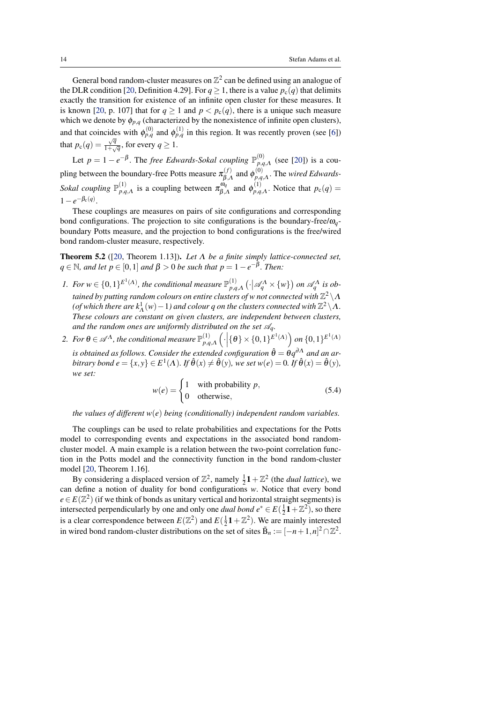<span id="page-13-1"></span>General bond random-cluster measures on  $\mathbb{Z}^2$  can be defined using an analogue of the DLR condition [\[20,](#page-42-6) Definition 4.29]. For  $q \ge 1$ , there is a value  $p_c(q)$  that delimits exactly the transition for existence of an infinite open cluster for these measures. It is known [\[20,](#page-42-6) p. 107] that for  $q \ge 1$  and  $p < p_c(q)$ , there is a unique such measure which we denote by  $\phi_{p,q}$  (characterized by the nonexistence of infinite open clusters), and that coincides with  $\phi_{p,q}^{(0)}$  and  $\phi_{p,q}^{(1)}$  in this region. It was recently proven (see [\[6\]](#page-41-11)) that  $p_c(q) = \frac{\sqrt{q}}{1 + \sqrt{q}}$  $\frac{\sqrt{q}}{1+\sqrt{q}}$ , for every  $q \ge 1$ .

Let  $p = 1 - e^{-\beta}$ . The *free Edwards-Sokal coupling*  $\mathbb{P}_{p,q}^{(0)}$  $_{p,q,\Lambda}^{(0)}$  (see [\[20\]](#page-42-6)) is a coupling between the boundary-free Potts measure  $\pi_{\beta}^{(f)}$  $\varphi_{\beta,\Lambda}^{(f)}$  and  $\phi_{p,q}^{(0)}$ *p*,*q*,Λ . The *wired Edwards-Sokal coupling*  $\mathbb{P}_{n,q}^{(1)}$  $\sum_{p,q,A}^{(1)}$  is a coupling between  $\pi_{\beta,\alpha}^{\omega_q}$  $\zeta_{\beta,\Lambda}^{\omega_q}$  and  $\phi_{p,q}^{(1)}$  $p_{q,A}^{(1)}$ . Notice that  $p_c(q) =$  $1-e^{-\beta_c(q)}$ .

These couplings are measures on pairs of site configurations and corresponding bond configurations. The projection to site configurations is the boundary-free/ω*q*boundary Potts measure, and the projection to bond configurations is the free/wired bond random-cluster measure, respectively.

<span id="page-13-0"></span>Theorem 5.2 ([\[20,](#page-42-6) Theorem 1.13]). *Let* Λ *be a finite simply lattice-connected set,*  $q \in \mathbb{N}$ *, and let*  $p \in [0,1]$  *and*  $\beta > 0$  *be such that*  $p = 1 - e^{-\beta}$ *. Then:* 

- *1.* For  $w \in \{0,1\}^{E^1(A)}$ , the conditional measure  $\mathbb{P}_{p,q}^{(1)}$  $\left(\frac{1}{p,q,\Lambda}\left(\cdot\big|\mathscr{A}_q^{\Lambda}\times\{w\}\right)$  on  $\mathscr{A}_q^{\Lambda}$  is obtained by putting random colours on entire clusters of w not connected with  $\mathbb{Z}^2\backslash \Lambda$ (of which there are  $k^1_\Lambda(w)-1$ ) and colour q on the clusters connected with  $\mathbb{Z}^2\backslash\Lambda.$ *These colours are constant on given clusters, are independent between clusters,* and the random ones are uniformly distributed on the set  $\mathcal{A}_q$ .
- 2. For  $\theta \in \mathscr{A}^{\Lambda}$ , the conditional measure  $\mathbb{P}^{(1)}_{n,q}$  $\left( \cdot \right)_{p,q,\Lambda} \left( \cdot \middle| \{ \theta \} \times \{0,1\}^{E^1(\Lambda)} \right)$  on  $\{0,1\}^{E^1(\Lambda)}$

is obtained as follows. Consider the extended configuration  $\hat{\theta} = \theta q^{\partial \Lambda}$  and an ar $b$ *itrary bond*  $e = \{x, y\} \in E^1(\Lambda)$ *. If*  $\hat{\theta}(x) \neq \hat{\theta}(y)$ *, we set*  $w(e) = 0$ *. If*  $\hat{\theta}(x) = \hat{\theta}(y)$ *, we set:*

$$
w(e) = \begin{cases} 1 & \text{with probability } p, \\ 0 & \text{otherwise,} \end{cases}
$$
 (5.4)

*the values of different w*(*e*) *being (conditionally) independent random variables.*

The couplings can be used to relate probabilities and expectations for the Potts model to corresponding events and expectations in the associated bond randomcluster model. A main example is a relation between the two-point correlation function in the Potts model and the connectivity function in the bond random-cluster model [\[20,](#page-42-6) Theorem 1.16].

By considering a displaced version of  $\mathbb{Z}^2$ , namely  $\frac{1}{2}\mathbf{1} + \mathbb{Z}^2$  (the *dual lattice*), we can define a notion of duality for bond configurations *w*. Notice that every bond  $e \in E(\mathbb{Z}^2)$  (if we think of bonds as unitary vertical and horizontal straight segments) is intersected perpendicularly by one and only one *dual bond*  $e^* \in E(\frac{1}{2}\mathbf{1} + \mathbb{Z}^2)$ , so there is a clear correspondence between  $E(\mathbb{Z}^2)$  and  $E(\frac{1}{2}\mathbf{1} + \mathbb{Z}^2)$ . We are mainly interested in wired bond random-cluster distributions on the set of sites  $\tilde{B}_n := [-n+1, n]^2 \cap \mathbb{Z}^2$ .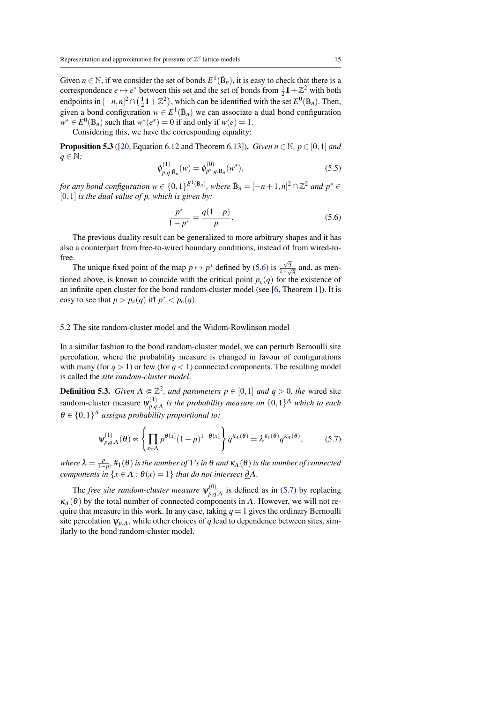<span id="page-14-4"></span>Given  $n \in \mathbb{N}$ , if we consider the set of bonds  $E^1(\tilde{B}_n)$ , it is easy to check that there is a correspondence  $e \mapsto e^*$  between this set and the set of bonds from  $\frac{1}{2}1 + \mathbb{Z}^2$  with both endpoints in  $[-n, n]^2 \cap (\frac{1}{2}\mathbf{1} + \mathbb{Z}^2)$ , which can be identified with the set  $E^0(\mathbf{B}_n)$ . Then, given a bond configuration  $w \in E^1(\tilde{B}_n)$  we can associate a dual bond configuration  $w^* \in E^0(\mathbf{B}_n)$  such that  $w^*(e^*) = 0$  if and only if  $w(e) = 1$ .

Considering this, we have the corresponding equality:

<span id="page-14-3"></span>**Proposition 5.3** ([\[20,](#page-42-6) Equation 6.12 and Theorem 6.13]). *Given*  $n \in \mathbb{N}$ ,  $p \in [0,1]$  *and q* ∈ N*:*

$$
\phi_{p,q,\tilde{\mathbf{B}}_n}^{(1)}(w) = \phi_{p^*,q,\mathbf{B}_n}^{(0)}(w^*),
$$
\n(5.5)

*for any bond configuration*  $w \in \{0,1\}^{E^1(\tilde{B}_n)}$ , where  $\tilde{B}_n = [-n+1,n]^2 \cap \mathbb{Z}^2$  and  $p^* \in$ [0,1] *is the dual value of p, which is given by:*

<span id="page-14-1"></span>
$$
\frac{p^*}{1-p^*} = \frac{q(1-p)}{p}.\tag{5.6}
$$

The previous duality result can be generalized to more arbitrary shapes and it has also a counterpart from free-to-wired boundary conditions, instead of from wired-tofree.

The unique fixed point of the map  $p \mapsto p^*$  defined by [\(5.6\)](#page-14-1) is  $\frac{\sqrt{q}}{1+q}$  $\frac{\sqrt{q}}{1+\sqrt{q}}$  and, as mentioned above, is known to coincide with the critical point  $p_c(q)$  for the existence of an infinite open cluster for the bond random-cluster model (see [\[6,](#page-41-11) Theorem 1]). It is easy to see that  $p > p_c(q)$  iff  $p^* < p_c(q)$ .

#### <span id="page-14-0"></span>5.2 The site random-cluster model and the Widom-Rowlinson model

In a similar fashion to the bond random-cluster model, we can perturb Bernoulli site percolation, where the probability measure is changed in favour of configurations with many (for  $q > 1$ ) or few (for  $q < 1$ ) connected components. The resulting model is called the *site random-cluster model*.

**Definition 5.3.** *Given*  $\Lambda \in \mathbb{Z}^2$ *, and parameters*  $p \in [0,1]$  *and*  $q > 0$ *, the* wired site random-cluster measure  $\psi_{n,q}^{(1)}$  $\chi_{p,q,\Lambda}^{(1)}$  is the probability measure on  $\{0,1\}^{\Lambda}$  which to each  $\theta \in \{0,1\}^{\Lambda}$  assigns probability proportional to:

<span id="page-14-2"></span>
$$
\psi_{p,q,\Lambda}^{(1)}(\theta) \propto \left\{ \prod_{x \in \Lambda} p^{\theta(x)} (1-p)^{1-\theta(x)} \right\} q^{\kappa_{\Lambda}(\theta)} = \lambda^{\#_1(\theta)} q^{\kappa_{\Lambda}(\theta)}, \tag{5.7}
$$

*where*  $\lambda = \frac{p}{1-p}$ ,  $\#_1(\theta)$  *is the number of* 1*'s in*  $\theta$  *and*  $\kappa_A(\theta)$  *is the number of connected components in*  $\{x \in \Lambda : \theta(x) = 1\}$  *that do not intersect*  $\underline{\partial}\Lambda$ *.* 

The *free site random-cluster measure*  $\psi_{p,q}^{(0)}$  $p_{p,q,A}^{(0)}$  is defined as in [\(5.7\)](#page-14-2) by replacing  $\kappa_A(\theta)$  by the total number of connected components in  $\Lambda$ . However, we will not require that measure in this work. In any case, taking  $q = 1$  gives the ordinary Bernoulli site percolation  $\psi_{p,\Lambda}$ , while other choices of *q* lead to dependence between sites, similarly to the bond random-cluster model.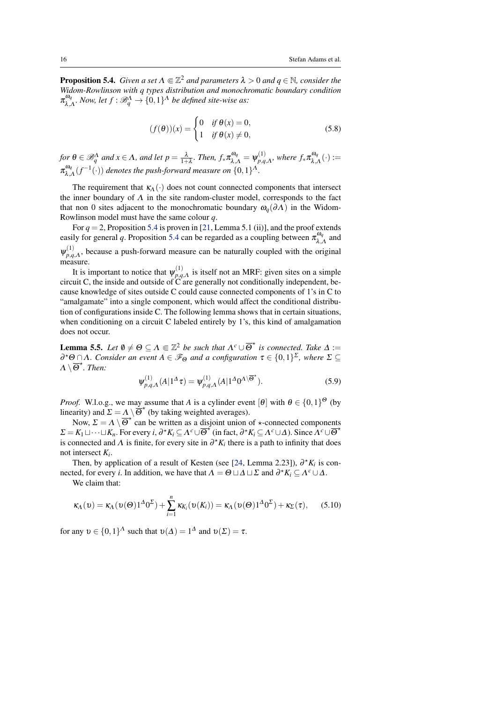<span id="page-15-3"></span><span id="page-15-1"></span>**Proposition 5.4.** *Given a set*  $\Lambda \subseteq \mathbb{Z}^2$  *and parameters*  $\lambda > 0$  *and*  $q \in \mathbb{N}$ *, consider the Widom-Rowlinson with q types distribution and monochromatic boundary condition*  $\pi_\lambda^{\omega_q}$  $\lim_{\lambda,\Lambda} N$ ow, let  $f : \mathscr{B}_q^{\Lambda} \to \{0,1\}^{\Lambda}$  be defined site-wise as:

$$
(f(\theta))(x) = \begin{cases} 0 & \text{if } \theta(x) = 0, \\ 1 & \text{if } \theta(x) \neq 0, \end{cases}
$$
 (5.8)

for  $\theta \in \mathscr{B}_q^{\Lambda}$  and  $x \in \Lambda$ , and let  $p = \frac{\lambda}{1+\lambda}$ . Then,  $f_*\pi_{\lambda,\Lambda}^{\omega_q} = \psi_{p,q}^{(1)}$  $_{p,q,\Lambda}^{(1)},$  where  $f_*\pi_{\lambda,\mu}^{\omega_q}$  $\mathcal{L}_{\lambda,\Lambda}^{\omega_q}(\cdot) :=$  $\pi_\lambda^{\omega_q}$  $\int_{\lambda,A}^{\omega_q} (f^{-1}(\cdot))$  denotes the push-forward measure on  $\{0,1\}^A$ .

The requirement that  $\kappa_A(\cdot)$  does not count connected components that intersect the inner boundary of  $\Lambda$  in the site random-cluster model, corresponds to the fact that non 0 sites adjacent to the monochromatic boundary  $\omega_q(\partial\Lambda)$  in the Widom-Rowlinson model must have the same colour *q*.

For  $q = 2$ , Proposition [5.4](#page-15-1) is proven in [\[21,](#page-42-7) Lemma 5.1 (ii)], and the proof extends easily for general q. Proposition [5.4](#page-15-1) can be regarded as a coupling between  $\pi_{\lambda}^{\omega_q}$  $\int_{\lambda,\Lambda}^{\omega_q}$  and  $\psi_{p,q}^{(1)}$  $p_{p,q,A}^{(1)}$ , because a push-forward measure can be naturally coupled with the original measure.

It is important to notice that  $\psi_{p,q}^{(1)}$  $p_1 q$ ,A is itself not an MRF: given sites on a simple circuit C, the inside and outside of C are generally not conditionally independent, because knowledge of sites outside C could cause connected components of 1's in C to "amalgamate" into a single component, which would affect the conditional distribution of configurations inside C. The following lemma shows that in certain situations, when conditioning on a circuit C labeled entirely by 1's, this kind of amalgamation does not occur.

<span id="page-15-0"></span>**Lemma 5.5.** Let  $\emptyset \neq \Theta \subseteq \Lambda \subseteq \mathbb{Z}^2$  be such that  $\Lambda^c \cup \overline{\Theta}^{\star}$  is connected. Take  $\Delta :=$  $\partial^{\star}$ Θ∩Λ*. Consider an event*  $A \in \mathscr{F}_{\Theta}$  *and a configuration*  $\tau \in \{0,1\}^{\Sigma}$ , where  $\Sigma \subseteq$  $\Lambda \setminus \overline{\Theta}^{\star}$ *. Then:* 

$$
\psi_{p,q,\Lambda}^{(1)}(A|1^{\Delta}\tau) = \psi_{p,q,\Lambda}^{(1)}(A|1^{\Delta}0^{\Lambda\setminus\overline{\Theta}^{\star}}).
$$
 (5.9)

*Proof.* W.l.o.g., we may assume that *A* is a cylinder event  $[\theta]$  with  $\theta \in \{0,1\}^{\Theta}$  (by linearity) and  $\Sigma = \Lambda \setminus \overline{\Theta}^{\star}$  (by taking weighted averages).

Now,  $\Sigma = \Lambda \setminus \overline{\Theta}^{\star}$  can be written as a disjoint union of  $\star$ -connected components  $\Sigma = K_1 \sqcup \cdots \sqcup K_n$ . For every *i*,  $\partial^* K_i \subseteq \Lambda^c \cup \overline{\Theta}^{\star}$  (in fact,  $\partial^* K_i \subseteq \Lambda^c \cup \Delta$ ). Since  $\Lambda^c \cup \overline{\Theta}^{\star}$ is connected and  $\Lambda$  is finite, for every site in  $\partial^* K_i$  there is a path to infinity that does not intersect *K<sup>i</sup>* .

Then, by application of a result of Kesten (see [\[24,](#page-42-8) Lemma 2.23]),  $\partial^* K_i$  is connected, for every *i*. In addition, we have that  $\Lambda = \Theta \sqcup \Delta \sqcup \Sigma$  and  $\partial^* K_i \subseteq \Lambda^c \cup \Delta$ .

We claim that:

<span id="page-15-2"></span>
$$
\kappa_{\Lambda}(\nu) = \kappa_{\Lambda}(\nu(\Theta)1^{\Delta}0^{\Sigma}) + \sum_{i=1}^{n} \kappa_{K_i}(\nu(K_i)) = \kappa_{\Lambda}(\nu(\Theta)1^{\Delta}0^{\Sigma}) + \kappa_{\Sigma}(\tau), \quad (5.10)
$$

for any  $v \in \{0,1\}^{\Lambda}$  such that  $v(\Delta) = 1^{\Delta}$  and  $v(\Sigma) = \tau$ .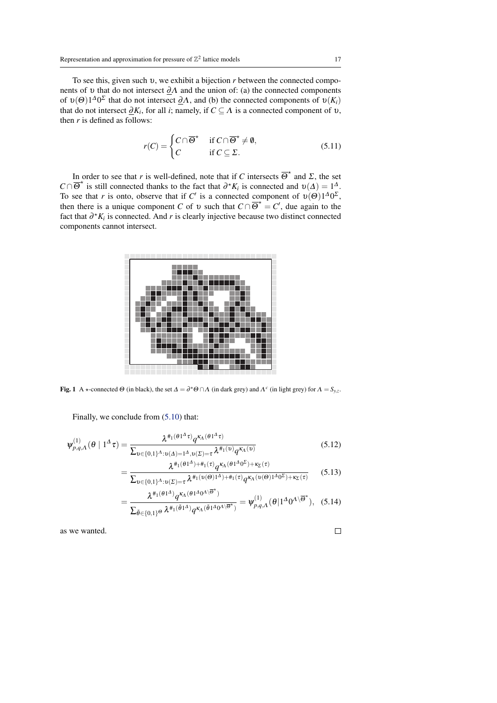To see this, given such υ, we exhibit a bijection *r* between the connected components of v that do not intersect  $\partial \Lambda$  and the union of: (a) the connected components of  $v(\Theta)1^{\Delta}0^{\Sigma}$  that do not intersect  $\underline{\partial}\Lambda$ , and (b) the connected components of  $v(K_i)$ that do not intersect  $\underline{\partial}K_i$ , for all *i*; namely, if  $C \subseteq \Lambda$  is a connected component of  $v$ , then  $r$  is defined as follows:

$$
r(C) = \begin{cases} C \cap \overline{\Theta}^{\star} & \text{if } C \cap \overline{\Theta}^{\star} \neq \emptyset, \\ C & \text{if } C \subseteq \Sigma. \end{cases}
$$
 (5.11)

In order to see that *r* is well-defined, note that if *C* intersects  $\overline{\Theta}^*$  and *Σ*, the set  $C \cap \overline{\Theta}^{\star}$  is still connected thanks to the fact that  $\partial^{\star} K_i$  is connected and  $\nu(\Delta) = 1^{\Delta}$ . To see that *r* is onto, observe that if *C'* is a connected component of  $v(\Theta)1^{\Delta}0^{\Sigma}$ , then there is a unique component *C* of v such that  $C \cap \overline{\Theta}^* = C'$ , due again to the fact that  $\partial^* K_i$  is connected. And *r* is clearly injective because two distinct connected components cannot intersect.



**Fig. 1** A  $\star$ -connected  $\Theta$  (in black), the set  $\Delta = \partial^* \Theta \cap \Lambda$  (in dark grey) and  $\Lambda^c$  (in light grey) for  $\Lambda = S_{y,z}$ .

Finally, we conclude from [\(5.10\)](#page-15-2) that:

$$
\psi_{p,q,A}^{(1)}(\theta \mid 1^{\Delta}\tau) = \frac{\lambda^{\#_1(\theta 1^{\Delta}\tau)} q^{\kappa_A(\theta 1^{\Delta}\tau)}}{\sum_{v \in \{0,1\}^{\Lambda} : v(\Delta) = 1^{\Delta}, v(\Sigma) = \tau} \lambda^{\#_1(v)} q^{\kappa_A(v)}}
$$
(5.12)

$$
= \frac{\lambda^{\#_1(\theta_1 \Delta) + \#_1(\tau)} q^{\kappa_A(\theta_1 \Delta_0 \Delta)} + \kappa_{\Sigma}(\tau)}{\sum_{v \in \{0,1\}^{\Lambda} : v(\Sigma) = \tau} \lambda^{\#_1(v(\Theta)1^{\Lambda}) + \#_1(\tau)} q^{\kappa_A(v(\Theta)1^{\Lambda}) + \kappa_{\Sigma}(\tau)}} \qquad (5.13)
$$

$$
=\frac{\lambda^{\#_1(\theta_1\Delta)}q^{\kappa_A(\theta_1\Delta_0\Delta_0)}\Psi_{p,q,\Lambda}^{(1)}(\theta_1\Delta_0\Delta_0)}{\sum_{\tilde{\theta}\in\{0,1\}^{\Theta}}\lambda^{\#_1(\tilde{\theta}_1\Delta_0\Delta_0\Delta_0)}\Phi_{p,q,\Lambda}^{(1)}(\theta_1\Delta_0\Delta_0\Delta_0)}\tag{5.14}
$$

as we wanted.

 $\Box$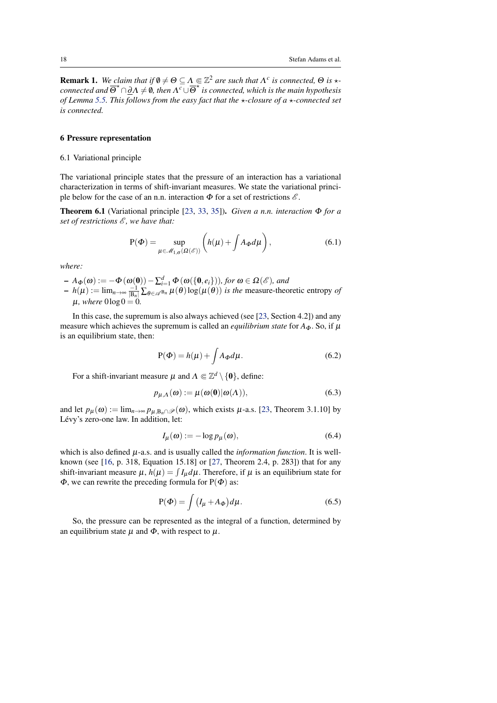<span id="page-17-3"></span><span id="page-17-2"></span>**Remark 1.** We claim that if  $\emptyset \neq \Theta \subseteq \Lambda \subseteq \mathbb{Z}^2$  are such that  $\Lambda^c$  is connected,  $\Theta$  is  $\star$ *connected and*  $\overline{\Theta}^{\star} \cap \underline{\partial} \Lambda \neq \emptyset$ , then  $\Lambda^c \cup \overline{\Theta}^{\star}$  is connected, which is the main hypothesis *of Lemma* [5.5.](#page-15-0) This follows from the easy fact that the  $\star$ -closure of a  $\star$ -connected set *is connected.*

# <span id="page-17-0"></span>6 Pressure representation

#### <span id="page-17-1"></span>6.1 Variational principle

The variational principle states that the pressure of an interaction has a variational characterization in terms of shift-invariant measures. We state the variational principle below for the case of an n.n. interaction  $\Phi$  for a set of restrictions  $\mathscr{E}$ .

Theorem 6.1 (Variational principle [\[23,](#page-42-0) [33,](#page-42-9) [35\]](#page-43-0)). *Given a n.n. interaction* Φ *for a set of restrictions*  $\mathscr E$ *, we have that:* 

$$
P(\Phi) = \sup_{\mu \in \mathcal{M}_{1,\sigma}(\Omega(\mathscr{E}))} \left( h(\mu) + \int A_{\Phi} d\mu \right), \tag{6.1}
$$

*where:*

 $- A_{\Phi}(\omega) := -\Phi(\omega(0)) - \sum_{i=1}^{d} \Phi(\omega(\{0, e_i\})),$  for  $\omega \in \Omega(\mathscr{E})$ *, and*  $-h(\mu) := \lim_{n \to \infty} \frac{-1}{|B_n|} \sum_{\theta \in \mathcal{A}^{B_n}} \mu(\theta) \log(\mu(\theta))$  *is the* measure-theoretic entropy *of*  $\mu$ *, where*  $0 \log 0 = 0$ .

In this case, the supremum is also always achieved (see [\[23,](#page-42-0) Section 4.2]) and any measure which achieves the supremum is called an *equilibrium state* for  $A_{\Phi}$ . So, if  $\mu$ is an equilibrium state, then:

$$
P(\Phi) = h(\mu) + \int A_{\Phi} d\mu.
$$
 (6.2)

For a shift-invariant measure  $\mu$  and  $\Lambda \Subset \mathbb{Z}^d \setminus \{0\}$ , define:

$$
p_{\mu,\Lambda}(\omega) := \mu(\omega(0)|\omega(\Lambda)), \tag{6.3}
$$

and let  $p_\mu(\omega) := \lim_{n \to \infty} p_{\mu, B_n \cap \mathscr{P}}(\omega)$ , which exists  $\mu$ -a.s. [\[23,](#page-42-0) Theorem 3.1.10] by Lévy's zero-one law. In addition, let:

$$
I_{\mu}(\omega) := -\log p_{\mu}(\omega),\tag{6.4}
$$

which is also defined  $\mu$ -a.s. and is usually called the *information function*. It is wellknown (see [\[16,](#page-41-0) p. 318, Equation 15.18] or [\[27,](#page-42-10) Theorem 2.4, p. 283]) that for any shift-invariant measure  $\mu$ ,  $h(\mu) = \int I_{\mu} d\mu$ . Therefore, if  $\mu$  is an equilibrium state for  $\Phi$ , we can rewrite the preceding formula for P( $\Phi$ ) as:

$$
P(\Phi) = \int (I_{\mu} + A_{\Phi}) d\mu.
$$
 (6.5)

So, the pressure can be represented as the integral of a function, determined by an equilibrium state  $\mu$  and  $\Phi$ , with respect to  $\mu$ .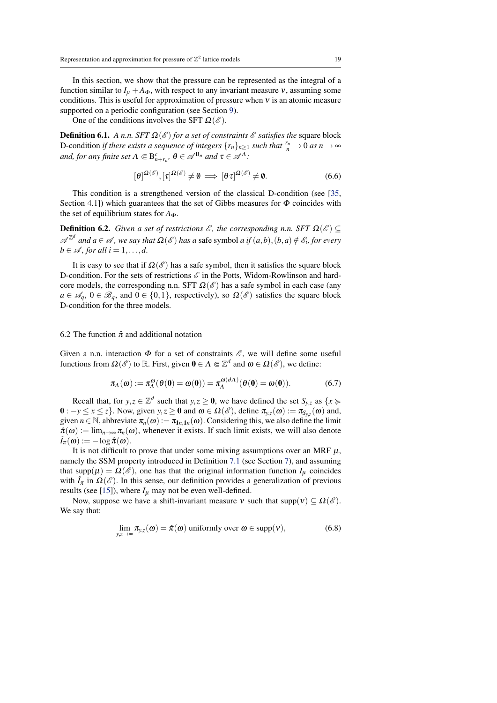<span id="page-18-1"></span>In this section, we show that the pressure can be represented as the integral of a function similar to  $I_{\mu} + A_{\Phi}$ , with respect to any invariant measure v, assuming some conditions. This is useful for approximation of pressure when  $v$  is an atomic measure supported on a periodic configuration (see Section [9\)](#page-38-0).

One of the conditions involves the SFT  $\Omega(\mathscr{E})$ .

**Definition 6.1.** *A n.n. SFT*  $\Omega(\mathscr{E})$  *for a set of constraints*  $\mathscr{E}$  *satisfies the* square block D-condition *if there exists a sequence of integers*  $\{r_n\}_{n\geq 1}$  *such that*  $\frac{r_n}{n} \to 0$  *as*  $n \to \infty$ *and, for any finite set*  $\Lambda \Subset B_{n+r_n}^c$ ,  $\theta \in \mathscr{A}^{B_n}$  *and*  $\tau \in \mathscr{A}^{\Lambda}$ *:* 

$$
[\theta]^{\Omega(\mathscr{E})}, [\tau]^{\Omega(\mathscr{E})} \neq \emptyset \implies [\theta \tau]^{\Omega(\mathscr{E})} \neq \emptyset. \tag{6.6}
$$

This condition is a strengthened version of the classical D-condition (see [\[35,](#page-43-0) Section 4.1) which guarantees that the set of Gibbs measures for  $\Phi$  coincides with the set of equilibrium states for  $A_{\Phi}$ .

**Definition 6.2.** *Given a set of restrictions*  $\mathscr{E}$ *, the corresponding n.n. SFT*  $\Omega(\mathscr{E}) \subseteq$  $\mathscr{A}^{\mathbb{Z}^d}$  and  $a \in \mathscr{A}$ , we say that  $\Omega(\mathscr{E})$  has a safe symbol a if  $(a,b),(b,a) \notin \mathscr{E}_i$ , for every  $b \in \mathcal{A}$ , for all  $i = 1, \ldots, d$ .

It is easy to see that if  $\Omega(\mathscr{E})$  has a safe symbol, then it satisfies the square block D-condition. For the sets of restrictions  $\mathscr E$  in the Potts, Widom-Rowlinson and hardcore models, the corresponding n.n. SFT  $\Omega(\mathscr{E})$  has a safe symbol in each case (any  $a \in \mathscr{A}_q$ ,  $0 \in \mathscr{B}_q$ , and  $0 \in \{0,1\}$ , respectively), so  $\Omega(\mathscr{E})$  satisfies the square block D-condition for the three models.

# <span id="page-18-0"></span>6.2 The function  $\hat{\pi}$  and additional notation

Given a n.n. interaction  $\Phi$  for a set of constraints  $\mathscr{E}$ , we will define some useful functions from  $\Omega(\mathscr{E})$  to  $\mathbb{R}$ . First, given  $\mathbf{0} \in \Lambda \Subset \mathbb{Z}^d$  and  $\omega \in \Omega(\mathscr{E})$ , we define:

$$
\pi_{\Lambda}(\omega) := \pi_{\Lambda}^{\omega}(\theta(\mathbf{0}) = \omega(\mathbf{0})) = \pi_{\Lambda}^{\omega(\partial \Lambda)}(\theta(\mathbf{0}) = \omega(\mathbf{0})).
$$
 (6.7)

Recall that, for  $y, z \in \mathbb{Z}^d$  such that  $y, z \ge 0$ , we have defined the set  $S_{y,z}$  as  $\{x \ge 0\}$ **0** : −*y* ≤ *x* ≤ *z*}. Now, given *y*,*z* ≥ **0** and  $ω ∈ Ω(€)$ , define  $π_{y,z}(ω) := π_{S_{y,z}}(ω)$  and, given  $n \in \mathbb{N}$ , abbreviate  $\pi_n(\omega) := \pi_{1n,1n}(\omega)$ . Considering this, we also define the limit  $\hat{\pi}(\omega) := \lim_{n \to \infty} \pi_n(\omega)$ , whenever it exists. If such limit exists, we will also denote  $\hat{I}_{\pi}(\omega) := -\log \hat{\pi}(\omega).$ 

It is not difficult to prove that under some mixing assumptions over an MRF  $\mu$ , namely the SSM property introduced in Definition [7.1](#page-23-1) (see Section [7\)](#page-22-0), and assuming that supp $(\mu) = \Omega(\mathscr{E})$ , one has that the original information function  $I_{\mu}$  coincides with  $\hat{I}_{\pi}$  in  $\Omega(\mathscr{E})$ . In this sense, our definition provides a generalization of previous results (see [\[15\]](#page-41-2)), where  $I_u$  may not be even well-defined.

Now, suppose we have a shift-invariant measure  $\nu$  such that supp $(\nu) \subset \Omega(\mathscr{E})$ . We say that:

$$
\lim_{y,z \to \infty} \pi_{y,z}(\omega) = \hat{\pi}(\omega) \text{ uniformly over } \omega \in \text{supp}(\nu), \tag{6.8}
$$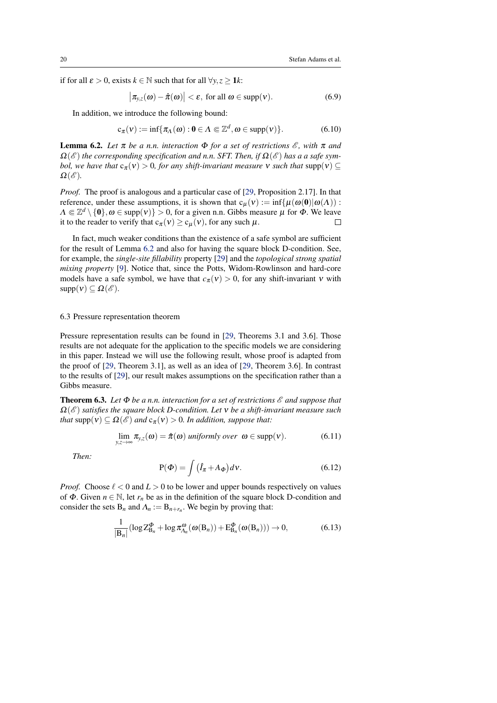<span id="page-19-5"></span>if for all  $\varepsilon > 0$ , exists  $k \in \mathbb{N}$  such that for all  $\forall y, z \ge 1$ *k*:

$$
\left|\pi_{y,z}(\omega)-\hat{\pi}(\omega)\right|<\varepsilon,\text{ for all }\omega\in\text{supp}(\nu).
$$
\n(6.9)

In addition, we introduce the following bound:

$$
c_{\pi}(v) := \inf \{ \pi_{\Lambda}(\omega) : 0 \in \Lambda \Subset \mathbb{Z}^d, \omega \in \text{supp}(v) \}. \tag{6.10}
$$

<span id="page-19-2"></span>**Lemma 6.2.** *Let*  $\pi$  *be a n.n. interaction*  $\Phi$  *for a set of restrictions*  $\mathcal{E}$ *, with*  $\pi$  *and*  $\Omega(\mathscr{E})$  *the corresponding specification and n.n. SFT. Then, if*  $\Omega(\mathscr{E})$  *has a a safe symbol, we have that*  $c_{\pi}(v) > 0$ *, for any shift-invariant measure* v *such that* supp $(v) \subseteq$  $\Omega(\mathscr{E}).$ 

*Proof.* The proof is analogous and a particular case of [\[29,](#page-42-1) Proposition 2.17]. In that reference, under these assumptions, it is shown that  $c_u(v) := \inf \{ \mu(\omega(0) | \omega(\Lambda)) :$  $\Lambda \Subset \mathbb{Z}^d \setminus \{0\}, \omega \in \text{supp}(v)\} > 0$ , for a given n.n. Gibbs measure  $\mu$  for  $\Phi$ . We leave it to the reader to verify that  $c_{\pi}(v) \ge c_{\mu}(v)$ , for any such  $\mu$ .  $\Box$ 

In fact, much weaker conditions than the existence of a safe symbol are sufficient for the result of Lemma [6.2](#page-19-2) and also for having the square block D-condition. See, for example, the *single-site fillability* property [\[29\]](#page-42-1) and the *topological strong spatial mixing property* [\[9\]](#page-41-3). Notice that, since the Potts, Widom-Rowlinson and hard-core models have a safe symbol, we have that  $c_{\pi}(v) > 0$ , for any shift-invariant v with  $supp(v) \subset \Omega(\mathscr{E}).$ 

# <span id="page-19-0"></span>6.3 Pressure representation theorem

Pressure representation results can be found in [\[29,](#page-42-1) Theorems 3.1 and 3.6]. Those results are not adequate for the application to the specific models we are considering in this paper. Instead we will use the following result, whose proof is adapted from the proof of [\[29,](#page-42-1) Theorem 3.1], as well as an idea of [\[29,](#page-42-1) Theorem 3.6]. In contrast to the results of [\[29\]](#page-42-1), our result makes assumptions on the specification rather than a Gibbs measure.

<span id="page-19-1"></span>**Theorem 6.3.** *Let* Φ *be a n.n. interaction for a set of restrictions*  $\mathcal{E}$  *and suppose that* Ω(E ) *satisfies the square block D-condition. Let* ν *be a shift-invariant measure such that*  $supp(v) \subseteq \Omega(\mathscr{E})$  *and*  $c_{\pi}(v) > 0$ *. In addition, suppose that:* 

<span id="page-19-4"></span>
$$
\lim_{y,z\to\infty}\pi_{y,z}(\omega)=\hat{\pi}(\omega) \text{ uniformly over }\omega\in \text{supp}(\nu). \qquad (6.11)
$$

*Then:*

$$
P(\Phi) = \int (\hat{I}_{\pi} + A_{\Phi}) dv.
$$
 (6.12)

*Proof.* Choose  $\ell < 0$  and  $L > 0$  to be lower and upper bounds respectively on values of  $\Phi$ . Given  $n \in \mathbb{N}$ , let  $r_n$  be as in the definition of the square block D-condition and consider the sets  $B_n$  and  $\Lambda_n := B_{n+r_n}$ . We begin by proving that:

<span id="page-19-3"></span>
$$
\frac{1}{|\mathbf{B}_n|} (\log Z^{\Phi}_{\mathbf{B}_n} + \log \pi^{\omega}_{\Lambda_n}(\omega(\mathbf{B}_n)) + \mathbf{E}^{\Phi}_{\mathbf{B}_n}(\omega(\mathbf{B}_n))) \to 0, \tag{6.13}
$$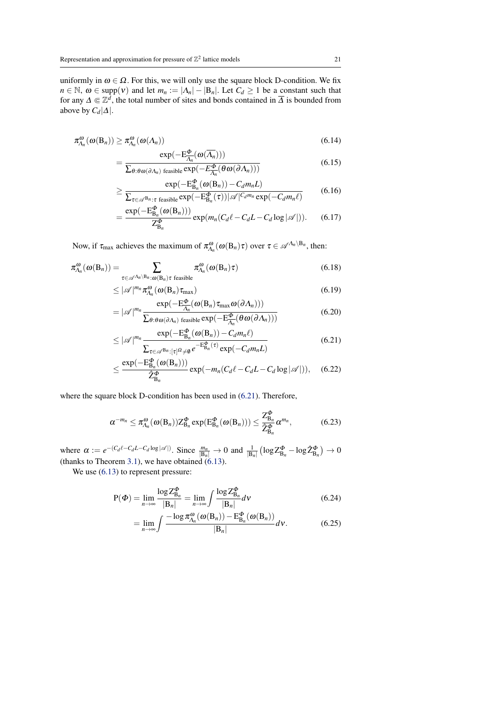uniformly in  $\omega \in \Omega$ . For this, we will only use the square block D-condition. We fix  $n \in \mathbb{N}$ ,  $\omega \in \text{supp}(v)$  and let  $m_n := |\Lambda_n| - |\mathbf{B}_n|$ . Let  $C_d \ge 1$  be a constant such that for any  $\Delta \Subset \mathbb{Z}^d$ , the total number of sites and bonds contained in  $\overline{\Delta}$  is bounded from above by  $C_d|\Delta|$ .

$$
\pi_{\Lambda_n}^{\omega}(\omega(\mathbf{B}_n)) \ge \pi_{\Lambda_n}^{\omega}(\omega(\Lambda_n)) \tag{6.14}
$$

$$
= \frac{\exp(-\mathrm{E}^{\Phi}_{\Lambda_n}(\omega(\overline{\Lambda_n})))}{\sum_{\theta: \theta \omega(\partial \Lambda_n) \text{ feasible}} \exp(-E^{\Phi}_{\overline{\Lambda}_n}(\theta \omega(\partial \Lambda_n)))}
$$
(6.15)

$$
\geq \frac{\exp(-\mathrm{E}_{\mathrm{B}_n}^{\Phi}(\omega(\mathrm{B}_n)) - C_d m_n L)}{\sum_{\tau \in \mathcal{A}^{\mathrm{B}_n}: \tau \text{ feasible}} \exp(-\mathrm{E}_{\mathrm{B}_n}^{\Phi}(\tau)) |\mathcal{A}|^{C_d m_n} \exp(-C_d m_n \ell)} \qquad (6.16)
$$

$$
=\frac{\exp(-\mathrm{E}_{\mathrm{B}_n}^{\Phi}(\omega(\mathrm{B}_n)))}{Z_{\mathrm{B}_n}^{\Phi}}\exp(m_n(C_d\ell-C_dL-C_d\log|\mathscr{A}|)).\quad(6.17)
$$

Now, if  $\tau_{\text{max}}$  achieves the maximum of  $\pi_{\Lambda_n}^{\omega}(\omega(\mathbf{B}_n)\tau)$  over  $\tau \in \mathscr{A}^{\Lambda_n \setminus \mathbf{B}_n}$ , then:

$$
\pi_{\Lambda_n}^{\omega}(\omega(\mathbf{B}_n)) = \sum_{\tau \in \mathscr{A}^{\Lambda_n \setminus \mathbf{B}_n}: \omega(\mathbf{B}_n) \tau \text{ feasible}} \pi_{\Lambda_n}^{\omega}(\omega(\mathbf{B}_n) \tau)
$$
(6.18)

$$
\leq |\mathscr{A}|^{m_n} \pi_{\Lambda_n}^{\omega}(\omega(\mathbf{B}_n)\tau_{\max})
$$
\n(6.19)

$$
= |\mathscr{A}|^{m_n} \frac{\exp(-\mathrm{E}^{\Phi}_{\overline{\Lambda}_n}(\omega(\mathrm{B}_n)\tau_{\max}\omega(\partial \Lambda_n)))}{\sum_{\theta: \theta \omega(\partial \Lambda_n) \text{ feasible}} \exp(-\mathrm{E}^{\Phi}_{\overline{\Lambda}_n}(\theta \omega(\partial \Lambda_n)))}
$$
(6.20)

<span id="page-20-0"></span>
$$
\leq |\mathscr{A}|^{m_n} \frac{\exp(-\mathrm{E}_{\mathrm{B}_n}^{\Phi}(\omega(\mathrm{B}_n)) - C_d m_n \ell)}{\sum_{\tau \in \mathscr{A}^{\mathrm{B}_n} : [\tau]^{\Omega} \neq \emptyset} e^{-\mathrm{E}_{\mathrm{B}_n}^{\Phi}(\tau)} \exp(-C_d m_n L)}
$$
(6.21)

$$
\leq \frac{\exp(-\mathrm{E}_{\mathrm{B}_n}^{\Phi}(\omega(\mathrm{B}_n)))}{\hat{Z}_{\mathrm{B}_n}^{\Phi}}\exp(-m_n(C_d\ell-C_dL-C_d\log|\mathscr{A}|)),\quad(6.22)
$$

where the square block D-condition has been used in [\(6.21\)](#page-20-0). Therefore,

$$
\alpha^{-m_n} \leq \pi_{\Lambda_n}^{\omega}(\omega(\mathbf{B}_n)) Z^{\Phi}_{\mathbf{B}_n} \exp(\mathbf{E}_{\mathbf{B}_n}^{\Phi}(\omega(\mathbf{B}_n))) \leq \frac{Z^{\Phi}_{\mathbf{B}_n}}{\hat{Z}^{\Phi}_{\mathbf{B}_n}} \alpha^{m_n}, \tag{6.23}
$$

where  $\alpha := e^{-(C_d \ell - C_d L - C_d \log |\mathscr{A}|)}$ . Since  $\frac{m_n}{|B_n|} \to 0$  and  $\frac{1}{|B_n|} (\log Z^{\Phi}_{B_n} - \log \hat{Z}^{\Phi}_{B_n}) \to 0$ (thanks to Theorem [3.1\)](#page-10-3), we have obtained  $(6.13)$ .

We use  $(6.13)$  to represent pressure:

$$
P(\Phi) = \lim_{n \to \infty} \frac{\log Z_{B_n}^{\Phi}}{|B_n|} = \lim_{n \to \infty} \int \frac{\log Z_{B_n}^{\Phi}}{|B_n|} dV
$$
(6.24)

$$
= \lim_{n \to \infty} \int \frac{-\log \pi_{\Lambda_n}^{\omega}(\omega(\mathbf{B}_n)) - \mathbf{E}_{\mathbf{B}_n}^{\phi}(\omega(\mathbf{B}_n))}{|\mathbf{B}_n|} d\mathbf{v}.
$$
 (6.25)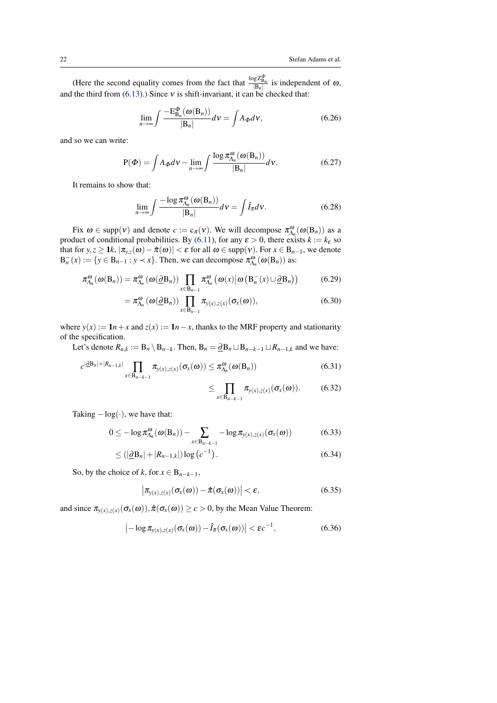(Here the second equality comes from the fact that  $\frac{\log Z_{\text{B}_n}^{\Phi}}{|\text{B}_n|}$  is independent of  $\omega$ , and the third from  $(6.13)$ .) Since  $v$  is shift-invariant, it can be checked that:

$$
\lim_{n \to \infty} \int \frac{-E_{B_n}^{\Phi}(\omega(B_n))}{|B_n|} dv = \int A_{\Phi} dv,
$$
\n(6.26)

and so we can write:

$$
P(\Phi) = \int A_{\Phi} dV - \lim_{n \to \infty} \int \frac{\log \pi_{\Lambda_n}^{\omega}(\omega(B_n))}{|B_n|} dV.
$$
 (6.27)

It remains to show that:

$$
\lim_{n \to \infty} \int \frac{-\log \pi_{\Lambda_n}^{\omega}(\omega(\mathbf{B}_n))}{|\mathbf{B}_n|} d\mathbf{v} = \int \hat{I}_\pi d\mathbf{v}.
$$
 (6.28)

Fix  $\omega \in \text{supp}(v)$  and denote  $c := c_{\pi}(v)$ . We will decompose  $\pi_{\Lambda_n}^{\omega}(\omega(\mathbf{B}_n))$  as a product of conditional probabilities. By [\(6.11\)](#page-19-4), for any  $\varepsilon > 0$ , there exists  $k := k_{\varepsilon}$  so that for  $y, z \ge 1$ *k*,  $|\pi_{y,z}(\omega) - \hat{\pi}(\omega)| < \varepsilon$  for all  $\omega \in \text{supp}(v)$ . For  $x \in B_{n-1}$ , we denote  $B_n^-(x) := \{ y \in B_{n-1} : y \prec x \}.$  Then, we can decompose  $\pi_{A_n}^{\omega}(\omega(B_n))$  as:

$$
\pi_{\Lambda_n}^{\omega}(\omega(\mathbf{B}_n)) = \pi_{\Lambda_n}^{\omega}(\omega(\underline{\partial}\mathbf{B}_n)) \prod_{x \in \mathbf{B}_{n-1}} \pi_{\Lambda_n}^{\omega}(\omega(x) \big| \omega\left(\mathbf{B}_n^-(x) \cup \underline{\partial}\mathbf{B}_n\right)) \tag{6.29}
$$

$$
= \pi_{\Lambda_n}^{\omega}(\omega(\underline{\partial}B_n)) \prod_{x \in B_{n-1}} \pi_{y(x),z(x)}(\sigma_x(\omega)), \qquad (6.30)
$$

where  $y(x) := \mathbf{1}n + x$  and  $z(x) := \mathbf{1}n - x$ , thanks to the MRF property and stationarity of the specification.

Let's denote  $R_{n,k} := B_n \setminus B_{n-k}$ . Then,  $B_n = \underline{\partial} B_n \sqcup B_{n-k-1} \sqcup R_{n-1,k}$  and we have:

$$
c^{|\partial B_n|+|R_{n-1,k}|} \prod_{x \in B_{n-k-1}} \pi_{y(x),z(x)}(\sigma_x(\omega)) \leq \pi_{\Lambda_n}^{\omega}(\omega(B_n))
$$
\n(6.31)

$$
\leq \prod_{x \in B_{n-k-1}} \pi_{y(x),z(x)}(\sigma_x(\omega)). \tag{6.32}
$$

Taking  $-\log(\cdot)$ , we have that:

$$
0 \leq -\log \pi_{\Lambda_n}^{\omega}(\omega(\mathbf{B}_n)) - \sum_{x \in \mathbf{B}_{n-k-1}} -\log \pi_{y(x),z(x)}(\sigma_x(\omega)) \tag{6.33}
$$

$$
\leq (|\underline{\partial} \mathbf{B}_n| + |R_{n-1,k}|) \log (c^{-1}). \tag{6.34}
$$

So, by the choice of *k*, for  $x \in B_{n-k-1}$ ,

$$
\left|\pi_{y(x),z(x)}(\sigma_x(\omega)) - \hat{\pi}(\sigma_x(\omega))\right| < \varepsilon,
$$
\n(6.35)

and since  $\pi_{y(x),z(x)}(\sigma_x(\omega))$ ,  $\hat{\pi}(\sigma_x(\omega)) \ge c > 0$ , by the Mean Value Theorem:

$$
\left| -\log \pi_{y(x),z(x)}(\sigma_x(\omega)) - \hat{I}_{\pi}(\sigma_x(\omega)) \right| < \varepsilon c^{-1}, \tag{6.36}
$$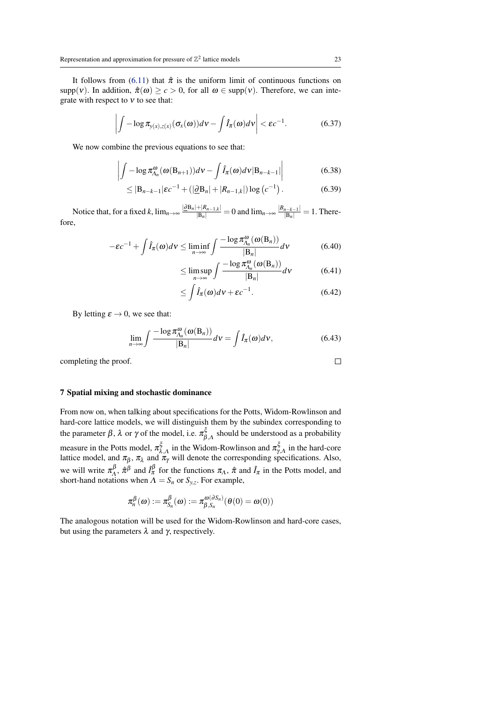It follows from [\(6.11\)](#page-19-4) that  $\hat{\pi}$  is the uniform limit of continuous functions on supp(v). In addition,  $\hat{\pi}(\omega) \geq c > 0$ , for all  $\omega \in \text{supp}(v)$ . Therefore, we can integrate with respect to  $v$  to see that:

$$
\left| \int -\log \pi_{y(x),z(x)}(\sigma_x(\omega))d\nu - \int \hat{I}_{\pi}(\omega)d\nu \right| < \varepsilon c^{-1}.
$$
 (6.37)

We now combine the previous equations to see that:

$$
\left| \int -\log \pi_{\Lambda_n}^{\omega}(\omega(\mathbf{B}_{n+1})) d\mathbf{v} - \int \hat{I}_{\pi}(\omega) d\mathbf{v} | \mathbf{B}_{n-k-1} | \right| \tag{6.38}
$$

$$
\leq |\mathbf{B}_{n-k-1}|\varepsilon c^{-1} + (|\underline{\partial}\mathbf{B}_n| + |R_{n-1,k}|)\log (c^{-1}). \tag{6.39}
$$

Notice that, for a fixed *k*,  $\lim_{n\to\infty} \frac{|\partial B_n| + |R_{n-1,k}|}{|B_n|} = 0$  and  $\lim_{n\to\infty} \frac{|B_{n-k-1}|}{|B_n|} = 1$ . Therefore,

$$
-\varepsilon c^{-1} + \int \hat{I}_{\pi}(\omega) d\nu \le \liminf_{n \to \infty} \int \frac{-\log \pi_{\Lambda_n}^{\omega}(\omega(\mathbf{B}_n))}{|\mathbf{B}_n|} d\nu \tag{6.40}
$$

$$
\leq \limsup_{n \to \infty} \int \frac{-\log \pi_{\Lambda_n}^{\omega}(\omega(\mathbf{B}_n))}{|\mathbf{B}_n|} d\nu \tag{6.41}
$$

$$
\leq \int \hat{I}_{\pi}(\omega)d\nu + \varepsilon c^{-1}.\tag{6.42}
$$

By letting  $\varepsilon \to 0$ , we see that:

$$
\lim_{n \to \infty} \int \frac{-\log \pi_{\Lambda_n}^{\omega}(\omega(\mathbf{B}_n))}{|\mathbf{B}_n|} d\mathbf{v} = \int \hat{I}_{\pi}(\omega) d\mathbf{v}, \tag{6.43}
$$

completing the proof.

# <span id="page-22-0"></span>7 Spatial mixing and stochastic dominance

From now on, when talking about specifications for the Potts, Widom-Rowlinson and hard-core lattice models, we will distinguish them by the subindex corresponding to the parameter  $\beta$ , λ or γ of the model, i.e.  $\pi_{\beta,\Lambda}^{\xi}$  should be understood as a probability measure in the Potts model,  $\pi_{\lambda,A}^{\xi}$  in the Widom-Rowlinson and  $\pi_{\gamma,A}^{\xi}$  in the hard-core lattice model, and  $\pi_{\beta}$ ,  $\pi_{\lambda}$  and  $\pi_{\gamma}$  will denote the corresponding specifications. Also, we will write  $\pi_A^{\beta}$  $\int_A^{\beta}$ ,  $\hat{\pi}^{\beta}$  and  $\hat{I}_{\pi}^{\beta}$  for the functions  $\pi_A$ ,  $\hat{\pi}$  and  $\hat{I}_{\pi}$  in the Potts model, and short-hand notations when  $\Lambda = S_n$  or  $S_{y,z}$ . For example,

$$
\pi^{\beta}_n(\omega) := \pi^{\beta}_{S_n}(\omega) := \pi^{\omega(\partial S_n)}_{\beta, S_n}(\theta(0) = \omega(0))
$$

The analogous notation will be used for the Widom-Rowlinson and hard-core cases, but using the parameters  $λ$  and  $γ$ , respectively.

 $\Box$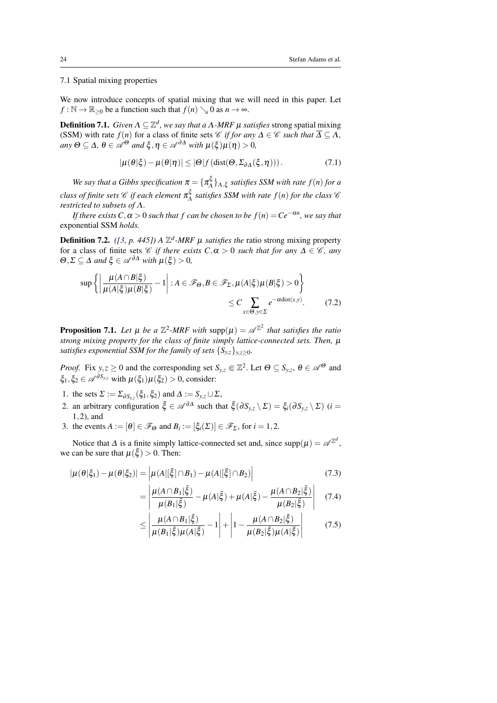# <span id="page-23-3"></span><span id="page-23-0"></span>7.1 Spatial mixing properties

We now introduce concepts of spatial mixing that we will need in this paper. Let  $f : \mathbb{N} \to \mathbb{R}_{\geq 0}$  be a function such that  $f(n) \searrow 0$  as  $n \to \infty$ .

<span id="page-23-1"></span>**Definition 7.1.** *Given*  $\Lambda \subseteq \mathbb{Z}^d$ , we say that a  $\Lambda$ -MRF  $\mu$  satisfies strong spatial mixing (SSM) with rate  $f(n)$  for a class of finite sets *C if for any*  $\Delta \in \mathscr{C}$  *such that*  $\overline{\Delta} \subseteq \overline{\Delta}$ *,*  $a_n \otimes \Phi \subseteq \Delta$ ,  $\theta \in \mathscr{A}^{\Theta}$  *and*  $\xi, \eta \in \mathscr{A}^{\partial \Delta}$  *with*  $\mu(\xi) \mu(\eta) > 0$ ,

$$
|\mu(\theta|\xi) - \mu(\theta|\eta)| \le |\Theta| f(\text{dist}(\Theta, \Sigma_{\partial \Delta}(\xi, \eta))). \tag{7.1}
$$

*We say that a Gibbs specification*  $\pi = \{\pi_A^{\xi}$  $\{A\}_{A,\xi}$  satisfies SSM with rate  $f(n)$  for a *class of finite sets* C *if each element* π ξ Λ *satisfies SSM with rate f*(*n*) *for the class* C *restricted to subsets of* Λ*.*

*If there exists*  $C, \alpha > 0$  *such that f can be chosen to be*  $f(n) = Ce^{-\alpha n}$ *, we say that* exponential SSM *holds.*

**Definition 7.2.** ([\[3,](#page-41-7) p. 445]) A  $\mathbb{Z}^d$ -MRF  $\mu$  *satisfies the* ratio strong mixing property for a class of finite sets *C if there exists*  $C, \alpha > 0$  *such that for any*  $\Delta \in \mathcal{C}$ *, any*  $\Theta$ ,  $\Sigma \subset \Delta$  *and*  $\xi \in \mathscr{A}^{\partial \Delta}$  *with*  $\mu(\xi) > 0$ ,

$$
\sup \left\{ \left| \frac{\mu(A \cap B|\xi)}{\mu(A|\xi)\mu(B|\xi)} - 1 \right| : A \in \mathscr{F}_{\Theta}, B \in \mathscr{F}_{\Sigma}, \mu(A|\xi)\mu(B|\xi) > 0 \right\}
$$
  

$$
\leq C \sum_{x \in \Theta, y \in \Sigma} e^{-\alpha \text{dist}(x, y)}.
$$
 (7.2)

<span id="page-23-2"></span>**Proposition 7.1.** Let  $\mu$  be a  $\mathbb{Z}^2$ -MRF with supp $(\mu) = \mathscr{A}^{\mathbb{Z}^2}$  that satisfies the ratio *strong mixing property for the class of finite simply lattice-connected sets. Then,* µ *satisfies exponential SSM for the family of sets*  $\{S_{y,z}\}_{y,z>0}$ *.* 

*Proof.* Fix  $y, z \ge 0$  and the corresponding set  $S_{y,z} \in \mathbb{Z}^2$ . Let  $\Theta \subseteq S_{y,z}$ ,  $\theta \in \mathcal{A}^{\Theta}$  and  $\xi_1, \xi_2 \in \mathscr{A}^{\partial S_{y,z}}$  with  $\mu(\xi_1)\mu(\xi_2) > 0$ , consider:

- 1. the sets  $\Sigma := \Sigma_{\partial S_{y,z}}(\xi_1, \xi_2)$  and  $\Delta := S_{y,z} \cup \Sigma$ ,
- 2. an arbitrary configuration  $\tilde{\xi} \in \mathscr{A}^{\partial \Delta}$  such that  $\tilde{\xi}(\partial S_{y,z} \setminus \Sigma) = \xi_i(\partial S_{y,z} \setminus \Sigma)$  (*i* = 1,2), and
- 3. the events  $A := [\theta] \in \mathscr{F}_{\Theta}$  and  $B_i := [\xi_i(\Sigma)] \in \mathscr{F}_{\Sigma}$ , for  $i = 1, 2$ .

Notice that  $\Delta$  is a finite simply lattice-connected set and, since  $supp(\mu) = \mathscr{A}^{\mathbb{Z}^d}$ , we can be sure that  $\mu(\tilde{\xi}) > 0$ . Then:

$$
|\mu(\theta|\xi_1) - \mu(\theta|\xi_2)| = |\mu(A|[\tilde{\xi}] \cap B_1) - \mu(A|[\tilde{\xi}] \cap B_2)|
$$
\n(7.3)

$$
= \left| \frac{\mu(A \cap B_1 | \tilde{\xi})}{\mu(B_1 | \tilde{\xi})} - \mu(A | \tilde{\xi}) + \mu(A | \tilde{\xi}) - \frac{\mu(A \cap B_2 | \tilde{\xi})}{\mu(B_2 | \tilde{\xi})} \right| \quad (7.4)
$$

$$
\leq \left| \frac{\mu(A \cap B_1 | \tilde{\xi})}{\mu(B_1 | \tilde{\xi}) \mu(A | \tilde{\xi})} - 1 \right| + \left| 1 - \frac{\mu(A \cap B_2 | \tilde{\xi})}{\mu(B_2 | \tilde{\xi}) \mu(A | \tilde{\xi})} \right| \tag{7.5}
$$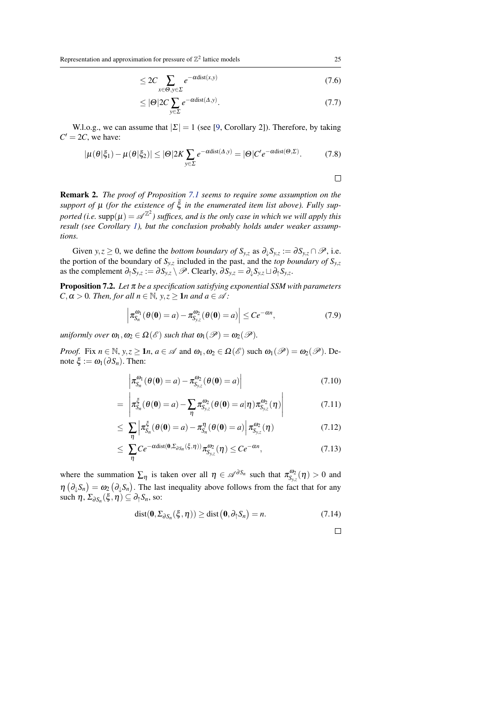<span id="page-24-1"></span>Representation and approximation for pressure of  $\mathbb{Z}^2$  lattice models 25

$$
\leq 2C \sum_{x \in \Theta, y \in \Sigma} e^{-\alpha \text{dist}(x, y)} \tag{7.6}
$$

$$
\leq |\Theta| 2C \sum_{y \in \Sigma} e^{-\alpha \text{dist}(\Delta, y)}.
$$
\n(7.7)

W.l.o.g., we can assume that  $|\Sigma| = 1$  (see [\[9,](#page-41-3) Corollary 2]). Therefore, by taking  $C' = 2C$ , we have:

$$
|\mu(\theta|\xi_1) - \mu(\theta|\xi_2)| \le |\Theta|2K \sum_{y \in \Sigma} e^{-\alpha \text{dist}(\Delta, y)} = |\Theta|C'e^{-\alpha \text{dist}(\Theta, \Sigma)}.
$$
 (7.8)

 $\Box$ 

Remark 2. *The proof of Proposition [7.1](#page-23-2) seems to require some assumption on the* support of  $\mu$  (for the existence of  $\tilde{\xi}$  in the enumerated item list above). Fully supported (i.e.  $\mathrm{supp}(\mu)=\mathscr{A}^{\mathbb{Z}^2}$ ) suffices, and is the only case in which we will apply this *result (see Corollary [1\)](#page-31-1), but the conclusion probably holds under weaker assumptions.*

Given *y*,*z*  $\geq$  0, we define the *bottom boundary of*  $S_{y,z}$  as  $\partial_{\psi}S_{y,z} := \partial S_{y,z} \cap \mathscr{P}$ , i.e. the portion of the boundary of *Sy*,*<sup>z</sup>* included in the past, and the *top boundary of Sy*,*<sup>z</sup>* as the complement  $\partial_{\uparrow} S_{y,z} := \partial S_{y,z} \setminus \mathscr{P}$ . Clearly,  $\partial S_{y,z} = \partial_{\downarrow} S_{y,z} \sqcup \partial_{\uparrow} S_{y,z}$ .

<span id="page-24-0"></span>Proposition 7.2. *Let* π *be a specification satisfying exponential SSM with parameters*  $C, \alpha > 0$ *. Then, for all n*  $\in \mathbb{N}$ *, y, z*  $\geq 1$ *n and a*  $\in \mathcal{A}$ *:* 

$$
\left|\pi_{S_n}^{\omega_1}(\theta(\mathbf{0})=a)-\pi_{S_{y,z}}^{\omega_2}(\theta(\mathbf{0})=a)\right|\leq Ce^{-\alpha n},\tag{7.9}
$$

*uniformly over*  $\omega_1, \omega_2 \in \Omega(\mathscr{E})$  *such that*  $\omega_1(\mathscr{P}) = \omega_2(\mathscr{P})$ *.* 

*Proof.* Fix  $n \in \mathbb{N}$ ,  $y, z \ge 1$ *n*,  $a \in \mathcal{A}$  and  $\omega_1, \omega_2 \in \Omega(\mathcal{E})$  such  $\omega_1(\mathcal{P}) = \omega_2(\mathcal{P})$ . Denote  $\xi := \omega_1(\partial S_n)$ . Then:

$$
\left| \pi_{S_n}^{\omega_1}(\theta(\mathbf{0}) = a) - \pi_{S_{y,z}}^{\omega_2}(\theta(\mathbf{0}) = a) \right| \tag{7.10}
$$

$$
= \left| \pi_{S_n}^{\xi}(\theta(\mathbf{0}) = a) - \sum_{\eta} \pi_{S_{y,z}}^{\omega_2}(\theta(\mathbf{0}) = a|\eta) \pi_{S_{y,z}}^{\omega_2}(\eta) \right| \tag{7.11}
$$

$$
\leq \sum_{\eta} \left| \pi_{S_n}^{\xi}(\theta(\mathbf{0}) = a) - \pi_{S_n}^{\eta}(\theta(\mathbf{0}) = a) \right| \pi_{S_{y,z}}^{\omega_2}(\eta) \tag{7.12}
$$

$$
\leq \sum_{\eta} Ce^{-\alpha \text{dist}(0,\Sigma_{\partial S_n}(\xi,\eta))} \pi_{S_{y,z}}^{\omega_2}(\eta) \leq Ce^{-\alpha n}, \tag{7.13}
$$

where the summation  $\sum_{\eta}$  is taken over all  $\eta \in \mathscr{A}^{\partial S_n}$  such that  $\pi_{S_{y,z}}^{\omega_2}(\eta) > 0$  and  $\eta\left(\partial_{\psi}S_{n}\right)=\omega_{2}\left(\partial_{\psi}S_{n}\right)$ . The last inequality above follows from the fact that for any such  $\eta$ ,  $\Sigma_{\partial S_n}(\xi, \eta) \subseteq \partial_{\uparrow} S_n$ , so:

$$
dist(\mathbf{0}, \Sigma_{\partial S_n}(\xi, \eta)) \geq dist(\mathbf{0}, \partial_{\uparrow} S_n) = n. \tag{7.14}
$$

 $\Box$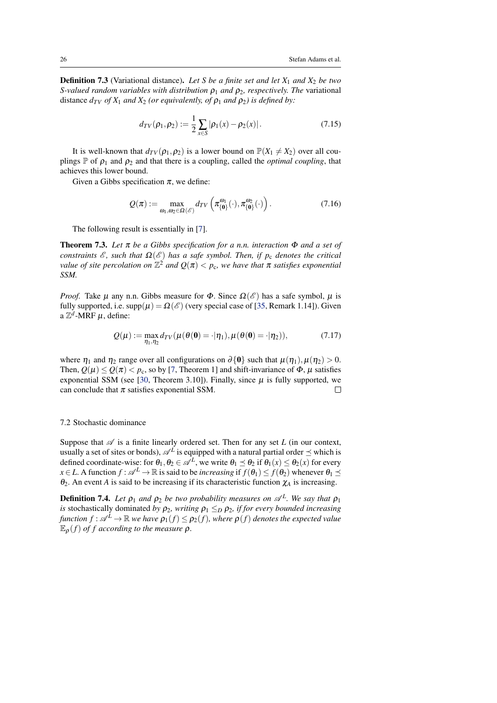<span id="page-25-2"></span>**Definition 7.3** (Variational distance). Let S be a finite set and let  $X_1$  and  $X_2$  be two *S-valued random variables with distribution*  $ρ_1$  *and*  $ρ_2$ *, respectively. The variational* distance  $d_{TV}$  *of*  $X_1$  *and*  $X_2$  *(or equivalently, of*  $\rho_1$  *and*  $\rho_2$ *) is defined by:* 

$$
d_{TV}(\rho_1, \rho_2) := \frac{1}{2} \sum_{x \in S} |\rho_1(x) - \rho_2(x)|. \tag{7.15}
$$

It is well-known that  $d_{TV}(\rho_1, \rho_2)$  is a lower bound on  $\mathbb{P}(X_1 \neq X_2)$  over all couplings  $\mathbb P$  of  $\rho_1$  and  $\rho_2$  and that there is a coupling, called the *optimal coupling*, that achieves this lower bound.

Given a Gibbs specification  $\pi$ , we define:

$$
Q(\pi) := \max_{\omega_1, \omega_2 \in \Omega(\mathscr{E})} d_{TV}\left(\pi_{\{0\}}^{\omega_1}(\cdot), \pi_{\{0\}}^{\omega_2}(\cdot)\right).
$$
 (7.16)

The following result is essentially in [\[7\]](#page-41-8).

<span id="page-25-1"></span>Theorem 7.3. *Let* π *be a Gibbs specification for a n.n. interaction* Φ *and a set of constraints*  $\mathscr E$ *, such that*  $\Omega(\mathscr E)$  *has a safe symbol. Then, if*  $p_c$  *denotes the critical value of site percolation on*  $\mathbb{Z}^2$  *and*  $Q(\pi) < p_c$ , we have that  $\pi$  satisfies exponential *SSM.*

*Proof.* Take  $\mu$  any n.n. Gibbs measure for  $\Phi$ . Since  $\Omega(\mathscr{E})$  has a safe symbol,  $\mu$  is fully supported, i.e.  $supp(\mu) = \Omega(\mathscr{E})$  (very special case of [\[35,](#page-43-0) Remark 1.14]). Given a  $\mathbb{Z}^d$ -MRF  $\mu$ , define:

$$
Q(\mu) := \max_{\eta_1, \eta_2} d_{TV}(\mu(\theta(\mathbf{0}) = \cdot | \eta_1), \mu(\theta(\mathbf{0}) = \cdot | \eta_2)), \tag{7.17}
$$

where  $\eta_1$  and  $\eta_2$  range over all configurations on  $\partial\{\theta\}$  such that  $\mu(\eta_1), \mu(\eta_2) > 0$ . Then,  $Q(\mu) \leq Q(\pi) < p_c$ , so by [\[7,](#page-41-8) Theorem 1] and shift-invariance of  $\Phi$ ,  $\mu$  satisfies exponential SSM (see [\[30,](#page-42-11) Theorem 3.10]). Finally, since  $\mu$  is fully supported, we can conclude that  $\pi$  satisfies exponential SSM.  $\Box$ 

## <span id="page-25-0"></span>7.2 Stochastic dominance

Suppose that  $\mathscr A$  is a finite linearly ordered set. Then for any set  $L$  (in our context, usually a set of sites or bonds),  $\mathscr{A}^L$  is equipped with a natural partial order  $\preceq$  which is defined coordinate-wise: for  $\theta_1, \theta_2 \in \mathcal{A}^L$ , we write  $\theta_1 \preceq \theta_2$  if  $\theta_1(x) \leq \theta_2(x)$  for every  $x \in L$ . A function  $f : \mathcal{A}^L \to \mathbb{R}$  is said to be *increasing* if  $f(\theta_1) \leq f(\theta_2)$  whenever  $\theta_1 \leq$ θ2. An event *A* is said to be increasing if its characteristic function χ*<sup>A</sup>* is increasing.

**Definition 7.4.** Let  $\rho_1$  and  $\rho_2$  be two probability measures on  $\mathscr{A}^L$ . We say that  $\rho_1$ *is* stochastically dominated *by*  $\rho_2$ *, writing*  $\rho_1 \leq_D \rho_2$ *, if for every bounded increasing function*  $f: \mathscr{A}^L \to \mathbb{R}$  *we have*  $\rho_1(f) \leq \rho_2(f)$ *, where*  $\rho(f)$  *denotes the expected value*  $\mathbb{E}_{\rho}(f)$  *of f according to the measure*  $\rho$ *.*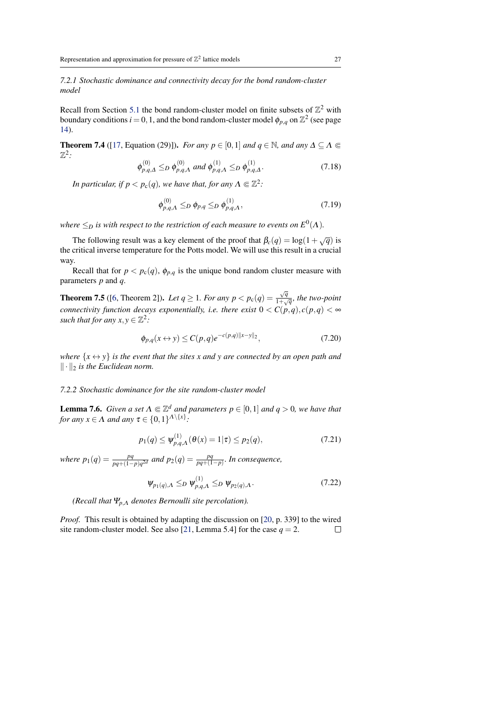<span id="page-26-3"></span>*7.2.1 Stochastic dominance and connectivity decay for the bond random-cluster model*

Recall from Section [5.1](#page-12-1) the bond random-cluster model on finite subsets of  $\mathbb{Z}^2$  with boundary conditions  $i = 0, 1$ , and the bond random-cluster model  $\phi_{p,q}$  on  $\mathbb{Z}^2$  (see page [14\)](#page-12-2).

<span id="page-26-0"></span>**Theorem 7.4** ([\[17,](#page-41-12) Equation (29)]). *For any*  $p \in [0,1]$  *and*  $q \in \mathbb{N}$ *, and any*  $\Delta \subseteq \Lambda \subseteq$ Z 2 *:*

$$
\phi_{p,q,\Delta}^{(0)} \leq_D \phi_{p,q,\Lambda}^{(0)} \text{ and } \phi_{p,q,\Lambda}^{(1)} \leq_D \phi_{p,q,\Delta}^{(1)}.
$$
\n(7.18)

In particular, if  $p < p_c(q)$ , we have that, for any  $\Lambda \Subset \mathbb{Z}^2$ :

$$
\phi_{p,q,\Lambda}^{(0)} \leq_D \phi_{p,q} \leq_D \phi_{p,q,\Lambda}^{(1)},\tag{7.19}
$$

where  $\leq_D$  is with respect to the restriction of each measure to events on  $E^0(\Lambda).$ 

The following result was a key element of the proof that  $\beta_c(q) = \log(1 + \sqrt{q})$  is the critical inverse temperature for the Potts model. We will use this result in a crucial way.

Recall that for  $p < p_c(q)$ ,  $\phi_{p,q}$  is the unique bond random cluster measure with parameters *p* and *q*.

<span id="page-26-1"></span>**Theorem 7.5** ([\[6,](#page-41-11) Theorem 2]). Let  $q \ge 1$ . For any  $p < p_c(q) = \frac{\sqrt{q}}{1 + \sqrt{q}}$  $\frac{\sqrt{q}}{1+\sqrt{q}}$ *, the two-point connectivity function decays exponentially, i.e. there exist*  $0 < C(p,q), c(p,q) < \infty$ *such that for any*  $x, y \in \mathbb{Z}^2$ *:* 

$$
\phi_{p,q}(x \leftrightarrow y) \le C(p,q)e^{-c(p,q)\|x-y\|_2},\tag{7.20}
$$

*where*  $\{x \leftrightarrow y\}$  *is the event that the sites x and y are connected by an open path and*  $\|\cdot\|_2$  *is the Euclidean norm.* 

# *7.2.2 Stochastic dominance for the site random-cluster model*

<span id="page-26-2"></span>**Lemma 7.6.** *Given a set*  $\Lambda \subseteq \mathbb{Z}^d$  *and parameters*  $p \in [0,1]$  *and*  $q > 0$ *, we have that for any*  $x \in \Lambda$  *and any*  $\tau \in \{0,1\}^{\Lambda \setminus \{x\}}$ :

$$
p_1(q) \le \psi_{p,q,\Lambda}^{(1)}(\theta(x) = 1|\tau) \le p_2(q),\tag{7.21}
$$

*where*  $p_1(q) = \frac{pq}{pq + (1-p)q^{2d}}$  and  $p_2(q) = \frac{pq}{pq + (1-p)}$ . In consequence,

$$
\psi_{p_1(q),\Lambda} \leq_D \psi_{p,q,\Lambda}^{(1)} \leq_D \psi_{p_2(q),\Lambda}.
$$
\n(7.22)

*(Recall that*  $\Psi_{p,\Lambda}$  *denotes Bernoulli site percolation).* 

*Proof.* This result is obtained by adapting the discussion on [\[20,](#page-42-6) p. 339] to the wired site random-cluster model. See also [\[21,](#page-42-7) Lemma 5.4] for the case  $q = 2$ .  $\Box$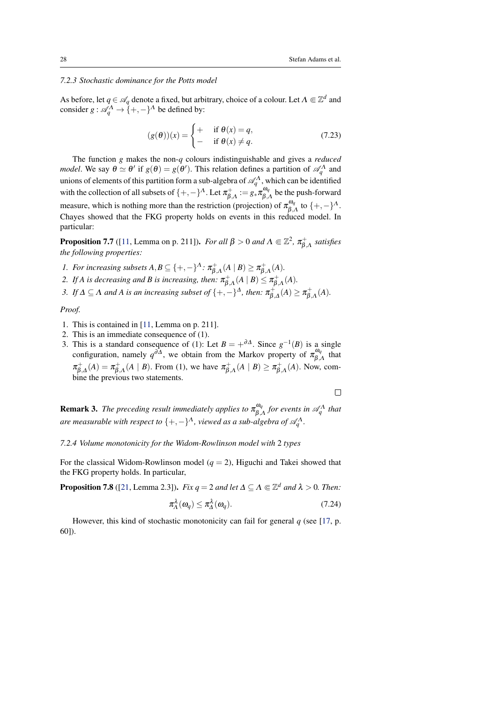# <span id="page-27-4"></span><span id="page-27-0"></span>*7.2.3 Stochastic dominance for the Potts model*

As before, let  $q \in \mathcal{A}_q$  denote a fixed, but arbitrary, choice of a colour. Let  $\Lambda \Subset \mathbb{Z}^d$  and consider  $g: \mathcal{A}_q^{\Lambda} \to \{+,-\}^{\Lambda}$  be defined by:

$$
(g(\theta))(x) = \begin{cases} + & \text{if } \theta(x) = q, \\ - & \text{if } \theta(x) \neq q. \end{cases}
$$
 (7.23)

The function *g* makes the non-*q* colours indistinguishable and gives a *reduced model*. We say  $\theta \simeq \theta'$  if  $g(\theta) = g(\theta')$ . This relation defines a partition of  $\mathscr{A}_q^{\Lambda}$  and unions of elements of this partition form a sub-algebra of  $\mathcal{A}_q^{\Lambda}$ , which can be identified with the collection of all subsets of  $\{+,-\}^{\Lambda}$ . Let  $\pi_{\beta,\Lambda}^{+} := g_* \pi_{\beta,\Lambda}^{\omega_q}$  $\int_{\beta,A}^{\omega_q}$  be the push-forward measure, which is nothing more than the restriction (projection) of  $\pi_{\beta}^{\omega_q}$  $\int_{\beta,\Lambda}^{\omega_q}$  to  $\{+,-\}^{\Lambda}$ . Chayes showed that the FKG property holds on events in this reduced model. In particular:

<span id="page-27-1"></span>**Proposition 7.7** ([\[11,](#page-41-6) Lemma on p. 211]). *For all*  $\beta > 0$  *and*  $\Lambda \Subset \mathbb{Z}^2$ ,  $\pi_{\beta,\Lambda}^+$  *satisfies the following properties:*

- *1. For increasing subsets*  $A, B \subseteq \{+, -\}^{\Lambda}$ :  $\pi_{\beta, \Lambda}^{+}(A \mid B) \geq \pi_{\beta, \Lambda}^{+}(A)$ *.*
- 2. If A is decreasing and B is increasing, then:  $\pi_{\beta,\Lambda}^+(A \mid B) \leq \pi_{\beta,\Lambda}^+(A)$ .
- 3. If  $\Delta \subseteq \Lambda$  and A is an increasing subset of  $\{+,-\}^{\Delta}$ , then:  $\pi_{\beta,\Delta}^{+}(A) \geq \pi_{\beta,\Lambda}^{+}(A)$ .

*Proof.*

- 1. This is contained in [\[11,](#page-41-6) Lemma on p. 211].
- 2. This is an immediate consequence of (1).
- 3. This is a standard consequence of (1): Let  $B = +^{\partial \Delta}$ . Since  $g^{-1}(B)$  is a single configuration, namely  $q^{\partial A}$ , we obtain from the Markov property of  $\pi_{\beta}^{\omega_q}$  $\beta_{,\Lambda}^{\omega_q}$  that  $\pi_{\beta,\Delta}^+(A) = \pi_{\beta,\Lambda}^+(A \mid B)$ . From (1), we have  $\pi_{\beta,\Lambda}^+(A \mid B) \ge \pi_{\beta,\Lambda}^+(A)$ . Now, combine the previous two statements

 $\Box$ 

<span id="page-27-2"></span>**Remark 3.** *The preceding result immediately applies to*  $\pi_{\beta}^{\omega_q}$  $\int_{\beta,\Lambda}^{\omega_q}$  for events in  $\mathscr{A}_q^{\Lambda}$  that are measurable with respect to  $\{+,-\}^{\Lambda}$ , viewed as a sub-algebra of  $\mathscr{A}_q^{\Lambda}$ .

*7.2.4 Volume monotonicity for the Widom-Rowlinson model with* 2 *types*

For the classical Widom-Rowlinson model  $(q = 2)$ , Higuchi and Takei showed that the FKG property holds. In particular,

<span id="page-27-3"></span>**Proposition 7.8** ([\[21,](#page-42-7) Lemma 2.3]). *Fix q* = 2 *and let*  $\Delta \subseteq \Lambda \subseteq \mathbb{Z}^d$  *and*  $\lambda > 0$ *. Then:* 

$$
\pi_{\Lambda}^{\lambda}(\omega_q) \le \pi_{\Lambda}^{\lambda}(\omega_q). \tag{7.24}
$$

However, this kind of stochastic monotonicity can fail for general *q* (see [\[17,](#page-41-12) p. 60]).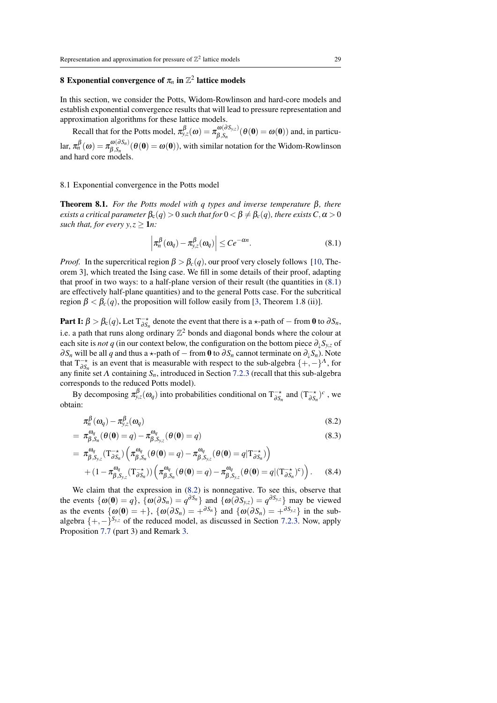# <span id="page-28-6"></span><span id="page-28-0"></span>**8** Exponential convergence of  $\pi_n$  in  $\mathbb{Z}^2$  lattice models

In this section, we consider the Potts, Widom-Rowlinson and hard-core models and establish exponential convergence results that will lead to pressure representation and approximation algorithms for these lattice models.

Recall that for the Potts model,  $\pi_{y,z}^{\beta}(\omega) = \pi_{\beta,s,z}^{\omega(\partial S_{y,z})}$  $\mathcal{L}_{\beta,S_n}^{\omega(\omega, S_{y,z})}(\theta(\mathbf{0}) = \omega(\mathbf{0}))$  and, in particular,  $\pi_n^{\beta}(\omega) = \pi_{\beta, S_n}^{\omega(\partial S_n)}$  $\mathcal{L}_{\beta,S_n}^{\omega(\omega,S_n)}(\theta(0) = \omega(0)),$  with similar notation for the Widom-Rowlinson and hard core models.

#### <span id="page-28-1"></span>8.1 Exponential convergence in the Potts model

<span id="page-28-2"></span>Theorem 8.1. *For the Potts model with q types and inverse temperature* β*, there exists a critical parameter*  $\beta_c(q) > 0$  *such that for*  $0 < \beta \neq \beta_c(q)$ *, there exists*  $C, \alpha > 0$ *such that, for every*  $y, z \ge 1n$ *:* 

<span id="page-28-4"></span><span id="page-28-3"></span>
$$
\left|\pi_n^{\beta}(\omega_q) - \pi_{y,z}^{\beta}(\omega_q)\right| \le Ce^{-\alpha n}.\tag{8.1}
$$

*Proof.* In the supercritical region  $\beta > \beta_c(q)$ , our proof very closely follows [\[10,](#page-41-13) Theorem 3], which treated the Ising case. We fill in some details of their proof, adapting that proof in two ways: to a half-plane version of their result (the quantities in  $(8.1)$ ) are effectively half-plane quantities) and to the general Potts case. For the subcritical region  $\beta < \beta_c(q)$ , the proposition will follow easily from [\[3,](#page-41-7) Theorem 1.8 (ii)].

Part I:  $\beta > \beta_c(q)$ . Let  $T_{\partial S_n}^{-\star}$  denote the event that there is a  $\star$ -path of  $-$  from 0 to  $\partial S_n$ , i.e. a path that runs along ordinary  $\mathbb{Z}^2$  bonds and diagonal bonds where the colour at each site is *not q* (in our context below, the configuration on the bottom piece  $\partial_{\mu}S_{y,z}$  of ∂*S<sub>n</sub>* will be all *q* and thus a  $\star$ -path of − from **0** to ∂*S<sub>n</sub>* cannot terminate on ∂<sub>↓</sub>*S<sub>n</sub>*). Note that  $T^{-\star}_{\partial S_n}$  is an event that is measurable with respect to the sub-algebra  $\{+,-\}^{\Lambda}$ , for any finite set Λ containing *Sn*, introduced in Section [7.2.3](#page-27-0) (recall that this sub-algebra corresponds to the reduced Potts model).

By decomposing  $\pi_{y,z}^{\beta}(\omega_q)$  into probabilities conditional on  $T_{\partial S_n}^{-\star}$  and  $(T_{\partial S_n}^{-\star})^c$ , we obtain:

<span id="page-28-5"></span>
$$
\pi_n^{\beta}(\omega_q) - \pi_{y,z}^{\beta}(\omega_q) \tag{8.2}
$$

$$
= \pi_{\beta, S_n}^{\omega_q}(\theta(\mathbf{0}) = q) - \pi_{\beta, S_{y,z}}^{\omega_q}(\theta(\mathbf{0}) = q)
$$
\n(8.3)

$$
= \pi^{\omega_q}_{\beta, S_{y,z}}(T^{-\star}_{\partial S_n}) \left( \pi^{\omega_q}_{\beta, S_n}(\theta(\mathbf{0}) = q) - \pi^{\omega_q}_{\beta, S_{y,z}}(\theta(\mathbf{0}) = q | T^{-\star}_{\partial S_n}) \right) + (1 - \pi^{\omega_q}_{\beta, S_{y,z}}(T^{-\star}_{\partial S_n})) \left( \pi^{\omega_q}_{\beta, S_n}(\theta(\mathbf{0}) = q) - \pi^{\omega_q}_{\beta, S_{y,z}}(\theta(\mathbf{0}) = q | (T^{-\star}_{\partial S_n})^c) \right).
$$
 (8.4)

We claim that the expression in [\(8.2\)](#page-28-4) is nonnegative. To see this, observe that the events  $\{\omega(\mathbf{0}) = q\}$ ,  $\{\omega(\partial S_n) = q^{\partial S_n}\}\$  and  $\{\omega(\partial S_{y,z}) = q^{\partial S_{y,z}}\}\$  may be viewed as the events  $\{\omega(0) = +\}, \{\omega(\partial S_n) = +\partial S_n\}$  and  $\{\omega(\partial S_n) = +\partial S_{y,z}\}\$  in the subalgebra  $\{+,-\}^{S_{y,z}}$  of the reduced model, as discussed in Section [7.2.3.](#page-27-0) Now, apply Proposition [7.7](#page-27-1) (part 3) and Remark [3.](#page-27-2)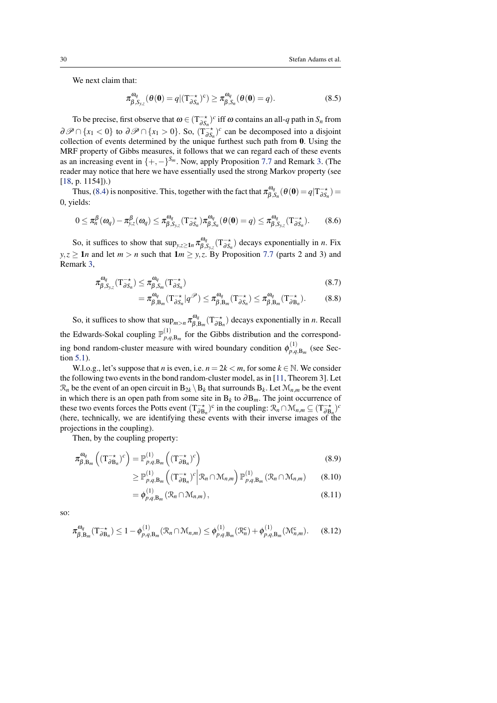<span id="page-29-1"></span>We next claim that:

$$
\pi^{\omega_q}_{\beta, S_{y,z}}(\theta(\mathbf{0}) = q | (T^{-\star}_{\partial S_n})^c) \geq \pi^{\omega_q}_{\beta, S_n}(\theta(\mathbf{0}) = q).
$$
 (8.5)

To be precise, first observe that  $\omega \in (T_{\partial S_n}^{-\star})^c$  iff  $\omega$  contains an all-q path in  $S_n$  from  $\partial \mathcal{P} \cap \{x_1 < 0\}$  to  $\partial \mathcal{P} \cap \{x_1 > 0\}$ . So,  $(T^{-*}_{\partial S_n})^c$  can be decomposed into a disjoint collection of events determined by the unique furthest such path from  $\mathbf{0}$ . Using the MRF property of Gibbs measures, it follows that we can regard each of these events as an increasing event in  $\{+,-\}^{S_m}$ . Now, apply Proposition [7.7](#page-27-1) and Remark [3.](#page-27-2) (The reader may notice that here we have essentially used the strong Markov property (see [\[18,](#page-42-12) p. 1154]).)

Thus, [\(8.4\)](#page-28-5) is nonpositive. This, together with the fact that  $\pi_{\beta}^{\omega_q}$  $\mathcal{L}_{\beta,S_n}^{\omega_q}(\theta(\mathbf{0})=q|\mathrm{T}_{\partial S_n}^{-\star})=$ 0, yields:

$$
0 \leq \pi_n^{\beta}(\omega_q) - \pi_{y,z}^{\beta}(\omega_q) \leq \pi_{\beta,S_{y,z}}^{\omega_q}(T_{\partial S_n}^{-\star})\pi_{\beta,S_n}^{\omega_q}(\theta(0) = q) \leq \pi_{\beta,S_{y,z}}^{\omega_q}(T_{\partial S_n}^{-\star}).
$$
 (8.6)

So, it suffices to show that  $\sup_{y,z\geq 1} \pi_{\beta}^{\omega_q}$  $\int_{\beta,S_{y,z}}^{\beta} (T_{\partial S_n}^{-\star})$  decays exponentially in *n*. Fix  $y, z \ge 1$ *n* and let  $m > n$  such that  $1m \ge y, z$ . By Proposition [7.7](#page-27-1) (parts 2 and 3) and Remark [3,](#page-27-2)

$$
\pi^{\omega_q}_{\beta, S_{y,z}}(T^{\to}_{\partial S_n}) \leq \pi^{\omega_q}_{\beta, S_m}(T^{\to}_{\partial S_n})
$$
\n(8.7)

<span id="page-29-0"></span>
$$
= \pi_{\beta, B_m}^{\omega_q} (T^{-\star}_{\partial S_n} | q^{\mathscr{P}}) \leq \pi_{\beta, B_m}^{\omega_q} (T^{-\star}_{\partial S_n}) \leq \pi_{\beta, B_m}^{\omega_q} (T^{-\star}_{\partial B_n}). \tag{8.8}
$$

So, it suffices to show that  $\sup_{m>n} \pi_{\beta,1}^{\omega_q}$  $\int_{\beta,B_m}^{\omega_q}$  (T<sub> $\rightarrow B_n$ </sub>) decays exponentially in *n*. Recall the Edwards-Sokal coupling  $\mathbb{P}_{n,q}^{(1)}$  $p_{p,q,\text{B}_{m}}^{(1)}$  for the Gibbs distribution and the corresponding bond random-cluster measure with wired boundary condition  $\phi_{p,q}^{(1)}$  $p_{q}^{(1)}$ <sub>*p*,*q*,B<sub>*m*</sub></sub> (see Section [5.1\)](#page-12-1).

W.l.o.g., let's suppose that *n* is even, i.e.  $n = 2k < m$ , for some  $k \in \mathbb{N}$ . We consider the following two events in the bond random-cluster model, as in [\[11,](#page-41-6) Theorem 3]. Let  $\mathcal{R}_n$  be the event of an open circuit in  $B_{2k} \setminus B_k$  that surrounds  $B_k$ . Let  $\mathcal{M}_{n,m}$  be the event in which there is an open path from some site in B*<sup>k</sup>* to ∂B*m*. The joint occurrence of these two events forces the Potts event  $(T_{\partial B_n}^{-\star})^c$  in the coupling:  $\mathcal{R}_n \cap \mathcal{M}_{n,m} \subseteq (T_{\partial B_n}^{-\star})^c$ (here, technically, we are identifying these events with their inverse images of the projections in the coupling).

Then, by the coupling property:

 $=$ 

$$
\pi_{\beta, B_m}^{\omega_q} \left( (\mathbf{T}_{\partial B_n}^{-\star})^c \right) = \mathbb{P}_{p,q, B_m}^{(1)} \left( (\mathbf{T}_{\partial B_n}^{-\star})^c \right)
$$
\n(8.9)

$$
\geq \mathbb{P}_{p,q,\mathbf{B}_{m}}^{(1)}\left( (\mathbf{T}_{\partial\mathbf{B}_{n}}^{-\star})^{c} \Big| \mathcal{R}_{n} \cap \mathcal{M}_{n,m} \right) \mathbb{P}_{p,q,\mathbf{B}_{m}}^{(1)}\left( \mathcal{R}_{n} \cap \mathcal{M}_{n,m} \right) \tag{8.10}
$$

$$
= \phi_{p,q,\mathbf{B}_m}^{(1)}\left(\mathcal{R}_n \cap \mathcal{M}_{n,m}\right),\tag{8.11}
$$

so:

$$
\pi^{\omega_q}_{\beta,\mathbf{B}_m}(\mathbf{T}^{-\star}_{\partial \mathbf{B}_n}) \le 1 - \phi^{(1)}_{p,q,\mathbf{B}_m}(\mathcal{R}_n \cap \mathcal{M}_{n,m}) \le \phi^{(1)}_{p,q,\mathbf{B}_m}(\mathcal{R}^c_n) + \phi^{(1)}_{p,q,\mathbf{B}_m}(\mathcal{M}^c_{n,m}).
$$
 (8.12)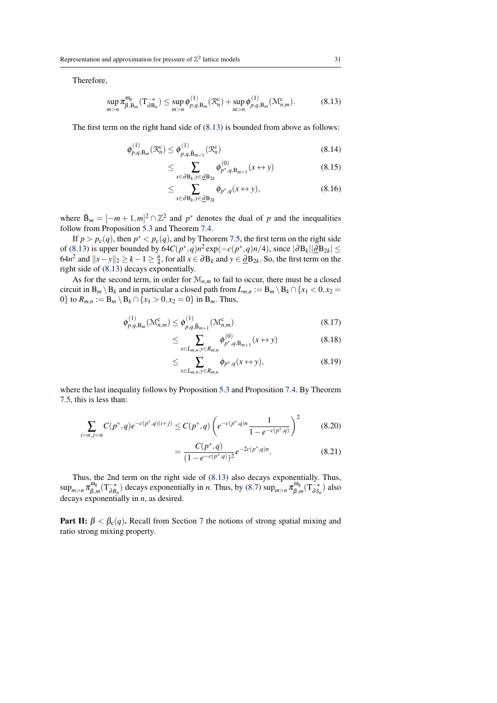Therefore,

<span id="page-30-0"></span>
$$
\sup_{m>n} \pi_{\beta,\mathcal{B}_m}^{\omega_q}(\mathcal{T}_{\partial\mathcal{B}_n}^{\to}) \leq \sup_{m>n} \phi_{p,q,\mathcal{B}_m}^{(1)}(\mathcal{R}_n^c) + \sup_{m>n} \phi_{p,q,\mathcal{B}_m}^{(1)}(\mathcal{M}_{n,m}^c). \tag{8.13}
$$

The first term on the right hand side of [\(8.13\)](#page-30-0) is bounded from above as follows:

$$
\phi_{p,q,\mathbf{B}_m}^{(1)}(\mathcal{R}_n^c) \le \phi_{p,q,\tilde{\mathbf{B}}_{m+1}}^{(1)}(\mathcal{R}_n^c)
$$
\n(8.14)

$$
\leq \sum_{x \in \partial B_k, y \in \underline{\partial} B_{2k}} \phi_{p^*,q, B_{m+1}}^{(0)}(x \leftrightarrow y) \tag{8.15}
$$

$$
\leq \sum_{x \in \partial B_k, y \in \underline{\partial} B_{2k}} \phi_{p^*,q}(x \leftrightarrow y), \tag{8.16}
$$

where  $\tilde{B}_m = [-m+1,m]^2 \cap \mathbb{Z}^2$  and  $p^*$  denotes the dual of p and the inequalities follow from Proposition [5.3](#page-14-3) and Theorem [7.4.](#page-26-0)

If  $p > p_c(q)$ , then  $p^* < p_c(q)$ , and by Theorem [7.5,](#page-26-1) the first term on the right side of [\(8.13\)](#page-30-0) is upper bounded by  $64C(p^*,q)n^2 \exp(-c(p^*,q)n/4)$ , since  $|\partial B_k||\partial B_{2k}| \le$ 64*n*<sup>2</sup> and  $||x-y||_2 \ge k-1 \ge \frac{n}{4}$ , for all  $x \in \partial B_k$  and  $y \in \partial B_{2k}$ . So, the first term on the right side of [\(8.13\)](#page-30-0) decays exponentially.

As for the second term, in order for  $\mathcal{M}_{n,m}$  to fail to occur, there must be a closed circuit in  $B_m \setminus B_k$  and in particular a closed path from  $L_{m,n} := B_m \setminus B_k \cap \{x_1 < 0, x_2 = 0\}$ 0} to  $R_{m,n} := B_m \setminus B_k \cap \{x_1 > 0, x_2 = 0\}$  in  $B_m$ . Thus,

$$
\phi_{p,q,\mathbf{B}_m}^{(1)}(\mathcal{M}_{n,m}^{\mathbf{c}}) \le \phi_{p,q,\tilde{\mathbf{B}}_{m+1}}^{(1)}(\mathcal{M}_{n,m}^{\mathbf{c}})
$$
\n(8.17)

$$
\leq \sum_{x \in L_{m,n}, y \in R_{m,n}} \phi_{p^*,q,B_{m+1}}^{(0)}(x \leftrightarrow y) \tag{8.18}
$$

$$
\leq \sum_{x \in L_{m,n}, y \in R_{m,n}} \phi_{p^*,q}(x \leftrightarrow y), \tag{8.19}
$$

where the last inequality follows by Proposition [5.3](#page-14-3) and Proposition [7.4.](#page-26-0) By Theorem [7.5,](#page-26-1) this is less than:

$$
\sum_{i=n,j=n} C(p^*,q) e^{-c(p^*,q)(i+j)} \le C(p^*,q) \left( e^{-c(p^*,q)n} \frac{1}{1 - e^{-c(p^*,q)}} \right)^2 \tag{8.20}
$$

$$
=\frac{C(p^*,q)}{(1-e^{-c(p^*,q)})^2}e^{-2c(p^*,q)n}.\tag{8.21}
$$

Thus, the 2nd term on the right side of [\(8.13\)](#page-30-0) also decays exponentially. Thus,  $\sup_{m>n}\pi_{\beta}^{\omega_q}$  $\int_{\beta,m}^{\omega_q} (T^{-\star}_{\partial B_n})$  decays exponentially in *n*. Thus, by [\(8.7\)](#page-29-0) sup<sub>*m*>*n*</sub>  $\pi_{\beta,n}^{\omega_q}$  $\zeta_{\beta,m}^{\omega_q}(\mathrm{T}_{\partial S_n}^{-\star})$  also decays exponentially in *n*, as desired.

**Part II:**  $\beta < \beta_c(q)$ . Recall from Section [7](#page-22-0) the notions of strong spatial mixing and ratio strong mixing property.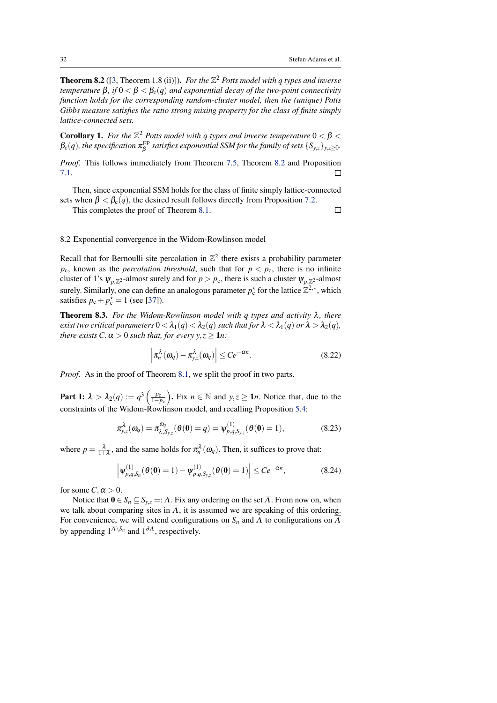$\Box$ 

<span id="page-31-4"></span><span id="page-31-2"></span>**Theorem 8.2** ([\[3,](#page-41-7) Theorem 1.8 (ii)]). *For the*  $\mathbb{Z}^2$  *Potts model with q types and inverse temperature*  $\beta$ *, if*  $0 < \beta < \beta_c(q)$  *and exponential decay of the two-point connectivity function holds for the corresponding random-cluster model, then the (unique) Potts Gibbs measure satisfies the ratio strong mixing property for the class of finite simply lattice-connected sets.*

<span id="page-31-1"></span>**Corollary 1.** For the  $\mathbb{Z}^2$  Potts model with q types and inverse temperature  $0 < \beta <$  $\beta_c(q)$ , the specification  $\pi^\text{FP}_\beta$  satisfies exponential SSM for the family of sets  $\{S_{y,z}\}_{y,z\geq 0}$ .

*Proof.* This follows immediately from Theorem [7.5,](#page-26-1) Theorem [8.2](#page-31-2) and Proposition [7.1.](#page-23-2)  $\Box$ 

Then, since exponential SSM holds for the class of finite simply lattice-connected sets when  $\beta < \beta_c(q)$ , the desired result follows directly from Proposition [7.2.](#page-24-0)

This completes the proof of Theorem [8.1.](#page-28-2)

# <span id="page-31-0"></span>8.2 Exponential convergence in the Widom-Rowlinson model

Recall that for Bernoulli site percolation in  $\mathbb{Z}^2$  there exists a probability parameter  $p_c$ , known as the *percolation threshold*, such that for  $p < p_c$ , there is no infinite cluster of 1's  $\psi_{p,\mathbb{Z}^2}$ -almost surely and for  $p > p_c$ , there is such a cluster  $\psi_{p,\mathbb{Z}^2}$ -almost surely. Similarly, one can define an analogous parameter  $p_c^*$  for the lattice  $\mathbb{Z}^2$ <sup>\*</sup>, which satisfies  $p_c + p_c^* = 1$  (see [\[37\]](#page-43-5)).

<span id="page-31-3"></span>Theorem 8.3. *For the Widom-Rowlinson model with q types and activity* λ*, there exist two critical parameters*  $0 < \lambda_1(q) < \lambda_2(q)$  *such that for*  $\lambda < \lambda_1(q)$  *or*  $\lambda > \lambda_2(q)$ *, there exists*  $C, \alpha > 0$  *such that, for every*  $y, z \ge 1$ *n*:

$$
\left|\pi_n^{\lambda}(\omega_q) - \pi_{y,z}^{\lambda}(\omega_q)\right| \le Ce^{-\alpha n}.\tag{8.22}
$$

*Proof.* As in the proof of Theorem [8.1,](#page-28-2) we split the proof in two parts.

**Part I:**  $\lambda > \lambda_2(q) := q^3 \left( \frac{p_c}{1-p_c} \right)$ . Fix  $n \in \mathbb{N}$  and  $y, z \ge 1n$ . Notice that, due to the constraints of the Widom-Rowlinson model, and recalling Proposition [5.4:](#page-15-1)

$$
\pi_{y,z}^{\lambda}(\omega_q) = \pi_{\lambda,S_{y,z}}^{\omega_q}(\theta(0) = q) = \psi_{p,q,S_{y,z}}^{(1)}(\theta(0) = 1),
$$
\n(8.23)

where  $p = \frac{\lambda}{1+\lambda}$ , and the same holds for  $\pi_n^{\lambda}(\omega_q)$ . Then, it suffices to prove that:

$$
\left| \psi_{p,q,S_n}^{(1)}(\theta(\mathbf{0}) = 1) - \psi_{p,q,S_{y,z}}^{(1)}(\theta(\mathbf{0}) = 1) \right| \le Ce^{-\alpha n}, \tag{8.24}
$$

for some  $C, \alpha > 0$ .

Notice that  $0 \in S_n \subseteq S_{v,z} =: \Lambda$ . Fix any ordering on the set  $\overline{\Lambda}$ . From now on, when we talk about comparing sites in  $\overline{\Lambda}$ , it is assumed we are speaking of this ordering. For convenience, we will extend configurations on  $S_n$  and  $\Lambda$  to configurations on  $\overline{\Lambda}$ by appending  $1^{\overline{A}\setminus S_n}$  and  $1^{\partial A}$ , respectively.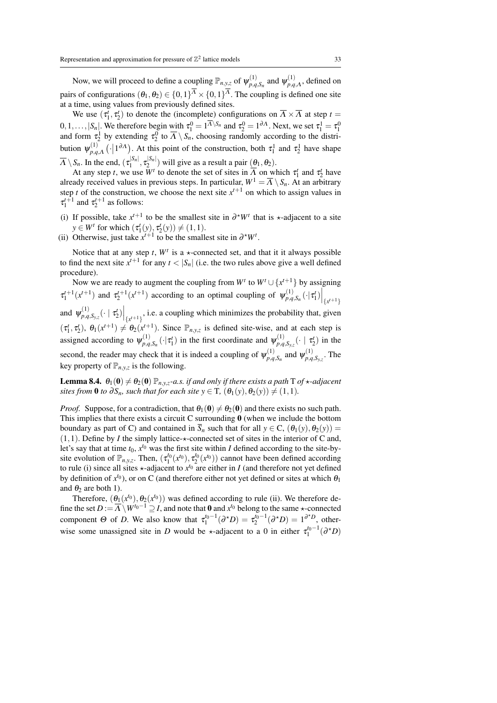Now, we will proceed to define a coupling  $\mathbb{P}_{n,y,z}$  of  $\psi_{p,q}^{(1)}$  $\varphi_{p,q,S_n}^{(1)}$  and  $\psi_{p,q}^{(1)}$  $p,q,\Lambda$ , defined on pairs of configurations  $(\theta_1, \theta_2) \in \{0, 1\}^{\Lambda} \times \{0, 1\}^{\Lambda}$ . The coupling is defined one site at a time, using values from previously defined sites.

We use  $(\tau_1^t, \tau_2^t)$  to denote the (incomplete) configurations on  $\overline{\Lambda} \times \overline{\Lambda}$  at step  $t =$  $_1, v_2$  $[0, 1, ..., |S_n]$ . We therefore begin with  $\tau_1^0 = 1^{\overline{A} \setminus S_n}$  and  $\tau_2^0 = 1^{\partial A}$ . Next, we set  $\tau_1^1 = \tau_1^0$  and form  $\tau_2^1$  by extending  $\tau_2^0$  to  $\overline{A} \setminus S_n$ , choosing randomly according to the distribution  $\psi_{p,q}^{(1)}$  $\tau_1^{(1)}$ , ( $\cdot$ |1<sup>∂Λ</sup>). At this point of the construction, both  $\tau_1^1$  and  $\tau_2^1$  have shape  $\overline{\Lambda} \setminus S_n$ . In the end,  $(\tau_1^{|S_n|}, \tau_2^{|S_n|})$  will give as a result a pair  $(\theta_1, \theta_2)$ .

At any step *t*, we use  $\overline{W}$ <sup>*t*</sup> to denote the set of sites in  $\overline{A}$  on which  $\tau_1^t$  and  $\tau_2^t$  have already received values in previous steps. In particular,  $W^1 = \overline{A} \setminus S_n$ . At an arbitrary step *t* of the construction, we choose the next site  $x^{t+1}$  on which to assign values in  $\tau_1^{t+1}$  and  $\tau_2^{t+1}$  as follows:

- (i) If possible, take  $x^{t+1}$  to be the smallest site in  $\partial^*W^t$  that is  $\star$ -adjacent to a site  $y \in W^t$  for which  $(\tau_1^t(y), \tau_2^t(y)) \neq (1,1)$ .
- (ii) Otherwise, just take  $x^{t+1}$  to be the smallest site in  $\partial^*W^t$ .

Notice that at any step  $t$ ,  $W<sup>t</sup>$  is a  $\star$ -connected set, and that it it always possible to find the next site  $x^{t+1}$  for any  $t < |S_n|$  (i.e. the two rules above give a well defined procedure).

Now we are ready to augment the coupling from  $W^t$  to  $W^t \cup \{x^{t+1}\}$  by assigning  $\tau_1^{t+1}(x^{t+1})$  and  $\tau_2^{t+1}(x^{t+1})$  according to an optimal coupling of  $\psi_{p,q}^{(1)}$  $\begin{bmatrix} 1 \ p,q,S_n \end{bmatrix} \left( \cdot \big| \boldsymbol{\tau}_1^t \right) \bigg|_{\{ \boldsymbol{x}^{t+1} \}}$ and  $\psi_{p,q}^{(1)}$  $\left\{ \left. \mu_{p,q,S_{y,z}}^{(1)}(\cdot \mid \tau_2^t) \right|_{\{x^{t+1}\}}$ , i.e. a coupling which minimizes the probability that, given  $(\tau_1^t, \tau_2^t), \ \theta_1(x^{t+1}) \neq \theta_2(x^{t+1})$ . Since  $\mathbb{P}_{n,y,z}$  is defined site-wise, and at each step is assigned according to  $\psi_{p,q}^{(1)}$  $\psi_{p,q,S_n}^{(1)}(\cdot|\tau_1^t)$  in the first coordinate and  $\psi_{p,q}^{(1)}$  $\frac{f^{(1)}}{p,q,S_{y,z}}$  (·  $|\tau_2^t)$  in the second, the reader may check that it is indeed a coupling of  $\psi_{p,q}^{(1)}$  $\psi_{p,q,S_n}^{(1)}$  and  $\psi_{p,q}^{(1)}$  $\sum_{p,q,S_{y,z}}^{(1)}$ . The key property of  $\mathbb{P}_{n,y,z}$  is the following.

<span id="page-32-0"></span>**Lemma 8.4.**  $\theta_1(0) \neq \theta_2(0)$   $\mathbb{P}_{n \times n}$ *-a.s. if and only if there exists a path* T *of*  $\star$ *-adjacent sites from* 0 *to*  $\partial S_n$ *, such that for each site*  $y \in T$ *,*  $(\theta_1(y), \theta_2(y)) \neq (1, 1)$ *.* 

*Proof.* Suppose, for a contradiction, that  $\theta_1(0) \neq \theta_2(0)$  and there exists no such path. This implies that there exists a circuit C surrounding  $\bf{0}$  (when we include the bottom boundary as part of C) and contained in  $\overline{S}_n$  such that for all  $y \in C$ ,  $(\theta_1(y), \theta_2(y)) =$  $(1,1)$ . Define by *I* the simply lattice- $\star$ -connected set of sites in the interior of C and, let's say that at time  $t_0$ ,  $x^{t_0}$  was the first site within *I* defined according to the site-bysite evolution of  $\mathbb{P}_{n,y,z}$ . Then,  $(\tau_1^{t_0}(x^{t_0}), \tau_2^{t_0}(x^{t_0}))$  cannot have been defined according to rule (i) since all sites  $\star$ -adjacent to  $x^{t_0}$  are either in *I* (and therefore not yet defined by definition of  $x^{t_0}$ ), or on C (and therefore either not yet defined or sites at which  $\theta_1$ and  $\theta_2$  are both 1).

Therefore,  $(\theta_1(x^{t_0}), \theta_2(x^{t_0}))$  was defined according to rule (ii). We therefore define the set  $D := \overline{A} \setminus W^{t_0-1} \supseteq I$ , and note that  $\bf{0}$  and  $x^{t_0}$  belong to the same  $\star$ -connected component  $\Theta$  of *D*. We also know that  $\tau_1^{t_0-1}(\partial^*D) = \tau_2^{t_0-1}(\partial^*D) = 1^{\partial^*D}$ , otherwise some unassigned site in *D* would be  $\star$ -adjacent to a 0 in either  $\tau_1^{t_0-1}(\partial^{\star}D)$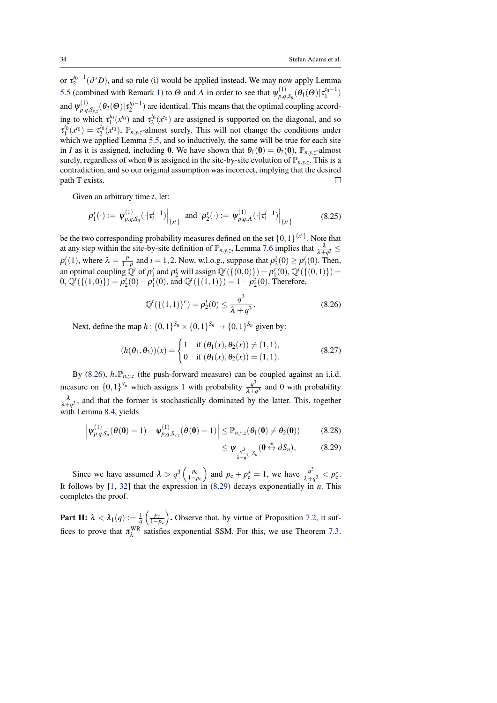<span id="page-33-2"></span>or  $\tau_2^{t_0-1}(\partial^{\star}D)$ , and so rule (i) would be applied instead. We may now apply Lemma [5.5](#page-15-0) (combined with Remark [1\)](#page-17-2) to  $\Theta$  and  $\Lambda$  in order to see that  $\psi_{p,q}^{(1)}$  $\mathcal{F}_{p,q,S_n}^{(1)}(\theta_1(\Theta)|\tau_1^{t_0-1})$ and  $\psi_{p,q}^{(1)}$  $p_{p,q,S_{y,z}}^{(1)}(\theta_2(\Theta)|\tau_2^{t_0-1})$  are identical. This means that the optimal coupling according to which  $\tau_1^{t_0}(x^{t_0})$  and  $\tau_2^{t_0}(x^{t_0})$  are assigned is supported on the diagonal, and so  $\tau_1^{t_0}(x^{t_0}) = \tau_2^{t_0}(x^{t_0})$ ,  $\mathbb{P}_{n,y,z}$ -almost surely. This will not change the conditions under which we applied Lemma [5.5,](#page-15-0) and so inductively, the same will be true for each site in *I* as it is assigned, including **0**. We have shown that  $\theta_1(\mathbf{0}) = \theta_2(\mathbf{0})$ ,  $\mathbb{P}_{n,v,z}$ -almost surely, regardless of when 0 is assigned in the site-by-site evolution of  $\mathbb{P}_{n,y,z}$ . This is a contradiction, and so our original assumption was incorrect, implying that the desired path T exists.  $\Box$ 

Given an arbitrary time *t*, let:

$$
\rho_1^t(\cdot) := \left. \psi_{p,q,S_n}^{(1)}(\cdot|\tau_i^{t-1}) \right|_{\{x^t\}} \text{ and } \left. \rho_2^t(\cdot) := \left. \psi_{p,q,A}^{(1)}(\cdot|\tau_i^{t-1}) \right|_{\{x^t\}} \tag{8.25}
$$

be the two corresponding probability measures defined on the set  $\{0,1\}^{\{x^t\}}$ . Note that at any step within the site-by-site definition of  $\mathbb{P}_{n,y,z}$ , Lemma [7.6](#page-26-2) implies that  $\frac{\lambda}{\lambda+q^3} \leq$  $\rho_i^t(1)$ , where  $\lambda = \frac{p}{1-p}$  and  $i = 1, 2$ . Now, w.l.o.g., suppose that  $\rho_2^t(0) \ge \rho_1^t(0)$ . Then, an optimal coupling  $\mathbb{Q}^t$  of  $\rho_1^t$  and  $\rho_2^t$  will assign  $\mathbb{Q}^t(\{(0,0)\}) = \rho_1^t(0), \mathbb{Q}^t(\{(0,1)\}) =$  $(0, \mathbb{Q}^t(\{(1,0)\}) = \rho_2^t(0) - \rho_1^t(0), \text{ and } \mathbb{Q}^t(\{(1,1)\}) = 1 - \rho_2^t(0).$  Therefore,

<span id="page-33-0"></span>
$$
\mathbb{Q}^{t}(\{(1,1)\}^{c}) = \rho_{2}^{t}(0) \le \frac{q^{3}}{\lambda + q^{3}}.
$$
\n(8.26)

Next, define the map  $h: \{0, 1\}^{S_n} \times \{0, 1\}^{S_n} \to \{0, 1\}^{S_n}$  given by:

$$
(h(\theta_1, \theta_2))(x) = \begin{cases} 1 & \text{if } (\theta_1(x), \theta_2(x)) \neq (1, 1), \\ 0 & \text{if } (\theta_1(x), \theta_2(x)) = (1, 1). \end{cases}
$$
(8.27)

By [\(8.26\)](#page-33-0),  $h_* \mathbb{P}_{n,y,z}$  (the push-forward measure) can be coupled against an i.i.d. measure on  $\{0,1\}^{S_n}$  which assigns 1 with probability  $\frac{q^3}{1+r^2}$  $\frac{q}{\lambda+q^3}$  and 0 with probability  $\frac{\lambda}{\lambda + q^3}$ , and that the former is stochastically dominated by the latter. This, together with Lemma [8.4,](#page-32-0) yields

$$
\left| \psi_{p,q,S_n}^{(1)}(\theta(\mathbf{0}) = 1) - \psi_{p,q,S_{y,z}}^{(1)}(\theta(\mathbf{0}) = 1) \right| \leq \mathbb{P}_{n,y,z}(\theta_1(\mathbf{0}) \neq \theta_2(\mathbf{0})) \tag{8.28}
$$

<span id="page-33-1"></span>
$$
\leq \Psi_{\frac{q^3}{\lambda+q^3},S_n}(\mathbf{0} \stackrel{\star}{\leftrightarrow} \partial S_n), \tag{8.29}
$$

Since we have assumed  $\lambda > q^3 \left( \frac{p_c}{1-p_c} \right)$  and  $p_c + p_c^* = 1$ , we have  $\frac{q^3}{\lambda + q}$  $\frac{q^3}{\lambda+q^3} < p_{\rm c}^*$ . It follows by [\[1,](#page-41-14) [32\]](#page-42-13) that the expression in [\(8.29\)](#page-33-1) decays exponentially in *n*. This completes the proof.

**Part II:**  $\lambda < \lambda_1(q) := \frac{1}{q} \left( \frac{p_c}{1-p_c} \right)$ . Observe that, by virtue of Proposition [7.2,](#page-24-0) it suffices to prove that  $\pi_{\lambda}^{WR}$  satisfies exponential SSM. For this, we use Theorem [7.3.](#page-25-1)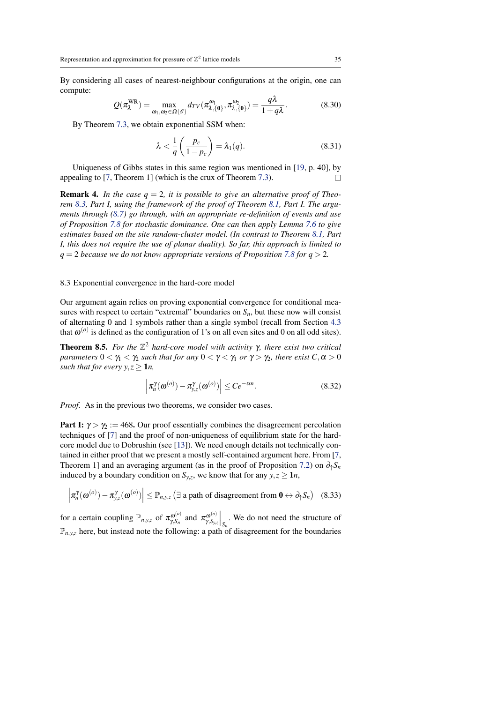<span id="page-34-2"></span>By considering all cases of nearest-neighbour configurations at the origin, one can compute:

$$
Q(\pi_{\lambda}^{WR}) = \max_{\omega_1, \omega_2 \in \Omega(\mathscr{E})} d_{TV}(\pi_{\lambda, \{\mathbf{0}\}}^{\omega_1}, \pi_{\lambda, \{\mathbf{0}\}}^{\omega_2}) = \frac{q\lambda}{1 + q\lambda}.
$$
 (8.30)

By Theorem [7.3,](#page-25-1) we obtain exponential SSM when:

$$
\lambda < \frac{1}{q} \left( \frac{p_c}{1 - p_c} \right) = \lambda_1(q). \tag{8.31}
$$

Uniqueness of Gibbs states in this same region was mentioned in [\[19,](#page-42-5) p. 40], by appealing to [\[7,](#page-41-8) Theorem 1] (which is the crux of Theorem [7.3\)](#page-25-1).  $\Box$ 

**Remark 4.** In the case  $q = 2$ , it is possible to give an alternative proof of Theo*rem [8.3,](#page-31-3) Part I, using the framework of the proof of Theorem [8.1,](#page-28-2) Part I. The arguments through [\(8.7\)](#page-29-0) go through, with an appropriate re-definition of events and use of Proposition [7.8](#page-27-3) for stochastic dominance. One can then apply Lemma [7.6](#page-26-2) to give estimates based on the site random-cluster model. (In contrast to Theorem [8.1,](#page-28-2) Part I, this does not require the use of planar duality). So far, this approach is limited to*  $q = 2$  *because we do not know appropriate versions of Proposition* [7.8](#page-27-3) *for*  $q > 2$ *.* 

#### <span id="page-34-0"></span>8.3 Exponential convergence in the hard-core model

Our argument again relies on proving exponential convergence for conditional measures with respect to certain "extremal" boundaries on  $S_n$ , but these now will consist of alternating 0 and 1 symbols rather than a single symbol (recall from Section [4.3](#page-11-0) that  $\omega^{(o)}$  is defined as the configuration of 1's on all even sites and 0 on all odd sites).

<span id="page-34-1"></span>**Theorem 8.5.** *For the*  $\mathbb{Z}^2$  *hard-core model with activity*  $\gamma$ *, there exist two critical parameters*  $0 < \gamma_1 < \gamma_2$  *such that for any*  $0 < \gamma < \gamma_1$  *or*  $\gamma > \gamma_2$ *, there exist*  $C, \alpha > 0$ *such that for every y,*  $z \geq 1n$ ,

$$
\left|\pi_n^{\gamma}(\omega^{(o)}) - \pi_{y,z}^{\gamma}(\omega^{(o)})\right| \le Ce^{-\alpha n}.\tag{8.32}
$$

*Proof.* As in the previous two theorems, we consider two cases.

**Part I:**  $\gamma > \gamma$ : = 468. Our proof essentially combines the disagreement percolation techniques of [\[7\]](#page-41-8) and the proof of non-uniqueness of equilibrium state for the hardcore model due to Dobrushin (see [\[13\]](#page-41-9)). We need enough details not technically contained in either proof that we present a mostly self-contained argument here. From [\[7,](#page-41-8) Theorem 1] and an averaging argument (as in the proof of Proposition [7.2\)](#page-24-0) on  $\partial_{\uparrow} S_n$ induced by a boundary condition on  $S_{y,z}$ , we know that for any  $y, z \ge 1n$ ,

$$
\left| \pi_n^{\gamma}(\omega^{(o)}) - \pi_{y,z}^{\gamma}(\omega^{(o)}) \right| \leq \mathbb{P}_{n,y,z} \left( \exists \text{ a path of disagreement from } 0 \leftrightarrow \partial_{\uparrow} S_n \right) \quad (8.33)
$$

for a certain coupling  $\mathbb{P}_{n,y,z}$  of  $\pi_{\nu,s_n}^{\omega^{(o)}}$  $\sigma_{\gamma,S_n}^{\omega^{(o)}}$  and  $\pi_{\gamma,S_{y,z}}^{\omega^{(o)}}$  $\left.\frac{\partial^{(o)}}{\partial y_i} \right|_{S_n}$ . We do not need the structure of  $\mathbb{P}_{n,y,z}$  here, but instead note the following: a path of disagreement for the boundaries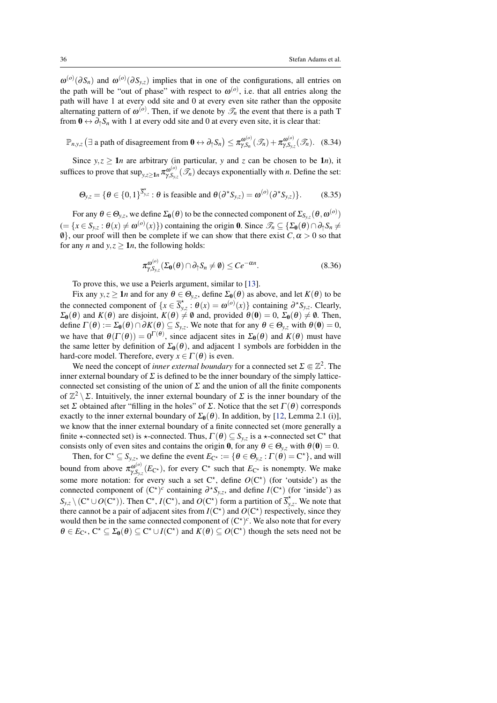<span id="page-35-1"></span> $\omega^{(o)}(\partial S_n)$  and  $\omega^{(o)}(\partial S_{y,z})$  implies that in one of the configurations, all entries on the path will be "out of phase" with respect to  $\omega^{(o)}$ , i.e. that all entries along the path will have 1 at every odd site and 0 at every even site rather than the opposite alternating pattern of  $\omega^{(o)}$ . Then, if we denote by  $\mathscr{T}_n$  the event that there is a path T from  $0 \leftrightarrow \partial_1 S_n$  with 1 at every odd site and 0 at every even site, it is clear that:

$$
\mathbb{P}_{n,y,z}\left(\exists \text{ a path of disagreement from } 0 \leftrightarrow \partial_{\uparrow} S_n\right) \leq \pi_{\gamma,S_n}^{\omega^{(o)}}(\mathcal{I}_n) + \pi_{\gamma,S_{y,z}}^{\omega^{(o)}}(\mathcal{I}_n). \quad (8.34)
$$

Since  $y, z \ge 1$ *n* are arbitrary (in particular, *y* and *z* can be chosen to be 1*n*), it suffices to prove that  $\sup_{y,z\geq 1n} \pi_{\gamma,S_v}^{\omega^{(o)}}$  $\mathcal{L}_{\gamma,S_{y,z}}^{(0)}(\mathscr{T}_n)$  decays exponentially with *n*. Define the set:

$$
\Theta_{y,z} = \{ \theta \in \{0,1\}^{\overline{S}_{y,z}^*} : \theta \text{ is feasible and } \theta(\partial^{\star} S_{y,z}) = \omega^{(o)}(\partial^{\star} S_{y,z}) \}. \tag{8.35}
$$

For any  $\theta \in \Theta_{y,z}$ , we define  $\Sigma_0(\theta)$  to be the connected component of  $\Sigma_{S_{y,z}}(\theta,\omega^{(o)})$  $(= \{x \in S_{y,z} : \theta(x) \neq \omega^{(o)}(x)\})$  containing the origin 0. Since  $\mathscr{T}_n \subseteq {\Sigma_0(\theta) \cap \partial_{\uparrow} S_n \neq \emptyset}$  $\emptyset$ , our proof will then be complete if we can show that there exist  $C, \alpha > 0$  so that for any *n* and  $y, z \ge 1n$ , the following holds:

<span id="page-35-0"></span>
$$
\pi_{\gamma, S_{y,z}}^{\omega^{(o)}}(\Sigma_0(\theta) \cap \partial_\uparrow S_n \neq \emptyset) \leq Ce^{-\alpha n}.\tag{8.36}
$$

To prove this, we use a Peierls argument, similar to [\[13\]](#page-41-9).

Fix any  $y, z \ge 1n$  and for any  $\theta \in \Theta_{y,z}$ , define  $\Sigma_0(\theta)$  as above, and let  $K(\theta)$  to be the connected component of  $\{x \in \overline{S}_v^*\}$  $\phi^*_{y,z}$ :  $\theta(x) = \omega^{(o)}(x)$ } containing  $\partial^* S_{y,z}$ . Clearly,  $\Sigma_0(\theta)$  and  $K(\theta)$  are disjoint,  $K(\theta) \neq \emptyset$  and, provided  $\theta(0) = 0$ ,  $\Sigma_0(\theta) \neq \emptyset$ . Then, define  $\Gamma(\theta) := \Sigma_0(\theta) \cap \partial K(\theta) \subseteq S_{y,z}$ . We note that for any  $\theta \in \Theta_{y,z}$  with  $\theta(\mathbf{0}) = 0$ , we have that  $\theta(\Gamma(\theta)) = 0^{\Gamma(\theta)}$ , since adjacent sites in  $\Sigma_0(\theta)$  and  $K(\theta)$  must have the same letter by definition of  $\Sigma_0(\theta)$ , and adjacent 1 symbols are forbidden in the hard-core model. Therefore, every  $x \in \Gamma(\theta)$  is even.

We need the concept of *inner external boundary* for a connected set  $\Sigma \in \mathbb{Z}^2$ . The inner external boundary of  $\Sigma$  is defined to be the inner boundary of the simply latticeconnected set consisting of the union of  $\Sigma$  and the union of all the finite components of  $\mathbb{Z}^2 \setminus \Sigma$ . Intuitively, the inner external boundary of  $\Sigma$  is the inner boundary of the set Σ obtained after "filling in the holes" of Σ. Notice that the set  $\Gamma(\theta)$  corresponds exactly to the inner external boundary of  $\Sigma_0(\theta)$ . In addition, by [\[12,](#page-41-15) Lemma 2.1 (i)], we know that the inner external boundary of a finite connected set (more generally a finite  $\star$ -connected set) is  $\star$ -connected. Thus,  $\Gamma(\theta) \subseteq S_{y,z}$  is a  $\star$ -connected set C<sup> $\star$ </sup> that consists only of even sites and contains the origin 0, for any  $\theta \in \Theta_{v,z}$  with  $\theta(0) = 0$ .

Then, for  $C^* \subseteq S_{y,z}$ , we define the event  $E_{C^*} := \{ \theta \in \Theta_{y,z} : \Gamma(\theta) = C^* \}$ , and will bound from above  $\pi_{\gamma,S_v}^{\omega^{(o)}}$  $\chi_{\gamma,S_{y,z}}^{(0)}(E_{\mathsf{C}^{\star}})$ , for every  $\mathsf{C}^{\star}$  such that  $E_{\mathsf{C}^{\star}}$  is nonempty. We make some more notation: for every such a set  $C^*$ , define  $O(C^*)$  (for 'outside') as the connected component of  $(C^{\star})^c$  containing  $\partial^{\star} S_{y,z}$ , and define *I*( $C^{\star}$ ) (for 'inside') as  $S_{y,z} \setminus (C^* \cup O(C^*))$ . Then  $C^*$ ,  $I(C^*)$ , and  $O(C^*)$  form a partition of  $\overline{S_y^*}$ *y*,*z* . We note that there cannot be a pair of adjacent sites from  $I(C^*)$  and  $O(C^*)$  respectively, since they would then be in the same connected component of  $(C^{\star})^c$ . We also note that for every  $\theta \in E_{\mathbb{C}^*}, \mathbb{C}^* \subseteq \Sigma_0(\theta) \subseteq \mathbb{C}^* \cup I(\mathbb{C}^*)$  and  $K(\theta) \subseteq O(\mathbb{C}^*)$  though the sets need not be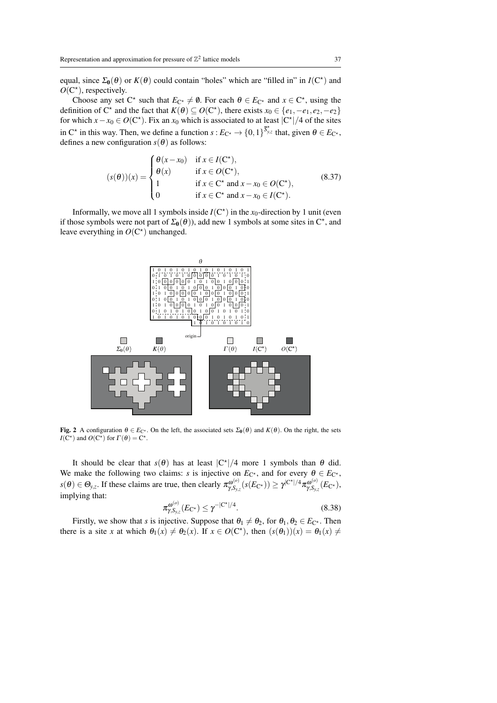equal, since  $\Sigma_0(\theta)$  or  $K(\theta)$  could contain "holes" which are "filled in" in  $I(C^*)$  and  $O(C^*)$ , respectively.

Choose any set  $C^*$  such that  $E_{C^*} \neq \emptyset$ . For each  $\theta \in E_{C^*}$  and  $x \in C^*$ , using the definition of C<sup>\*</sup> and the fact that  $K(\theta) \subseteq O(C^*)$ , there exists  $x_0 \in \{e_1, -e_1, e_2, -e_2\}$ for which  $x - x_0 \in O(C^*)$ . Fix an  $x_0$  which is associated to at least  $|C^*|/4$  of the sites in C<sup>\*</sup> in this way. Then, we define a function  $s: E_{C^*} \to \{0,1\}^{\overline{S}_{y,z}^*}$  that, given  $\theta \in E_{C^*}$ , defines a new configuration  $s(\theta)$  as follows:

$$
(s(\theta))(x) = \begin{cases} \theta(x - x_0) & \text{if } x \in I(\mathbb{C}^{\star}), \\ \theta(x) & \text{if } x \in O(\mathbb{C}^{\star}), \\ 1 & \text{if } x \in \mathbb{C}^{\star} \text{ and } x - x_0 \in O(\mathbb{C}^{\star}), \\ 0 & \text{if } x \in \mathbb{C}^{\star} \text{ and } x - x_0 \in I(\mathbb{C}^{\star}). \end{cases} \tag{8.37}
$$

Informally, we move all 1 symbols inside  $I(C^*)$  in the  $x_0$ -direction by 1 unit (even if those symbols were not part of  $\Sigma_0(\theta)$ , add new 1 symbols at some sites in C<sup>\*</sup>, and leave everything in  $O(C^*)$  unchanged.



Fig. 2 A configuration  $\theta \in E_{C^*}$ . On the left, the associated sets  $\Sigma_0(\theta)$  and  $K(\theta)$ . On the right, the sets *I*(C<sup>\*</sup>) and *O*(C<sup>\*</sup>) for  $\Gamma(\theta) = C^*$ .

It should be clear that  $s(\theta)$  has at least  $|C^*|/4$  more 1 symbols than  $\theta$  did. We make the following two claims: *s* is injective on  $E_{C^*}$ , and for every  $\theta \in E_{C^*}$ ,  $s(\theta) \in \Theta_{y,z}$ . If these claims are true, then clearly  $\pi_{y,S_y}^{\omega^{(o)}}$  $\gamma_{\mathcal{S}_{\mathrm{y},\mathrm{z}}}^{\boldsymbol{\omega}^{(o)}}(s(E_{\mathrm{C}^\star}))\geq \gamma^{|{\mathrm{C}^\star}|/4}\pi_{\gamma,\mathcal{S}_{\mathrm{y},\mathrm{y}}}^{\boldsymbol{\omega}^{(o)}}$  $\frac{\partial^{(0)}}{\gamma, S_{y,z}}(E_{\mathbf{C}^{\star}}),$ implying that:

<span id="page-36-0"></span>
$$
\pi_{\gamma, S_{y,z}}^{\omega^{(o)}}(E_{\mathbb{C}^*}) \le \gamma^{-|\mathbb{C}^{\star}|/4}.\tag{8.38}
$$

Firstly, we show that *s* is injective. Suppose that  $\theta_1 \neq \theta_2$ , for  $\theta_1, \theta_2 \in E_{C^*}$ . Then there is a site *x* at which  $\theta_1(x) \neq \theta_2(x)$ . If  $x \in O(C^*)$ , then  $(s(\theta_1))(x) = \theta_1(x) \neq$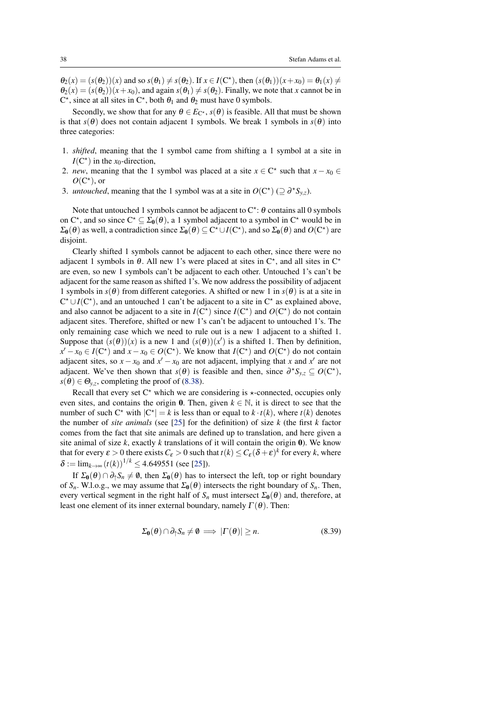<span id="page-37-0"></span> $\theta_2(x) = (s(\theta_2))(x)$  and so  $s(\theta_1) \neq s(\theta_2)$ . If  $x \in I(\mathbb{C}^*)$ , then  $(s(\theta_1))(x + x_0) = \theta_1(x) \neq$  $\theta_2(x) = (s(\theta_2))(x + x_0)$ , and again  $s(\theta_1) \neq s(\theta_2)$ . Finally, we note that *x* cannot be in  $C^*$ , since at all sites in  $C^*$ , both  $\theta_1$  and  $\theta_2$  must have 0 symbols.

Secondly, we show that for any  $\theta \in E_{\mathbb{C}^*}$ ,  $s(\theta)$  is feasible. All that must be shown is that  $s(\theta)$  does not contain adjacent 1 symbols. We break 1 symbols in  $s(\theta)$  into three categories:

- 1. *shifted*, meaning that the 1 symbol came from shifting a 1 symbol at a site in  $I(C^*)$  in the *x*<sub>0</sub>-direction,
- 2. *new*, meaning that the 1 symbol was placed at a site  $x \in C^*$  such that  $x x_0 \in C$  $O(C^*)$ , or
- 3. *untouched*, meaning that the 1 symbol was at a site in  $O(C^*) \subseteq \partial^* S_{y,z}$ .

Note that untouched 1 symbols cannot be adjacent to  $C^*$ :  $\theta$  contains all 0 symbols on  $C^*$ , and so since  $C^* \subseteq \Sigma_0(\theta)$ , a 1 symbol adjacent to a symbol in  $C^*$  would be in  $\Sigma_0(\theta)$  as well, a contradiction since  $\Sigma_0(\theta) \subseteq C^* \cup I(C^*)$ , and so  $\Sigma_0(\theta)$  and  $O(C^*)$  are disjoint.

Clearly shifted 1 symbols cannot be adjacent to each other, since there were no adjacent 1 symbols in  $\theta$ . All new 1's were placed at sites in  $C^*$ , and all sites in  $C^*$ are even, so new 1 symbols can't be adjacent to each other. Untouched 1's can't be adjacent for the same reason as shifted 1's. We now address the possibility of adjacent 1 symbols in  $s(\theta)$  from different categories. A shifted or new 1 in  $s(\theta)$  is at a site in  $C^* \cup I(C^*)$ , and an untouched 1 can't be adjacent to a site in  $C^*$  as explained above, and also cannot be adjacent to a site in  $I(C^*)$  since  $I(C^*)$  and  $O(C^*)$  do not contain adjacent sites. Therefore, shifted or new 1's can't be adjacent to untouched 1's. The only remaining case which we need to rule out is a new 1 adjacent to a shifted 1. Suppose that  $(s(\theta))(x)$  is a new 1 and  $(s(\theta))(x')$  is a shifted 1. Then by definition, *x*<sup> $1$ </sup> − *x*<sup>0</sup> ∈ *I*(C<sup>\*</sup>) and *x* − *x*<sup>0</sup> ∈ *O*(C<sup>\*</sup>). We know that *I*(C<sup>\*</sup>) and *O*(C<sup>\*</sup>) do not contain adjacent sites, so  $x - x_0$  and  $x' - x_0$  are not adjacent, implying that *x* and  $x'$  are not adjacent. We've then shown that  $s(\theta)$  is feasible and then, since  $\partial^* S_{y,z} \subseteq O(C^*)$ ,  $s(\theta) \in \Theta_{y,z}$ , completing the proof of [\(8.38\)](#page-36-0).

Recall that every set  $C^*$  which we are considering is  $\star$ -connected, occupies only even sites, and contains the origin 0. Then, given  $k \in \mathbb{N}$ , it is direct to see that the number of such  $C^*$  with  $|C^*| = k$  is less than or equal to  $k \cdot t(k)$ , where  $t(k)$  denotes the number of *site animals* (see [\[25\]](#page-42-14) for the definition) of size *k* (the first *k* factor comes from the fact that site animals are defined up to translation, and here given a site animal of size *k*, exactly *k* translations of it will contain the origin 0). We know that for every  $\varepsilon > 0$  there exists  $C_{\varepsilon} > 0$  such that  $t(k) \le C_{\varepsilon} (\delta + \varepsilon)^k$  for every *k*, where  $\delta := \lim_{k \to \infty} (t(k))^{1/k} \leq 4.649551$  (see [\[25\]](#page-42-14)).

If  $\Sigma_0(\theta) \cap \partial_1 S_n \neq \emptyset$ , then  $\Sigma_0(\theta)$  has to intersect the left, top or right boundary of  $S_n$ . W.l.o.g., we may assume that  $\Sigma_0(\theta)$  intersects the right boundary of  $S_n$ . Then, every vertical segment in the right half of  $S_n$  must intersect  $\Sigma_0(\theta)$  and, therefore, at least one element of its inner external boundary, namely  $\Gamma(\theta)$ . Then:

$$
\Sigma_0(\theta) \cap \partial_{\uparrow} S_n \neq \emptyset \implies |\Gamma(\theta)| \ge n. \tag{8.39}
$$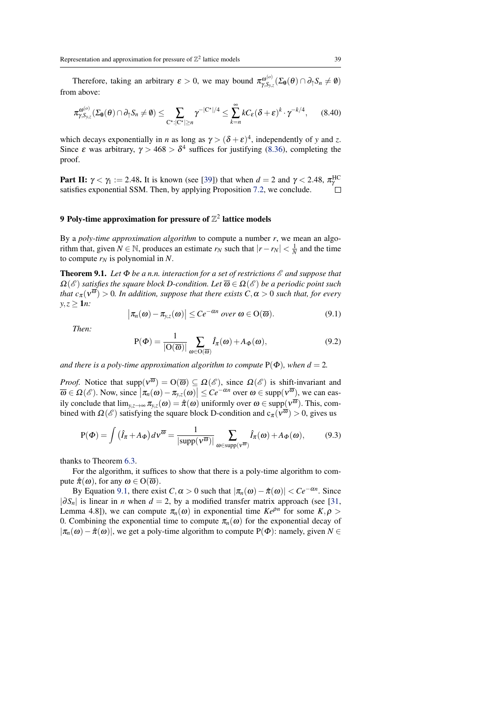<span id="page-38-3"></span>Therefore, taking an arbitrary  $\varepsilon > 0$ , we may bound  $\pi_{\gamma, S_v}^{\omega^{(o)}}$  $\mathcal{F}_{\gamma,\mathcal{S}_{y,z}}^{\omega^{(o)}}(\Sigma_{\mathbf{0}}(\theta) \cap \partial_{\uparrow} \mathcal{S}_n \neq \emptyset)$ from above:

$$
\pi^{\omega^{(o)}}_{\gamma,S_{y,z}}(\Sigma_{0}(\theta)\cap \partial_{\uparrow} S_n \neq \emptyset) \leq \sum_{C^{\star}:|C^{\star}| \geq n} \gamma^{-|C^{\star}|/4} \leq \sum_{k=n}^{\infty} kC_{\varepsilon}(\delta+\varepsilon)^{k} \cdot \gamma^{-k/4}, \qquad (8.40)
$$

which decays exponentially in *n* as long as  $\gamma > (\delta + \varepsilon)^4$ , independently of *y* and *z*. Since  $\varepsilon$  was arbitrary,  $\gamma > 468 > \delta^4$  suffices for justifying [\(8.36\)](#page-35-0), completing the proof.

**Part II:**  $\gamma < \gamma_1 := 2.48$ . It is known (see [\[39\]](#page-43-6)) that when  $d = 2$  and  $\gamma < 2.48$ ,  $\pi_{\gamma}^{\text{HC}}$ satisfies exponential SSM. Then, by applying Proposition [7.2,](#page-24-0) we conclude.

# <span id="page-38-0"></span>9 Poly-time approximation for pressure of  $\mathbb{Z}^2$  lattice models

By a *poly-time approximation algorithm* to compute a number *r*, we mean an algorithm that, given  $N \in \mathbb{N}$ , produces an estimate  $r_N$  such that  $|r - r_N| < \frac{1}{N}$  and the time to compute  $r_N$  is polynomial in *N*.

<span id="page-38-1"></span>Theorem 9.1. *Let* Φ *be a n.n. interaction for a set of restrictions* E *and suppose that*  $\Omega(\mathscr{E})$  *satisfies the square block D-condition. Let*  $\overline{\omega} \in \Omega(\mathscr{E})$  *be a periodic point such that*  $c_{\pi}(v^{\overline{\omega}}) > 0$ *. In addition, suppose that there exists*  $C, \alpha > 0$  *such that, for every y*,*z* ≥ 1*n:*

<span id="page-38-2"></span>
$$
\left|\pi_n(\omega)-\pi_{y,z}(\omega)\right|\leq Ce^{-\alpha n}\ over\ \omega\in\mathcal{O}(\overline{\omega}).\tag{9.1}
$$

*Then:*

 $\overline{\phantom{a}}$ 

$$
P(\Phi) = \frac{1}{|O(\overline{\omega})|} \sum_{\omega \in O(\overline{\omega})} \hat{I}_{\pi}(\omega) + A_{\Phi}(\omega),
$$
\n(9.2)

*and there is a poly-time approximation algorithm to compute*  $P(\Phi)$ *, when d* = 2*.* 

*Proof.* Notice that  $\text{supp}(v^{\overline{\omega}}) = O(\overline{\omega}) \subseteq \Omega(\mathscr{E})$ , since  $\Omega(\mathscr{E})$  is shift-invariant and  $\overline{\omega} \in \Omega(\mathscr{E})$ . Now, since  $|\pi_n(\omega) - \pi_{y,z}(\omega)| \leq Ce^{-\alpha n}$  over  $\omega \in \text{supp}(v^{\overline{\omega}})$ , we can easily conclude that  $\lim_{y,z\to\infty} \pi_{y,z}(\omega) = \hat{\pi}(\omega)$  uniformly over  $\omega \in \text{supp}(v^{\overline{\omega}})$ . This, combined with  $\Omega(\mathscr{E})$  satisfying the square block D-condition and  $c_{\pi}(v^{\overline{\omega}}) > 0$ , gives us

$$
P(\Phi) = \int (\hat{I}_{\pi} + A_{\Phi}) dV^{\overline{\omega}} = \frac{1}{|\text{supp}(V^{\overline{\omega}})|} \sum_{\omega \in \text{supp}(V^{\overline{\omega}})} \hat{I}_{\pi}(\omega) + A_{\Phi}(\omega), \tag{9.3}
$$

thanks to Theorem [6.3.](#page-19-1)

For the algorithm, it suffices to show that there is a poly-time algorithm to compute  $\hat{\pi}(\omega)$ , for any  $\omega \in O(\overline{\omega})$ .

By Equation [9.1,](#page-38-2) there exist  $C, \alpha > 0$  such that  $|\pi_n(\omega) - \hat{\pi}(\omega)| < C e^{-\alpha n}$ . Since  $|\partial S_n|$  is linear in *n* when *d* = 2, by a modified transfer matrix approach (see [\[31,](#page-42-15) Lemma 4.8]), we can compute  $\pi_n(\omega)$  in exponential time  $Ke^{\rho n}$  for some  $K, \rho >$ 0. Combining the exponential time to compute  $\pi_n(\omega)$  for the exponential decay of  $|\pi_n(\omega)-\hat{\pi}(\omega)|$ , we get a poly-time algorithm to compute P( $\Phi$ ): namely, given  $N \in$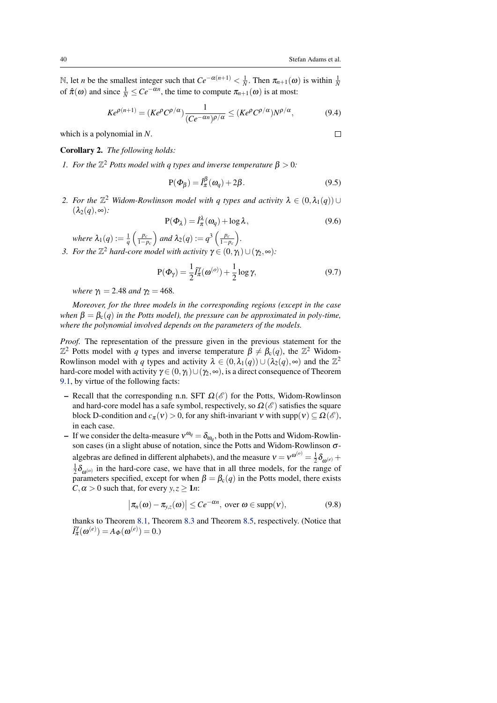$\Box$ 

N, let *n* be the smallest integer such that  $Ce^{-\alpha(n+1)} < \frac{1}{N}$ . Then  $\pi_{n+1}(\omega)$  is within  $\frac{1}{N}$ of  $\hat{\pi}(\omega)$  and since  $\frac{1}{N} \le Ce^{-\alpha n}$ , the time to compute  $\pi_{n+1}(\omega)$  is at most:

$$
Ke^{\rho(n+1)} = (Ke^{\rho}C^{\rho/\alpha})\frac{1}{(Ce^{-\alpha n})^{\rho/\alpha}} \le (Ke^{\rho}C^{\rho/\alpha})N^{\rho/\alpha},\tag{9.4}
$$

which is a polynomial in *N*.

<span id="page-39-0"></span>Corollary 2. *The following holds:*

*1. For the*  $\mathbb{Z}^2$  *Potts model with q types and inverse temperature*  $\beta > 0$ *:* 

<span id="page-39-1"></span>
$$
P(\Phi_{\beta}) = \hat{I}_{\pi}^{\beta}(\omega_q) + 2\beta.
$$
 (9.5)

2. For the  $\mathbb{Z}^2$  Widom-Rowlinson model with q types and activity  $\lambda \in (0, \lambda_1(q))$   $\cup$  $(\lambda_2(q),\infty)$ :

<span id="page-39-2"></span>
$$
P(\Phi_{\lambda}) = \hat{I}_{\pi}^{\lambda}(\omega_q) + \log \lambda, \qquad (9.6)
$$

*where*  $\lambda_1(q) := \frac{1}{q} \left( \frac{p_c}{1-p_c} \right)$  and  $\lambda_2(q) := q^3 \left( \frac{p_c}{1-p_c} \right)$ . *3. For the*  $\mathbb{Z}^2$  *hard-core model with activity*  $\gamma \in (0, \gamma_1) \cup (\gamma_2, \infty)$ *:* 

<span id="page-39-3"></span>
$$
P(\Phi_{\gamma}) = \frac{1}{2} \hat{I}_{\pi}^{\gamma}(\omega^{(o)}) + \frac{1}{2} \log \gamma,
$$
\n(9.7)

*where*  $\gamma_1 = 2.48$  *and*  $\gamma_2 = 468$ .

*Moreover, for the three models in the corresponding regions (except in the case when*  $\beta = \beta_c(q)$  *in the Potts model*), *the pressure can be approximated in poly-time*, *where the polynomial involved depends on the parameters of the models.*

*Proof.* The representation of the pressure given in the previous statement for the  $\mathbb{Z}^2$  Potts model with *q* types and inverse temperature  $\beta \neq \beta_c(q)$ , the  $\mathbb{Z}^2$  Widom-Rowlinson model with *q* types and activity  $\lambda \in (0, \lambda_1(q)) \cup (\lambda_2(q), \infty)$  and the  $\mathbb{Z}^2$ hard-core model with activity  $\gamma \in (0, \gamma_1) \cup (\gamma_2, \infty)$ , is a direct consequence of Theorem [9.1,](#page-38-1) by virtue of the following facts:

- Recall that the corresponding n.n. SFT  $\Omega(\mathscr{E})$  for the Potts, Widom-Rowlinson and hard-core model has a safe symbol, respectively, so  $\Omega(\mathscr{E})$  satisfies the square block D-condition and  $c_{\pi}(v) > 0$ , for any shift-invariant v with supp(v)  $\subseteq \Omega(\mathscr{E})$ , in each case.
- If we consider the delta-measure  $v^{\omega_q} = \delta_{\omega_q}$ , both in the Potts and Widom-Rowlinson cases (in a slight abuse of notation, since the Potts and Widom-Rowlinson  $\sigma$ algebras are defined in different alphabets), and the measure  $v = v^{\omega^{(o)}} = \frac{1}{2} \delta_{\omega^{(e)}} +$  $\frac{1}{2}\delta_{\omega^{(o)}}$  in the hard-core case, we have that in all three models, for the range of parameters specified, except for when  $\beta = \beta_c(q)$  in the Potts model, there exists  $C, \alpha > 0$  such that, for every  $y, z \geq 1$ *n*:

$$
\big|\pi_n(\omega)-\pi_{y,z}(\omega)\big|\leq Ce^{-\alpha n},\text{ over }\omega\in \text{supp}(\nu),\tag{9.8}
$$

thanks to Theorem [8.1,](#page-28-2) Theorem [8.3](#page-31-3) and Theorem [8.5,](#page-34-1) respectively. (Notice that  $\hat{I}_{\pi}^{\gamma}(\omega^{(e)}) = A_{\Phi}(\omega^{(e)}) = 0.$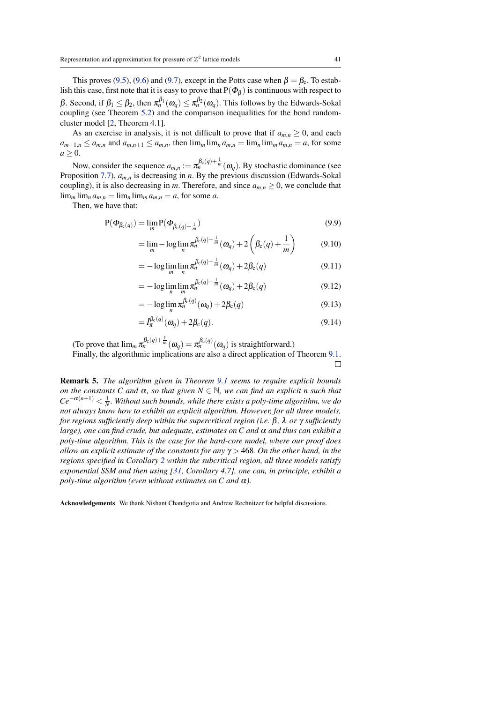<span id="page-40-0"></span>This proves [\(9.5\)](#page-39-1), [\(9.6\)](#page-39-2) and [\(9.7\)](#page-39-3), except in the Potts case when  $\beta = \beta_c$ . To establish this case, first note that it is easy to prove that  $P(\Phi_\beta)$  is continuous with respect to β. Second, if  $β_1 ≤ β_2$ , then  $π_n<sup>β_1</sup>(ω_q) ≤ π_n<sup>β_2</sup>(ω_q)$ . This follows by the Edwards-Sokal coupling (see Theorem [5.2\)](#page-13-0) and the comparison inequalities for the bond randomcluster model [\[2,](#page-41-16) Theorem 4.1].

As an exercise in analysis, it is not difficult to prove that if  $a_{m,n} \geq 0$ , and each  $a_{m+1,n} \le a_{m,n}$  and  $a_{m,n+1} \le a_{m,n}$ , then  $\lim_m \lim_n a_{m,n} = \lim_n \lim_n a_{m,n} = a$ , for some  $a \geq 0$ .

Now, consider the sequence  $a_{m,n} := \pi_n^{\beta_c(q) + \frac{1}{m}}(\omega_q)$ . By stochastic dominance (see Proposition [7.7\)](#page-27-1), *am*,*<sup>n</sup>* is decreasing in *n*. By the previous discussion (Edwards-Sokal coupling), it is also decreasing in *m*. Therefore, and since  $a_{m,n} \geq 0$ , we conclude that  $\lim_{m} \lim_{n \to \infty} a_{m,n} = \lim_{n \to \infty} \lim_{n \to \infty} a_{m,n} = a$ , for some *a*.

Then, we have that:

$$
P(\Phi_{\beta_c(q)}) = \lim_{m} P(\Phi_{\beta_c(q) + \frac{1}{m}})
$$
\n(9.9)

$$
= \lim_{m} -\log \lim_{n} \pi_n^{\beta_c(q)+\frac{1}{m}}(\omega_q) + 2\left(\beta_c(q)+\frac{1}{m}\right) \tag{9.10}
$$

$$
= -\log \lim_{m} \lim_{n} \pi_n^{\beta_c(q) + \frac{1}{m}}(\omega_q) + 2\beta_c(q) \tag{9.11}
$$

$$
= -\log \lim_{n} \lim_{m} \pi_n^{\beta_c(q) + \frac{1}{m}}(\omega_q) + 2\beta_c(q) \tag{9.12}
$$

$$
= -\log \lim_{n} \pi_n^{\beta_c(q)}(\omega_q) + 2\beta_c(q) \tag{9.13}
$$

$$
= \hat{I}_{\pi}^{\beta_c(q)}(\omega_q) + 2\beta_c(q). \tag{9.14}
$$

(To prove that  $\lim_{m} \pi_n^{\beta_c(q)+\frac{1}{m}}(\omega_q) = \pi_n^{\beta_c(q)}(\omega_q)$  is straightforward.) Finally, the algorithmic implications are also a direct application of Theorem [9.1.](#page-38-1)

 $\Box$ 

Remark 5. *The algorithm given in Theorem [9.1](#page-38-1) seems to require explicit bounds on the constants C and*  $\alpha$ *, so that given*  $N \in \mathbb{N}$ *, we can find an explicit n such that*  $Ce^{-\alpha(n+1)} < \frac{1}{N}$ . Without such bounds, while there exists a poly-time algorithm, we do *not always know how to exhibit an explicit algorithm. However, for all three models, for regions sufficiently deep within the supercritical region (i.e.* β*,* λ *or* γ *sufficiently large), one can find crude, but adequate, estimates on C and α and thus can exhibit a poly-time algorithm. This is the case for the hard-core model, where our proof does allow an explicit estimate of the constants for any* γ > 468*. On the other hand, in the regions specified in Corollary [2](#page-39-0) within the subcritical region, all three models satisfy exponential SSM and then using [\[31,](#page-42-15) Corollary 4.7], one can, in principle, exhibit a poly-time algorithm (even without estimates on C and*  $\alpha$ *).* 

Acknowledgements We thank Nishant Chandgotia and Andrew Rechnitzer for helpful discussions.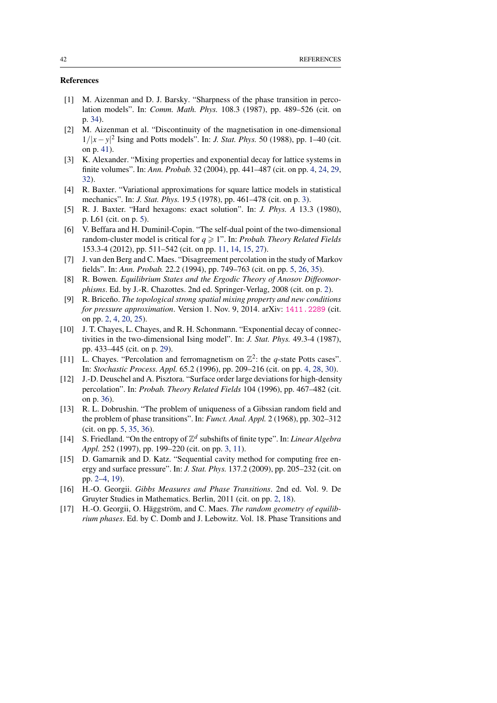# References

- <span id="page-41-14"></span>[1] M. Aizenman and D. J. Barsky. "Sharpness of the phase transition in percolation models". In: *Comm. Math. Phys.* 108.3 (1987), pp. 489–526 (cit. on p. [34\)](#page-33-2).
- <span id="page-41-16"></span>[2] M. Aizenman et al. "Discontinuity of the magnetisation in one-dimensional 1/|*x*−*y*|<sup>2</sup> Ising and Potts models". In: *J. Stat. Phys.* 50 (1988), pp. 1–40 (cit. on p. [41\)](#page-40-0).
- <span id="page-41-7"></span>[3] K. Alexander. "Mixing properties and exponential decay for lattice systems in finite volumes". In: *Ann. Probab.* 32 (2004), pp. 441–487 (cit. on pp. [4,](#page-3-0) [24,](#page-23-3) [29,](#page-28-6) [32\)](#page-31-4).
- <span id="page-41-4"></span>[4] R. Baxter. "Variational approximations for square lattice models in statistical mechanics". In: *J. Stat. Phys.* 19.5 (1978), pp. 461–478 (cit. on p. [3\)](#page-2-0).
- <span id="page-41-10"></span>[5] R. J. Baxter. "Hard hexagons: exact solution". In: *J. Phys. A* 13.3 (1980), p. L61 (cit. on p. [5\)](#page-4-0).
- <span id="page-41-11"></span>[6] V. Beffara and H. Duminil-Copin. "The self-dual point of the two-dimensional random-cluster model is critical for  $q \ge 1$ ". In: *Probab. Theory Related Fields* 153.3-4 (2012), pp. 511–542 (cit. on pp. [11,](#page-10-4) [14,](#page-13-1) [15,](#page-14-4) [27\)](#page-26-3).
- <span id="page-41-8"></span>[7] J. van den Berg and C. Maes. "Disagreement percolation in the study of Markov fields". In: *Ann. Probab.* 22.2 (1994), pp. 749–763 (cit. on pp. [5,](#page-4-0) [26,](#page-25-2) [35\)](#page-34-2).
- <span id="page-41-1"></span>[8] R. Bowen. *Equilibrium States and the Ergodic Theory of Anosov Diffeomorphisms*. Ed. by J.-R. Chazottes. 2nd ed. Springer-Verlag, 2008 (cit. on p. [2\)](#page-1-1).
- <span id="page-41-3"></span>[9] R. Briceno. *The topological strong spatial mixing property and new conditions for pressure approximation.* Version 1. Nov. 9, 2014. arXiv: 1411. 2289 (cit. on pp. [2,](#page-1-1) [4,](#page-3-0) [20,](#page-19-5) [25\)](#page-24-1).
- <span id="page-41-13"></span>[10] J. T. Chayes, L. Chayes, and R. H. Schonmann. "Exponential decay of connectivities in the two-dimensional Ising model". In: *J. Stat. Phys.* 49.3-4 (1987), pp. 433–445 (cit. on p. [29\)](#page-28-6).
- <span id="page-41-6"></span>[11] L. Chayes. "Percolation and ferromagnetism on  $\mathbb{Z}^2$ : the *q*-state Potts cases". In: *Stochastic Process. Appl.* 65.2 (1996), pp. 209–216 (cit. on pp. [4,](#page-3-0) [28,](#page-27-4) [30\)](#page-29-1).
- <span id="page-41-15"></span>[12] J.-D. Deuschel and A. Pisztora. "Surface order large deviations for high-density percolation". In: *Probab. Theory Related Fields* 104 (1996), pp. 467–482 (cit. on p. [36\)](#page-35-1).
- <span id="page-41-9"></span>[13] R. L. Dobrushin. "The problem of uniqueness of a Gibssian random field and the problem of phase transitions". In: *Funct. Anal. Appl.* 2 (1968), pp. 302–312 (cit. on pp. [5,](#page-4-0) [35,](#page-34-2) [36\)](#page-35-1).
- <span id="page-41-5"></span>[14] S. Friedland. "On the entropy of  $\mathbb{Z}^d$  subshifts of finite type". In: *Linear Algebra Appl.* 252 (1997), pp. 199–220 (cit. on pp. [3,](#page-2-0) [11\)](#page-10-4).
- <span id="page-41-2"></span>[15] D. Gamarnik and D. Katz. "Sequential cavity method for computing free energy and surface pressure". In: *J. Stat. Phys.* 137.2 (2009), pp. 205–232 (cit. on pp. [2](#page-1-1)[–4,](#page-3-0) [19\)](#page-18-1).
- <span id="page-41-0"></span>[16] H.-O. Georgii. *Gibbs Measures and Phase Transitions*. 2nd ed. Vol. 9. De Gruyter Studies in Mathematics. Berlin, 2011 (cit. on pp. [2,](#page-1-1) [18\)](#page-17-3).
- <span id="page-41-12"></span>[17] H.-O. Georgii, O. Häggström, and C. Maes. *The random geometry of equilibrium phases*. Ed. by C. Domb and J. Lebowitz. Vol. 18. Phase Transitions and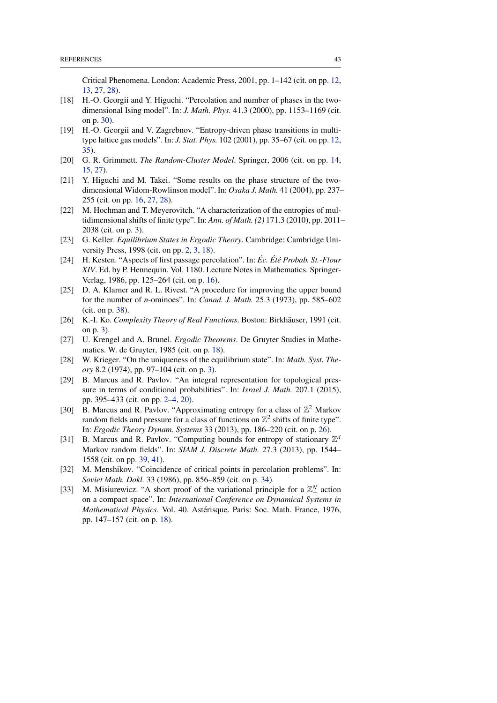Critical Phenomena. London: Academic Press, 2001, pp. 1–142 (cit. on pp. [12,](#page-11-1) [13,](#page-12-3) [27,](#page-26-3) [28\)](#page-27-4).

- <span id="page-42-12"></span>[18] H.-O. Georgii and Y. Higuchi. "Percolation and number of phases in the twodimensional Ising model". In: *J. Math. Phys.* 41.3 (2000), pp. 1153–1169 (cit. on p. [30\)](#page-29-1).
- <span id="page-42-5"></span>[19] H.-O. Georgii and V. Zagrebnov. "Entropy-driven phase transitions in multitype lattice gas models". In: *J. Stat. Phys.* 102 (2001), pp. 35–67 (cit. on pp. [12,](#page-11-1) [35\)](#page-34-2).
- <span id="page-42-6"></span>[20] G. R. Grimmett. *The Random-Cluster Model*. Springer, 2006 (cit. on pp. [14,](#page-13-1) [15,](#page-14-4) [27\)](#page-26-3).
- <span id="page-42-7"></span>[21] Y. Higuchi and M. Takei. "Some results on the phase structure of the twodimensional Widom-Rowlinson model". In: *Osaka J. Math.* 41 (2004), pp. 237– 255 (cit. on pp. [16,](#page-15-3) [27,](#page-26-3) [28\)](#page-27-4).
- <span id="page-42-4"></span>[22] M. Hochman and T. Meyerovitch. "A characterization of the entropies of multidimensional shifts of finite type". In: *Ann. of Math. (2)* 171.3 (2010), pp. 2011– 2038 (cit. on p. [3\)](#page-2-0).
- <span id="page-42-0"></span>[23] G. Keller. *Equilibrium States in Ergodic Theory*. Cambridge: Cambridge University Press, 1998 (cit. on pp. [2,](#page-1-1) [3,](#page-2-0) [18\)](#page-17-3).
- <span id="page-42-8"></span>[24] H. Kesten. "Aspects of first passage percolation". In: *Éc. Été Probab. St.-Flour XIV*. Ed. by P. Hennequin. Vol. 1180. Lecture Notes in Mathematics. Springer-Verlag, 1986, pp. 125–264 (cit. on p. [16\)](#page-15-3).
- <span id="page-42-14"></span>[25] D. A. Klarner and R. L. Rivest. "A procedure for improving the upper bound for the number of *n*-ominoes". In: *Canad. J. Math.* 25.3 (1973), pp. 585–602 (cit. on p. [38\)](#page-37-0).
- <span id="page-42-3"></span>[26] K.-I. Ko. *Complexity Theory of Real Functions*. Boston: Birkhäuser, 1991 (cit. on p. [3\)](#page-2-0).
- <span id="page-42-10"></span>[27] U. Krengel and A. Brunel. *Ergodic Theorems*. De Gruyter Studies in Mathematics. W. de Gruyter, 1985 (cit. on p. [18\)](#page-17-3).
- <span id="page-42-2"></span>[28] W. Krieger. "On the uniqueness of the equilibrium state". In: *Math. Syst. Theory* 8.2 (1974), pp. 97–104 (cit. on p. [3\)](#page-2-0).
- <span id="page-42-1"></span>[29] B. Marcus and R. Pavlov. "An integral representation for topological pressure in terms of conditional probabilities". In: *Israel J. Math.* 207.1 (2015), pp. 395–433 (cit. on pp. [2](#page-1-1)[–4,](#page-3-0) [20\)](#page-19-5).
- <span id="page-42-11"></span>[30] B. Marcus and R. Pavlov. "Approximating entropy for a class of  $\mathbb{Z}^2$  Markov random fields and pressure for a class of functions on  $\mathbb{Z}^2$  shifts of finite type". In: *Ergodic Theory Dynam. Systems* 33 (2013), pp. 186–220 (cit. on p. [26\)](#page-25-2).
- <span id="page-42-15"></span>[31] B. Marcus and R. Pavlov. "Computing bounds for entropy of stationary  $\mathbb{Z}^d$ Markov random fields". In: *SIAM J. Discrete Math.* 27.3 (2013), pp. 1544– 1558 (cit. on pp. [39,](#page-38-3) [41\)](#page-40-0).
- <span id="page-42-13"></span>[32] M. Menshikov. "Coincidence of critical points in percolation problems". In: *Soviet Math. Dokl.* 33 (1986), pp. 856–859 (cit. on p. [34\)](#page-33-2).
- <span id="page-42-9"></span>[33] M. Misiurewicz. "A short proof of the variational principle for a  $\mathbb{Z}_+^N$  action on a compact space". In: *International Conference on Dynamical Systems in Mathematical Physics*. Vol. 40. Astérisque. Paris: Soc. Math. France, 1976, pp. 147–157 (cit. on p. [18\)](#page-17-3).